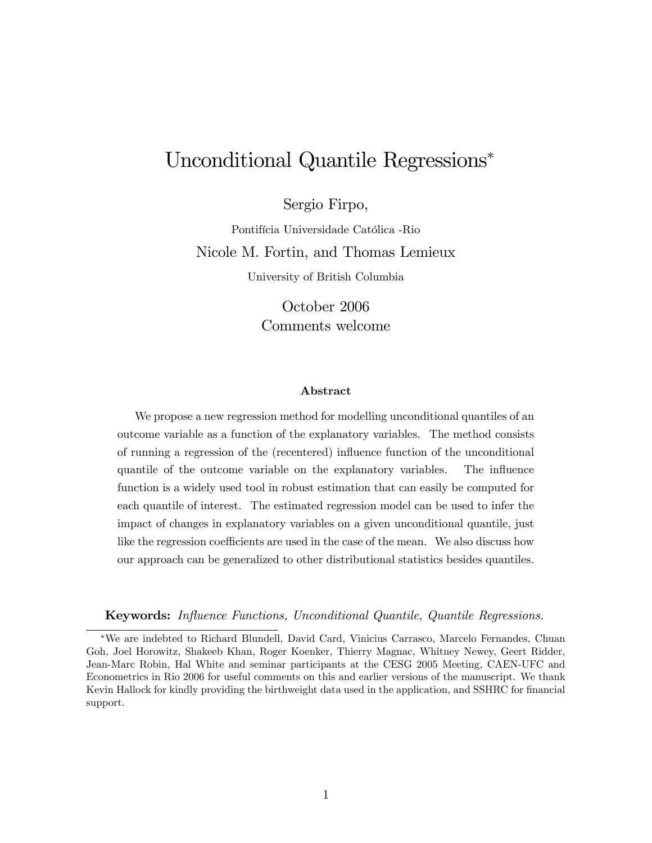# Unconditional Quantile Regressions

Sergio Firpo,

Pontifícia Universidade Católica -Rio Nicole M. Fortin, and Thomas Lemieux

University of British Columbia

October 2006 Comments welcome

#### Abstract

We propose a new regression method for modelling unconditional quantiles of an outcome variable as a function of the explanatory variables. The method consists of running a regression of the (recentered) ináuence function of the unconditional quantile of the outcome variable on the explanatory variables. The ináuence function is a widely used tool in robust estimation that can easily be computed for each quantile of interest. The estimated regression model can be used to infer the impact of changes in explanatory variables on a given unconditional quantile, just like the regression coefficients are used in the case of the mean. We also discuss how our approach can be generalized to other distributional statistics besides quantiles.

Keywords: Ináuence Functions, Unconditional Quantile, Quantile Regressions.

We are indebted to Richard Blundell, David Card, Vinicius Carrasco, Marcelo Fernandes, Chuan Goh, Joel Horowitz, Shakeeb Khan, Roger Koenker, Thierry Magnac, Whitney Newey, Geert Ridder, Jean-Marc Robin, Hal White and seminar participants at the CESG 2005 Meeting, CAEN-UFC and Econometrics in Rio 2006 for useful comments on this and earlier versions of the manuscript. We thank Kevin Hallock for kindly providing the birthweight data used in the application, and SSHRC for financial support.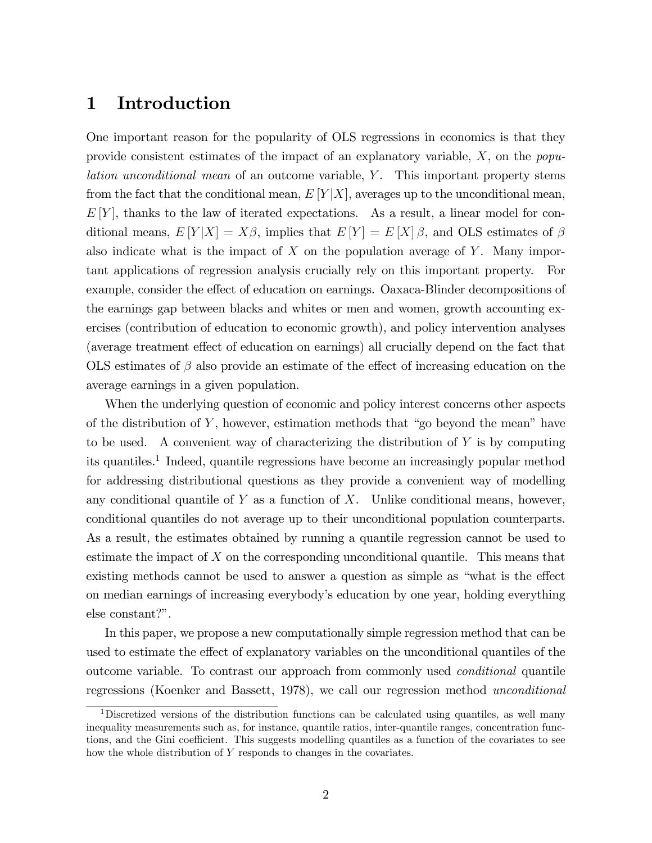## 1 Introduction

One important reason for the popularity of OLS regressions in economics is that they provide consistent estimates of the impact of an explanatory variable,  $X$ , on the *popu*lation unconditional mean of an outcome variable, Y. This important property stems from the fact that the conditional mean,  $E[Y|X]$ , averages up to the unconditional mean,  $E[Y]$ , thanks to the law of iterated expectations. As a result, a linear model for conditional means,  $E[Y|X] = X\beta$ , implies that  $E[Y] = E[X]\beta$ , and OLS estimates of  $\beta$ also indicate what is the impact of  $X$  on the population average of  $Y$ . Many important applications of regression analysis crucially rely on this important property. For example, consider the effect of education on earnings. Oaxaca-Blinder decompositions of the earnings gap between blacks and whites or men and women, growth accounting exercises (contribution of education to economic growth), and policy intervention analyses (average treatment effect of education on earnings) all crucially depend on the fact that OLS estimates of  $\beta$  also provide an estimate of the effect of increasing education on the average earnings in a given population.

When the underlying question of economic and policy interest concerns other aspects of the distribution of  $Y$ , however, estimation methods that "go beyond the mean" have to be used. A convenient way of characterizing the distribution of Y is by computing its quantiles.<sup>1</sup> Indeed, quantile regressions have become an increasingly popular method for addressing distributional questions as they provide a convenient way of modelling any conditional quantile of  $Y$  as a function of  $X$ . Unlike conditional means, however, conditional quantiles do not average up to their unconditional population counterparts. As a result, the estimates obtained by running a quantile regression cannot be used to estimate the impact of  $X$  on the corresponding unconditional quantile. This means that existing methods cannot be used to answer a question as simple as "what is the effect on median earnings of increasing everybodyís education by one year, holding everything  $else constant?$ ".

In this paper, we propose a new computationally simple regression method that can be used to estimate the effect of explanatory variables on the unconditional quantiles of the outcome variable. To contrast our approach from commonly used conditional quantile regressions (Koenker and Bassett, 1978), we call our regression method unconditional

<sup>&</sup>lt;sup>1</sup>Discretized versions of the distribution functions can be calculated using quantiles, as well many inequality measurements such as, for instance, quantile ratios, inter-quantile ranges, concentration functions, and the Gini coefficient. This suggests modelling quantiles as a function of the covariates to see how the whole distribution of Y responds to changes in the covariates.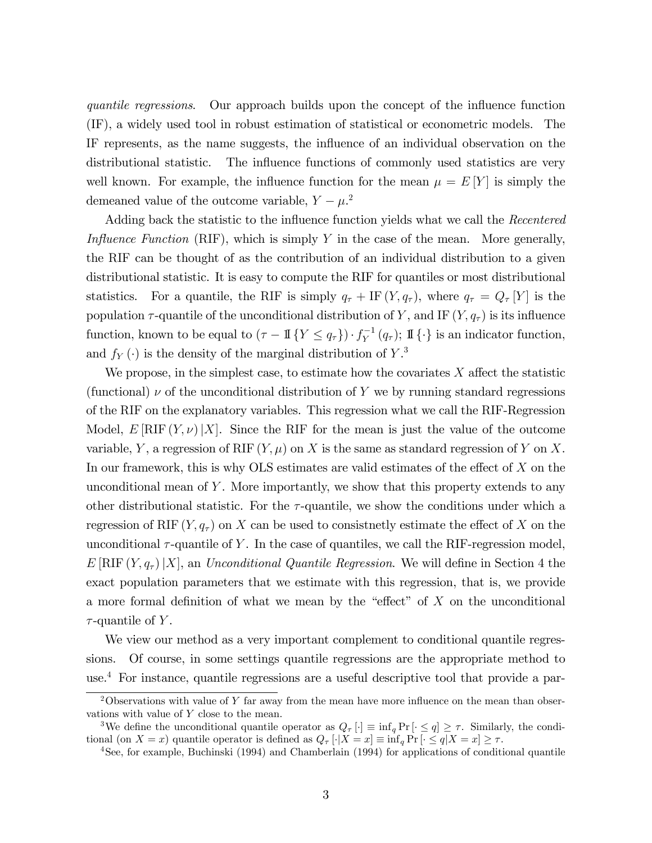quantile regressions. Our approach builds upon the concept of the influence function (IF), a widely used tool in robust estimation of statistical or econometric models. The IF represents, as the name suggests, the influence of an individual observation on the distributional statistic. The influence functions of commonly used statistics are very well known. For example, the influence function for the mean  $\mu = E[Y]$  is simply the demeaned value of the outcome variable,  $Y - \mu^2$ .

Adding back the statistic to the influence function yields what we call the *Recentered* Influence Function (RIF), which is simply Y in the case of the mean. More generally, the RIF can be thought of as the contribution of an individual distribution to a given distributional statistic. It is easy to compute the RIF for quantiles or most distributional statistics. For a quantile, the RIF is simply  $q_{\tau} + I F(Y, q_{\tau})$ , where  $q_{\tau} = Q_{\tau}[Y]$  is the population  $\tau$ -quantile of the unconditional distribution of Y, and IF  $(Y, q_{\tau})$  is its influence function, known to be equal to  $(\tau - 1\mathbb{I}\{Y \le q_{\tau}\}) \cdot f_Y^{-1}(q_{\tau});$  If  $\{\cdot\}$  is an indicator function, and  $f_Y(\cdot)$  is the density of the marginal distribution of  $Y^3$ .

We propose, in the simplest case, to estimate how the covariates  $X$  affect the statistic (functional)  $\nu$  of the unconditional distribution of Y we by running standard regressions of the RIF on the explanatory variables. This regression what we call the RIF-Regression Model,  $E[\text{RIF}(Y, \nu)|X]$ . Since the RIF for the mean is just the value of the outcome variable, Y, a regression of RIF  $(Y, \mu)$  on X is the same as standard regression of Y on X. In our framework, this is why OLS estimates are valid estimates of the effect of  $X$  on the unconditional mean of  $Y$ . More importantly, we show that this property extends to any other distributional statistic. For the  $\tau$ -quantile, we show the conditions under which a regression of RIF  $(Y, q_{\tau})$  on X can be used to consistnetly estimate the effect of X on the unconditional  $\tau$ -quantile of Y. In the case of quantiles, we call the RIF-regression model,  $E[\text{RIF}(Y, q_{\tau})|X]$ , an *Unconditional Quantile Regression*. We will define in Section 4 the exact population parameters that we estimate with this regression, that is, we provide a more formal definition of what we mean by the "effect" of  $X$  on the unconditional  $\tau$ -quantile of Y.

We view our method as a very important complement to conditional quantile regressions. Of course, in some settings quantile regressions are the appropriate method to use.<sup>4</sup> For instance, quantile regressions are a useful descriptive tool that provide a par-

<sup>&</sup>lt;sup>2</sup>Observations with value of Y far away from the mean have more influence on the mean than observations with value of  $Y$  close to the mean.

<sup>&</sup>lt;sup>3</sup>We define the unconditional quantile operator as  $Q_{\tau}[\cdot] \equiv \inf_{q} Pr[\cdot \leq q] \geq \tau$ . Similarly, the conditional (on  $X = x$ ) quantile operator is defined as  $Q_{\tau} [\cdot | X = x] \equiv \inf_{q} Pr [\cdot \leq q | X = x] \geq \tau$ .

<sup>4</sup>See, for example, Buchinski (1994) and Chamberlain (1994) for applications of conditional quantile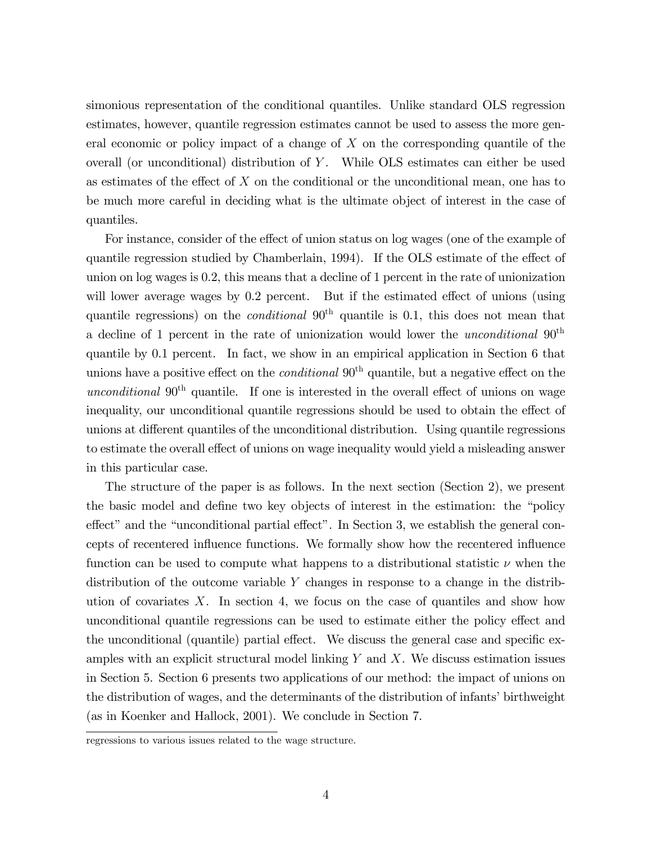simonious representation of the conditional quantiles. Unlike standard OLS regression estimates, however, quantile regression estimates cannot be used to assess the more general economic or policy impact of a change of  $X$  on the corresponding quantile of the overall (or unconditional) distribution of  $Y$ . While OLS estimates can either be used as estimates of the effect of  $X$  on the conditional or the unconditional mean, one has to be much more careful in deciding what is the ultimate object of interest in the case of quantiles.

For instance, consider of the effect of union status on log wages (one of the example of quantile regression studied by Chamberlain, 1994). If the OLS estimate of the effect of union on log wages is 0.2, this means that a decline of 1 percent in the rate of unionization will lower average wages by  $0.2$  percent. But if the estimated effect of unions (using quantile regressions) on the *conditional*  $90<sup>th</sup>$  quantile is 0.1, this does not mean that a decline of 1 percent in the rate of unionization would lower the *unconditional*  $90<sup>th</sup>$ quantile by 0.1 percent. In fact, we show in an empirical application in Section 6 that unions have a positive effect on the *conditional*  $90<sup>th</sup>$  quantile, but a negative effect on the unconditional  $90<sup>th</sup>$  quantile. If one is interested in the overall effect of unions on wage inequality, our unconditional quantile regressions should be used to obtain the effect of unions at different quantiles of the unconditional distribution. Using quantile regressions to estimate the overall effect of unions on wage inequality would yield a misleading answer in this particular case.

The structure of the paper is as follows. In the next section (Section 2), we present the basic model and define two key objects of interest in the estimation: the "policy" effect" and the "unconditional partial effect". In Section 3, we establish the general concepts of recentered ináuence functions. We formally show how the recentered ináuence function can be used to compute what happens to a distributional statistic  $\nu$  when the distribution of the outcome variable Y changes in response to a change in the distribution of covariates  $X$ . In section 4, we focus on the case of quantiles and show how unconditional quantile regressions can be used to estimate either the policy effect and the unconditional (quantile) partial effect. We discuss the general case and specific examples with an explicit structural model linking  $Y$  and  $X$ . We discuss estimation issues in Section 5. Section 6 presents two applications of our method: the impact of unions on the distribution of wages, and the determinants of the distribution of infants' birthweight (as in Koenker and Hallock, 2001). We conclude in Section 7.

regressions to various issues related to the wage structure.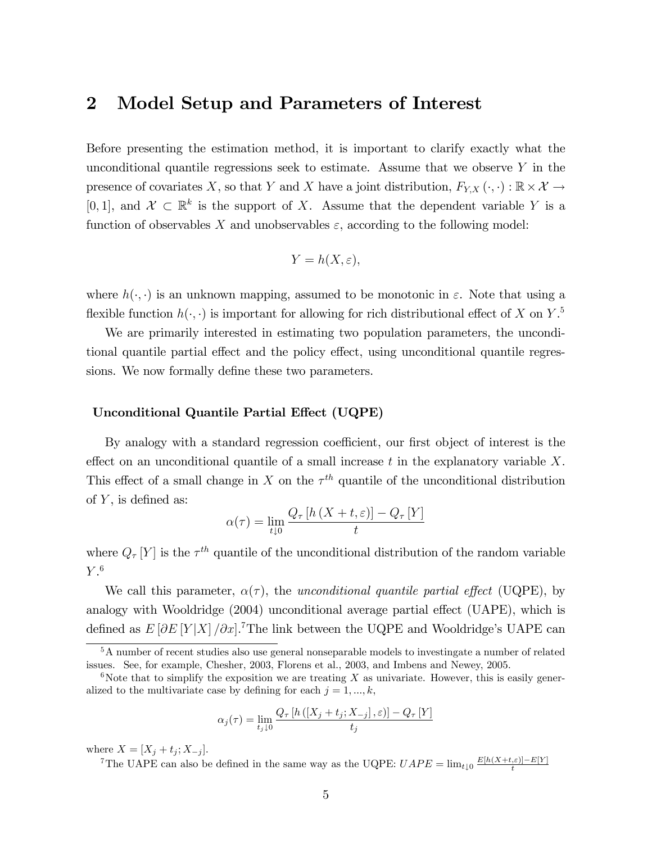## 2 Model Setup and Parameters of Interest

Before presenting the estimation method, it is important to clarify exactly what the unconditional quantile regressions seek to estimate. Assume that we observe  $Y$  in the presence of covariates X, so that Y and X have a joint distribution,  $F_{Y,X}(\cdot, \cdot) : \mathbb{R} \times \mathcal{X} \to$ [0, 1], and  $\mathcal{X} \subset \mathbb{R}^k$  is the support of X. Assume that the dependent variable Y is a function of observables X and unobservables  $\varepsilon$ , according to the following model:

$$
Y = h(X, \varepsilon),
$$

where  $h(\cdot, \cdot)$  is an unknown mapping, assumed to be monotonic in  $\varepsilon$ . Note that using a flexible function  $h(\cdot, \cdot)$  is important for allowing for rich distributional effect of X on Y.<sup>5</sup>

We are primarily interested in estimating two population parameters, the unconditional quantile partial effect and the policy effect, using unconditional quantile regressions. We now formally define these two parameters.

#### Unconditional Quantile Partial Effect (UQPE)

By analogy with a standard regression coefficient, our first object of interest is the effect on an unconditional quantile of a small increase  $t$  in the explanatory variable  $X$ . This effect of a small change in X on the  $\tau^{th}$  quantile of the unconditional distribution of  $Y$ , is defined as:

$$
\alpha(\tau) = \lim_{t \downarrow 0} \frac{Q_{\tau} \left[ h \left( X + t, \varepsilon \right) \right] - Q_{\tau} \left[ Y \right]}{t}
$$

where  $Q_{\tau}[Y]$  is the  $\tau^{th}$  quantile of the unconditional distribution of the random variable  $Y.^6$ 

We call this parameter,  $\alpha(\tau)$ , the unconditional quantile partial effect (UQPE), by analogy with Wooldridge (2004) unconditional average partial effect (UAPE), which is defined as  $E[\partial E[Y|X]/\partial x]$ .<sup>7</sup>The link between the UQPE and Wooldridge's UAPE can

$$
\alpha_j(\tau) = \lim_{t_j \downarrow 0} \frac{Q_{\tau} \left[ h\left( \left[ X_j + t_j; X_{-j} \right], \varepsilon \right) \right] - Q_{\tau} \left[ Y \right]}{t_j}
$$

where  $X = [X_j + t_j; X_{-j}].$ 

<sup>5</sup>A number of recent studies also use general nonseparable models to investingate a number of related issues. See, for example, Chesher, 2003, Florens et al., 2003, and Imbens and Newey, 2005.

<sup>&</sup>lt;sup>6</sup>Note that to simplify the exposition we are treating X as univariate. However, this is easily generalized to the multivariate case by defining for each  $j = 1, ..., k$ ;

<sup>&</sup>lt;sup>7</sup>The UAPE can also be defined in the same way as the UQPE:  $UAPE = \lim_{t \downarrow 0} \frac{E[h(X+t,\varepsilon)] - E[Y]}{t}$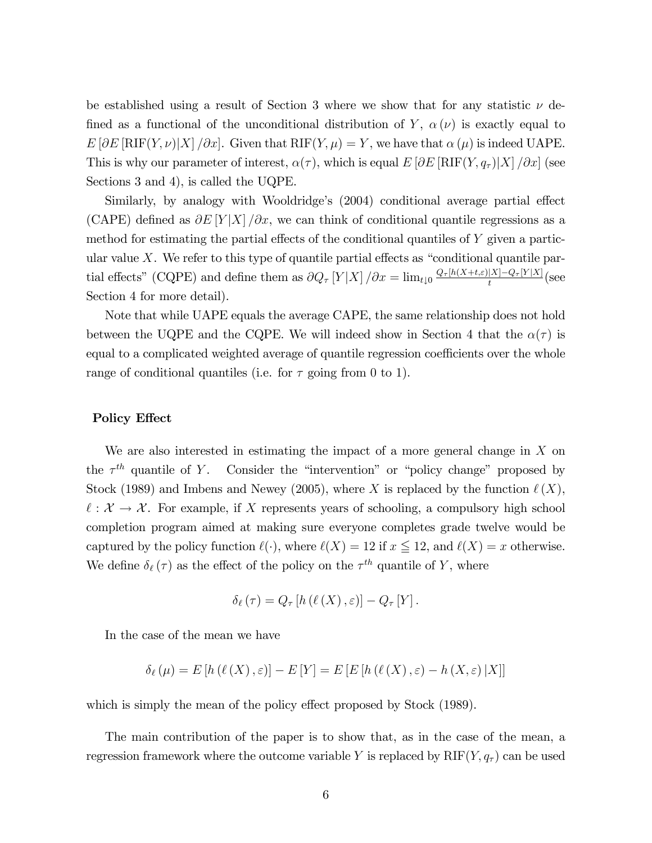be established using a result of Section 3 where we show that for any statistic  $\nu$  defined as a functional of the unconditional distribution of Y,  $\alpha(\nu)$  is exactly equal to  $E[\partial E[\text{RIF}(Y,\nu)|X]/\partial x]$ . Given that  $\text{RIF}(Y,\mu) = Y$ , we have that  $\alpha(\mu)$  is indeed UAPE. This is why our parameter of interest,  $\alpha(\tau)$ , which is equal  $E[\partial E[\text{RIF}(Y, q_{\tau})|X]/\partial x]$  (see Sections 3 and 4), is called the UQPE.

Similarly, by analogy with Wooldridge's (2004) conditional average partial effect (CAPE) defined as  $\partial E |Y| X / \partial x$ , we can think of conditional quantile regressions as a method for estimating the partial effects of the conditional quantiles of  $Y$  given a particular value X. We refer to this type of quantile partial effects as "conditional quantile partial effects" (CQPE) and define them as  $\partial Q_\tau[Y|X]/\partial x = \lim_{t\downarrow 0} \frac{Q_\tau[h(X+t,\varepsilon)|X]-Q_\tau[Y|X]}{t}$  (see Section 4 for more detail).

Note that while UAPE equals the average CAPE, the same relationship does not hold between the UQPE and the CQPE. We will indeed show in Section 4 that the  $\alpha(\tau)$  is equal to a complicated weighted average of quantile regression coefficients over the whole range of conditional quantiles (i.e. for  $\tau$  going from 0 to 1).

#### Policy Effect

We are also interested in estimating the impact of a more general change in  $X$  on the  $\tau^{th}$  quantile of Y. Consider the "intervention" or "policy change" proposed by Stock (1989) and Imbens and Newey (2005), where X is replaced by the function  $\ell(X)$ ,  $\ell : \mathcal{X} \to \mathcal{X}$ . For example, if X represents years of schooling, a compulsory high school completion program aimed at making sure everyone completes grade twelve would be captured by the policy function  $\ell(\cdot)$ , where  $\ell(X) = 12$  if  $x \leq 12$ , and  $\ell(X) = x$  otherwise. We define  $\delta_{\ell}(\tau)$  as the effect of the policy on the  $\tau^{th}$  quantile of Y, where

$$
\delta_{\ell}(\tau) = Q_{\tau} [h(\ell(X), \varepsilon)] - Q_{\tau}[Y].
$$

In the case of the mean we have

$$
\delta_{\ell}(\mu) = E[h(\ell(X), \varepsilon)] - E[Y] = E[E[h(\ell(X), \varepsilon) - h(X, \varepsilon) | X]]
$$

which is simply the mean of the policy effect proposed by Stock (1989).

The main contribution of the paper is to show that, as in the case of the mean, a regression framework where the outcome variable Y is replaced by  $RIF(Y, q<sub>\tau</sub>)$  can be used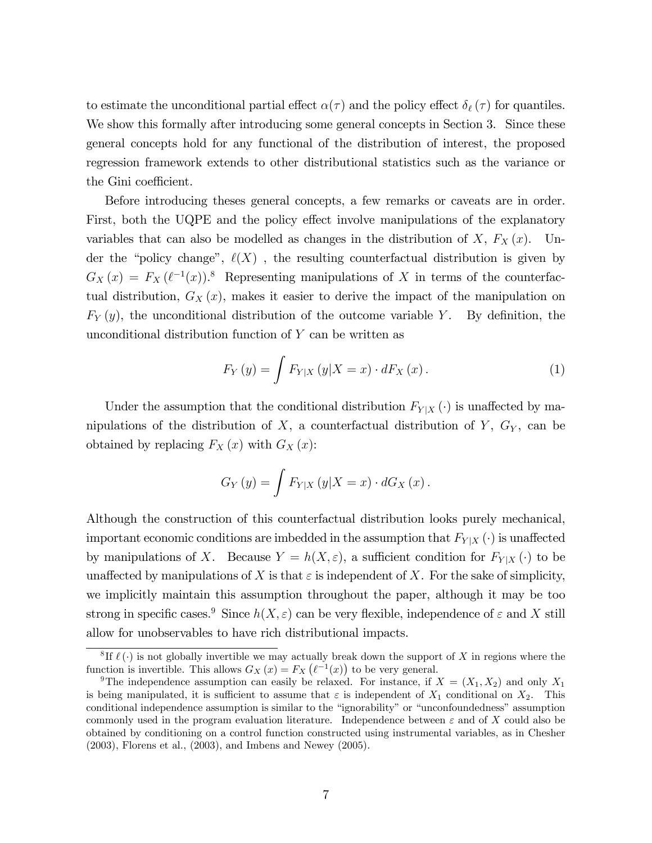to estimate the unconditional partial effect  $\alpha(\tau)$  and the policy effect  $\delta_{\ell}(\tau)$  for quantiles. We show this formally after introducing some general concepts in Section 3. Since these general concepts hold for any functional of the distribution of interest, the proposed regression framework extends to other distributional statistics such as the variance or the Gini coefficient.

Before introducing theses general concepts, a few remarks or caveats are in order. First, both the UQPE and the policy effect involve manipulations of the explanatory variables that can also be modelled as changes in the distribution of X,  $F_X(x)$ . Under the "policy change",  $\ell(X)$ , the resulting counterfactual distribution is given by  $G_X(x) = F_X(\ell^{-1}(x))$ .<sup>8</sup> Representing manipulations of X in terms of the counterfactual distribution,  $G_X(x)$ , makes it easier to derive the impact of the manipulation on  $F_Y(y)$ , the unconditional distribution of the outcome variable Y. By definition, the unconditional distribution function of Y can be written as

$$
F_Y(y) = \int F_{Y|X}(y|X=x) \cdot dF_X(x). \tag{1}
$$

Under the assumption that the conditional distribution  $F_{Y|X}(\cdot)$  is unaffected by manipulations of the distribution of X, a counterfactual distribution of  $Y$ ,  $G_Y$ , can be obtained by replacing  $F_X(x)$  with  $G_X(x)$ :

$$
G_Y(y) = \int F_{Y|X}(y|X = x) \cdot dG_X(x).
$$

Although the construction of this counterfactual distribution looks purely mechanical, important economic conditions are imbedded in the assumption that  $F_{Y|X}(\cdot)$  is unaffected by manipulations of X. Because  $Y = h(X, \varepsilon)$ , a sufficient condition for  $F_{Y|X}(\cdot)$  to be unaffected by manipulations of X is that  $\varepsilon$  is independent of X. For the sake of simplicity, we implicitly maintain this assumption throughout the paper, although it may be too strong in specific cases.<sup>9</sup> Since  $h(X, \varepsilon)$  can be very flexible, independence of  $\varepsilon$  and X still allow for unobservables to have rich distributional impacts.

<sup>&</sup>lt;sup>8</sup>If  $\ell$  (.) is not globally invertible we may actually break down the support of X in regions where the function is invertible. This allows  $G_X(x) = F_X(\ell^{-1}(x))$  to be very general.

<sup>&</sup>lt;sup>9</sup>The independence assumption can easily be relaxed. For instance, if  $X = (X_1, X_2)$  and only  $X_1$ is being manipulated, it is sufficient to assume that  $\varepsilon$  is independent of  $X_1$  conditional on  $X_2$ . This conditional independence assumption is similar to the "ignorability" or "unconfoundedness" assumption commonly used in the program evaluation literature. Independence between  $\varepsilon$  and of X could also be obtained by conditioning on a control function constructed using instrumental variables, as in Chesher (2003), Florens et al., (2003), and Imbens and Newey (2005).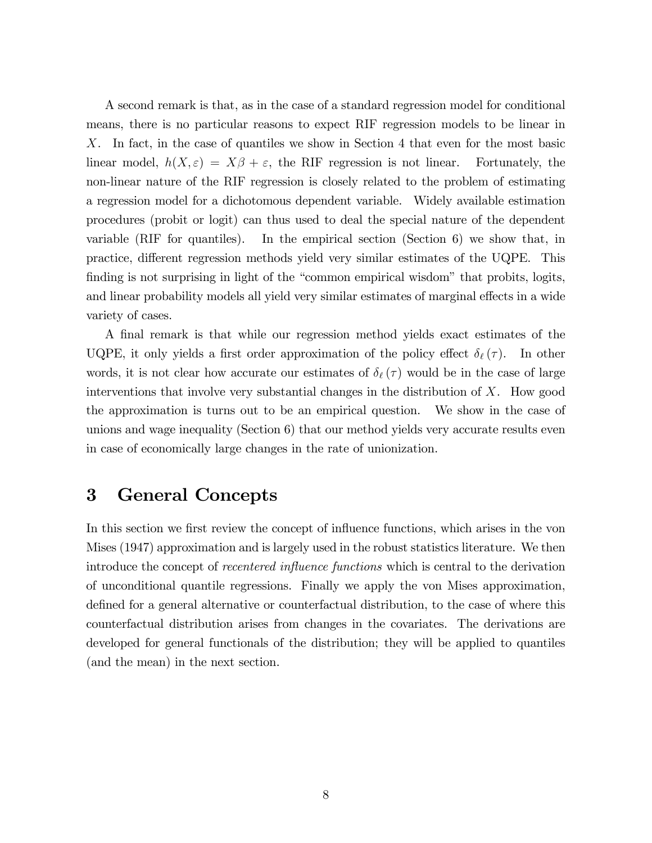A second remark is that, as in the case of a standard regression model for conditional means, there is no particular reasons to expect RIF regression models to be linear in X. In fact, in the case of quantiles we show in Section 4 that even for the most basic linear model,  $h(X, \varepsilon) = X\beta + \varepsilon$ , the RIF regression is not linear. Fortunately, the non-linear nature of the RIF regression is closely related to the problem of estimating a regression model for a dichotomous dependent variable. Widely available estimation procedures (probit or logit) can thus used to deal the special nature of the dependent variable (RIF for quantiles). In the empirical section (Section 6) we show that, in practice, different regression methods yield very similar estimates of the UQPE. This finding is not surprising in light of the "common empirical wisdom" that probits, logits, and linear probability models all yield very similar estimates of marginal effects in a wide variety of cases.

A Önal remark is that while our regression method yields exact estimates of the UQPE, it only yields a first order approximation of the policy effect  $\delta_{\ell}(\tau)$ . In other words, it is not clear how accurate our estimates of  $\delta_{\ell}(\tau)$  would be in the case of large interventions that involve very substantial changes in the distribution of  $X$ . How good the approximation is turns out to be an empirical question. We show in the case of unions and wage inequality (Section 6) that our method yields very accurate results even in case of economically large changes in the rate of unionization.

## 3 General Concepts

In this section we first review the concept of influence functions, which arises in the von Mises (1947) approximation and is largely used in the robust statistics literature. We then introduce the concept of *recentered influence functions* which is central to the derivation of unconditional quantile regressions. Finally we apply the von Mises approximation, defined for a general alternative or counterfactual distribution, to the case of where this counterfactual distribution arises from changes in the covariates. The derivations are developed for general functionals of the distribution; they will be applied to quantiles (and the mean) in the next section.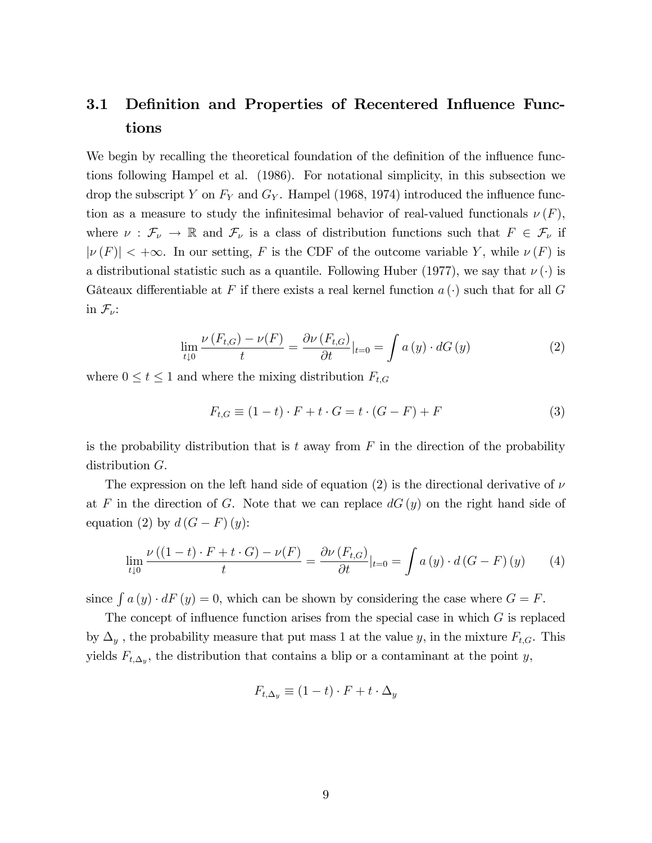## 3.1 Definition and Properties of Recentered Influence Functions

We begin by recalling the theoretical foundation of the definition of the influence functions following Hampel et al. (1986). For notational simplicity, in this subsection we drop the subscript Y on  $F_Y$  and  $G_Y$ . Hampel (1968, 1974) introduced the influence function as a measure to study the infinitesimal behavior of real-valued functionals  $\nu(F)$ , where  $\nu : \mathcal{F}_{\nu} \to \mathbb{R}$  and  $\mathcal{F}_{\nu}$  is a class of distribution functions such that  $F \in \mathcal{F}_{\nu}$  if  $|\nu(F)| < +\infty$ . In our setting, F is the CDF of the outcome variable Y, while  $\nu(F)$  is a distributional statistic such as a quantile. Following Huber (1977), we say that  $\nu(\cdot)$  is Gâteaux differentiable at F if there exists a real kernel function  $a(\cdot)$  such that for all G in  $\mathcal{F}_{\nu}$ :

$$
\lim_{t\downarrow 0} \frac{\nu(F_{t,G}) - \nu(F)}{t} = \frac{\partial \nu(F_{t,G})}{\partial t}|_{t=0} = \int a(y) \cdot dG(y) \tag{2}
$$

where  $0 \le t \le 1$  and where the mixing distribution  $F_{t,G}$ 

$$
F_{t,G} \equiv (1-t) \cdot F + t \cdot G = t \cdot (G - F) + F \tag{3}
$$

is the probability distribution that is t away from  $F$  in the direction of the probability distribution G.

The expression on the left hand side of equation (2) is the directional derivative of  $\nu$ at F in the direction of G. Note that we can replace  $dG(y)$  on the right hand side of equation (2) by  $d(G - F)(y)$ :

$$
\lim_{t \downarrow 0} \frac{\nu((1-t) \cdot F + t \cdot G) - \nu(F)}{t} = \frac{\partial \nu(F_{t,G})}{\partial t}|_{t=0} = \int a(y) \cdot d(G - F)(y) \tag{4}
$$

since  $\int a(y) \cdot dF(y) = 0$ , which can be shown by considering the case where  $G = F$ .

The concept of influence function arises from the special case in which  $G$  is replaced by  $\Delta_y$ , the probability measure that put mass 1 at the value y, in the mixture  $F_{t,G}$ . This yields  $F_{t,\Delta_y}$ , the distribution that contains a blip or a contaminant at the point y,

$$
F_{t,\Delta_y} \equiv (1-t) \cdot F + t \cdot \Delta_y
$$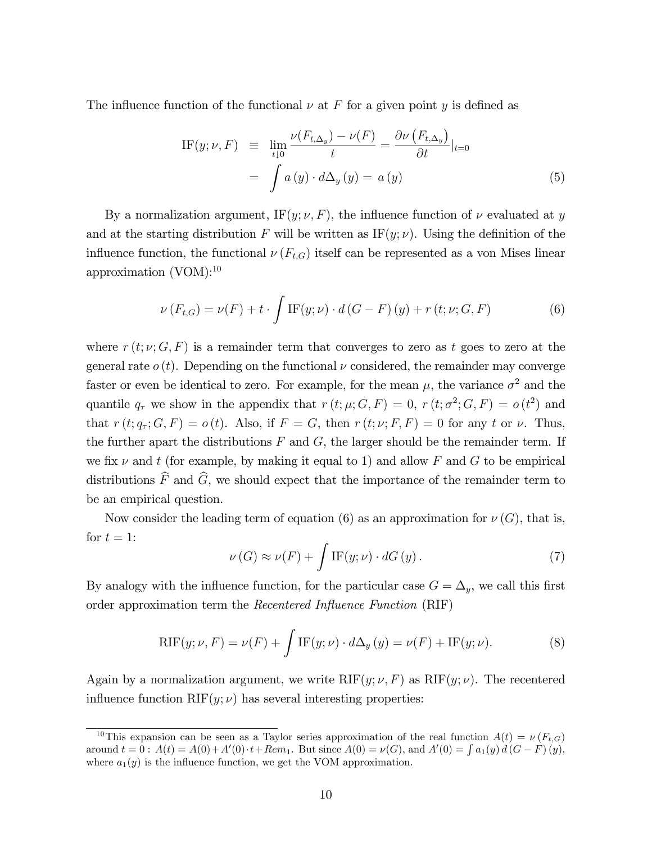The influence function of the functional  $\nu$  at F for a given point y is defined as

IF
$$
(y; \nu, F)
$$
  $\equiv \lim_{t \downarrow 0} \frac{\nu(F_{t, \Delta_y}) - \nu(F)}{t} = \frac{\partial \nu(F_{t, \Delta_y})}{\partial t}|_{t=0}$   

$$
= \int a(y) \cdot d\Delta_y(y) = a(y) \tag{5}
$$

By a normalization argument, IF(y;  $\nu$ , F), the influence function of  $\nu$  evaluated at y and at the starting distribution F will be written as  $IF(y; \nu)$ . Using the definition of the influence function, the functional  $\nu(F_{t,G})$  itself can be represented as a von Mises linear approximation  $(VOM):^{10}$ 

$$
\nu(F_{t,G}) = \nu(F) + t \cdot \int \text{IF}(y;\nu) \cdot d(G - F)(y) + r(t;\nu;G,F) \tag{6}
$$

where  $r(t; \nu; G, F)$  is a remainder term that converges to zero as t goes to zero at the general rate  $o(t)$ . Depending on the functional  $\nu$  considered, the remainder may converge faster or even be identical to zero. For example, for the mean  $\mu$ , the variance  $\sigma^2$  and the quantile  $q_{\tau}$  we show in the appendix that  $r(t; \mu; G, F) = 0$ ,  $r(t; \sigma^2; G, F) = o(t^2)$  and that  $r(t; q_\tau; G, F) = o(t)$ . Also, if  $F = G$ , then  $r(t; \nu; F, F) = 0$  for any t or  $\nu$ . Thus, the further apart the distributions  $F$  and  $G$ , the larger should be the remainder term. If we fix  $\nu$  and t (for example, by making it equal to 1) and allow F and G to be empirical distributions  $\widehat{F}$  and  $\widehat{G}$ , we should expect that the importance of the remainder term to be an empirical question.

Now consider the leading term of equation (6) as an approximation for  $\nu(G)$ , that is, for  $t = 1$ :

$$
\nu(G) \approx \nu(F) + \int \text{IF}(y; \nu) \cdot dG(y). \tag{7}
$$

By analogy with the influence function, for the particular case  $G = \Delta_u$ , we call this first order approximation term the Recentered Influence Function (RIF)

$$
RIF(y; \nu, F) = \nu(F) + \int IF(y; \nu) \cdot d\Delta_y(y) = \nu(F) + IF(y; \nu).
$$
 (8)

Again by a normalization argument, we write  $RIF(y; \nu, F)$  as  $RIF(y; \nu)$ . The recentered influence function  $RIF(y; \nu)$  has several interesting properties:

<sup>&</sup>lt;sup>10</sup>This expansion can be seen as a Taylor series approximation of the real function  $A(t) = \nu(F_{t,G})$ around  $t = 0$ :  $A(t) = A(0) + A'(0) \cdot t + Rem_1$ . But since  $A(0) = \nu(G)$ , and  $A'(0) = \int a_1(y) d(G - F)(y)$ , where  $a_1(y)$  is the influence function, we get the VOM approximation.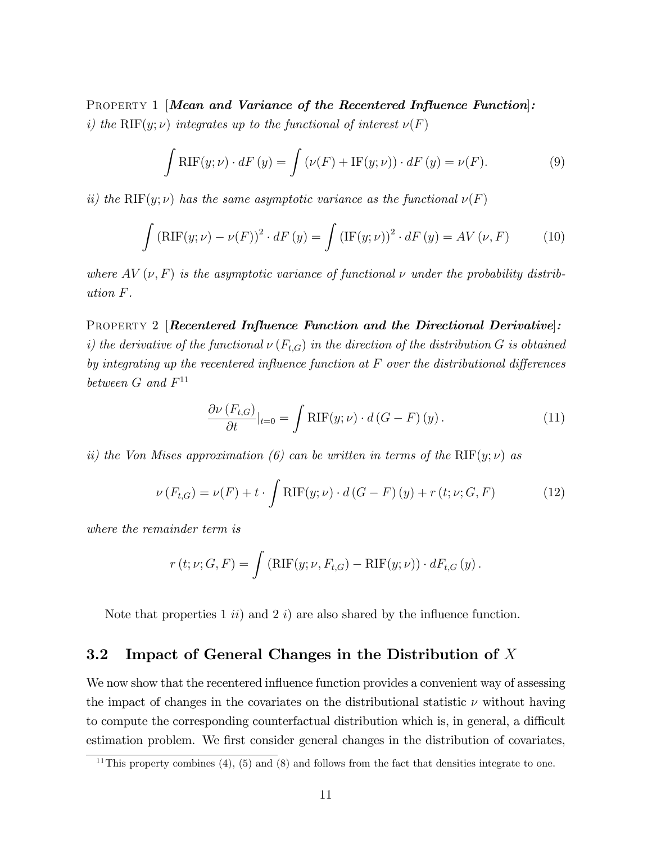PROPERTY 1 [Mean and Variance of the Recentered Influence Function]: i) the RIF(y;  $\nu$ ) integrates up to the functional of interest  $\nu(F)$ 

$$
\int RIF(y; \nu) \cdot dF(y) = \int (\nu(F) + IF(y; \nu)) \cdot dF(y) = \nu(F). \tag{9}
$$

ii) the RIF(y;  $\nu$ ) has the same asymptotic variance as the functional  $\nu(F)$ 

$$
\int \left(\mathrm{RIF}(y;\nu) - \nu(F)\right)^2 \cdot dF\left(y\right) = \int \left(\mathrm{IF}(y;\nu)\right)^2 \cdot dF\left(y\right) = AV\left(\nu, F\right) \tag{10}
$$

where  $AV(\nu, F)$  is the asymptotic variance of functional  $\nu$  under the probability distribution F.

PROPERTY 2 [Recentered Influence Function and the Directional Derivative]: i) the derivative of the functional  $\nu(F_{t,G})$  in the direction of the distribution G is obtained by integrating up the recentered influence function at  $F$  over the distributional differences between  $G$  and  $F^{11}$ 

$$
\frac{\partial \nu(F_{t,G})}{\partial t}|_{t=0} = \int \mathrm{RIF}(y;\nu) \cdot d(G - F)(y). \tag{11}
$$

ii) the Von Mises approximation (6) can be written in terms of the RIF(y;  $\nu$ ) as

$$
\nu(F_{t,G}) = \nu(F) + t \cdot \int \text{RIF}(y;\nu) \cdot d(G - F)(y) + r(t;\nu;G,F) \tag{12}
$$

where the remainder term is

$$
r(t; \nu; G, F) = \int (\mathrm{RIF}(y; \nu, F_{t,G}) - \mathrm{RIF}(y; \nu)) \cdot dF_{t,G}(y).
$$

Note that properties 1  $ii)$  and 2 i) are also shared by the influence function.

### 3.2 Impact of General Changes in the Distribution of X

We now show that the recentered influence function provides a convenient way of assessing the impact of changes in the covariates on the distributional statistic  $\nu$  without having to compute the corresponding counterfactual distribution which is, in general, a difficult estimation problem. We first consider general changes in the distribution of covariates,

<sup>&</sup>lt;sup>11</sup>This property combines (4), (5) and (8) and follows from the fact that densities integrate to one.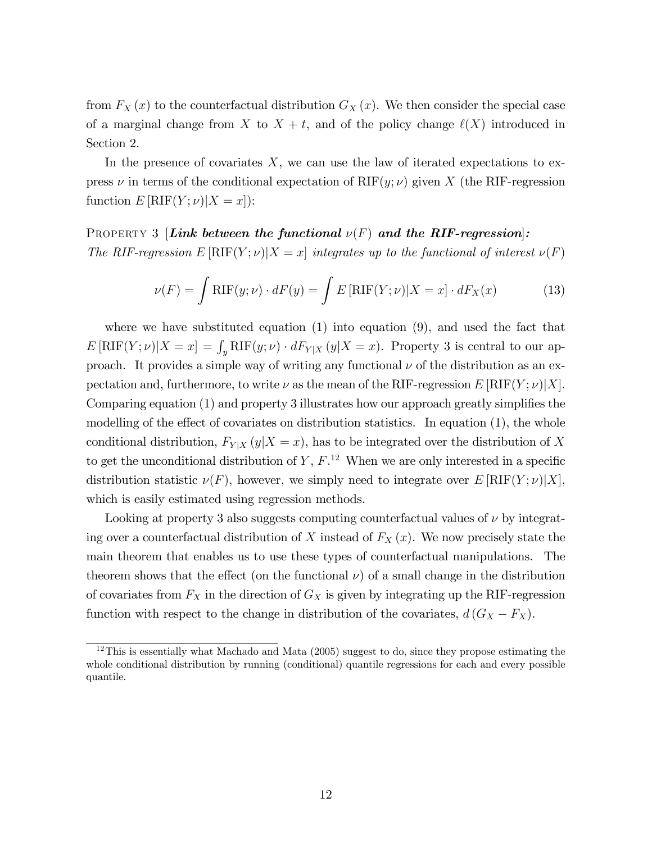from  $F_X(x)$  to the counterfactual distribution  $G_X(x)$ . We then consider the special case of a marginal change from X to  $X + t$ , and of the policy change  $\ell(X)$  introduced in Section 2.

In the presence of covariates  $X$ , we can use the law of iterated expectations to express  $\nu$  in terms of the conditional expectation of RIF(y;  $\nu$ ) given X (the RIF-regression function  $E[RIF(Y; \nu)|X = x]$ :

## PROPERTY 3 [Link between the functional  $\nu(F)$  and the RIF-regression]: The RIF-regression  $E[\text{RIF}(Y; \nu)|X = x]$  integrates up to the functional of interest  $\nu(F)$

$$
\nu(F) = \int \text{RIF}(y; \nu) \cdot dF(y) = \int E[\text{RIF}(Y; \nu)|X = x] \cdot dF_X(x) \tag{13}
$$

where we have substituted equation  $(1)$  into equation  $(9)$ , and used the fact that  $E[\text{RIF}(Y; \nu)|X = x] = \int_y \text{RIF}(y; \nu) \cdot dF_{Y|X}(y|X = x)$ . Property 3 is central to our approach. It provides a simple way of writing any functional  $\nu$  of the distribution as an expectation and, furthermore, to write  $\nu$  as the mean of the RIF-regression E [RIF(Y;  $\nu$ )]X]. Comparing equation  $(1)$  and property 3 illustrates how our approach greatly simplifies the modelling of the effect of covariates on distribution statistics. In equation  $(1)$ , the whole conditional distribution,  $F_{Y|X}(y|X=x)$ , has to be integrated over the distribution of X to get the unconditional distribution of  $Y, F$ .<sup>12</sup> When we are only interested in a specific distribution statistic  $\nu(F)$ , however, we simply need to integrate over  $E[\text{RIF}(Y; \nu)|X]$ , which is easily estimated using regression methods.

Looking at property 3 also suggests computing counterfactual values of  $\nu$  by integrating over a counterfactual distribution of X instead of  $F_X(x)$ . We now precisely state the main theorem that enables us to use these types of counterfactual manipulations. The theorem shows that the effect (on the functional  $\nu$ ) of a small change in the distribution of covariates from  $F_X$  in the direction of  $G_X$  is given by integrating up the RIF-regression function with respect to the change in distribution of the covariates,  $d(G_X - F_X)$ .

 $12$ This is essentially what Machado and Mata (2005) suggest to do, since they propose estimating the whole conditional distribution by running (conditional) quantile regressions for each and every possible quantile.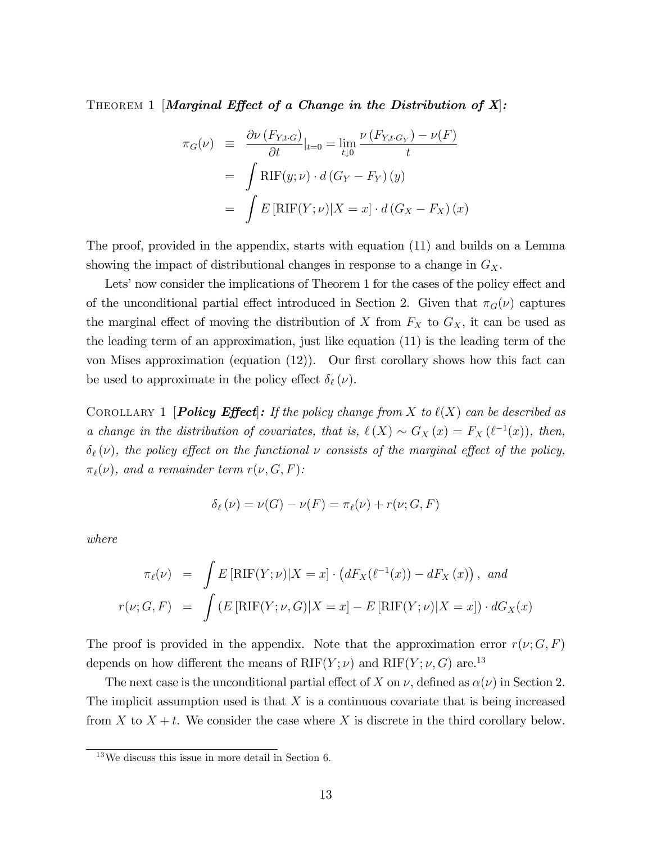THEOREM 1 [Marginal Effect of a Change in the Distribution of  $X$ ]:

$$
\pi_G(\nu) \equiv \frac{\partial \nu(F_{Y,t \cdot G})}{\partial t}|_{t=0} = \lim_{t \downarrow 0} \frac{\nu(F_{Y,t \cdot G_Y}) - \nu(F)}{t}
$$

$$
= \int \text{RIF}(y; \nu) \cdot d(G_Y - F_Y)(y)
$$

$$
= \int E[\text{RIF}(Y; \nu)|X = x] \cdot d(G_X - F_X)(x)
$$

The proof, provided in the appendix, starts with equation (11) and builds on a Lemma showing the impact of distributional changes in response to a change in  $G_X$ .

Lets' now consider the implications of Theorem 1 for the cases of the policy effect and of the unconditional partial effect introduced in Section 2. Given that  $\pi_G(\nu)$  captures the marginal effect of moving the distribution of X from  $F_X$  to  $G_X$ , it can be used as the leading term of an approximation, just like equation (11) is the leading term of the von Mises approximation (equation  $(12)$ ). Our first corollary shows how this fact can be used to approximate in the policy effect  $\delta_{\ell} (\nu)$ .

COROLLARY 1 **Policy Effect**: If the policy change from X to  $\ell(X)$  can be described as a change in the distribution of covariates, that is,  $\ell(X) \sim G_X(x) = F_X(\ell^{-1}(x))$ , then,  $\delta_{\ell}(\nu)$ , the policy effect on the functional  $\nu$  consists of the marginal effect of the policy,  $\pi_{\ell}(\nu)$ , and a remainder term  $r(\nu, G, F)$ :

$$
\delta_{\ell}(\nu) = \nu(G) - \nu(F) = \pi_{\ell}(\nu) + r(\nu; G, F)
$$

where

$$
\pi_{\ell}(\nu) = \int E\left[\mathrm{RIF}(Y;\nu)|X=x\right] \cdot \left(dF_X(\ell^{-1}(x)) - dF_X(x)\right), \text{ and}
$$

$$
r(\nu; G, F) = \int \left(E\left[\mathrm{RIF}(Y;\nu, G)|X=x\right] - E\left[\mathrm{RIF}(Y;\nu)|X=x\right]\right) \cdot dG_X(x)
$$

The proof is provided in the appendix. Note that the approximation error  $r(\nu; G, F)$ depends on how different the means of  $RIF(Y; \nu)$  and  $RIF(Y; \nu, G)$  are.<sup>13</sup>

The next case is the unconditional partial effect of X on  $\nu$ , defined as  $\alpha(\nu)$  in Section 2. The implicit assumption used is that  $X$  is a continuous covariate that is being increased from X to  $X + t$ . We consider the case where X is discrete in the third corollary below.

 $13$ We discuss this issue in more detail in Section 6.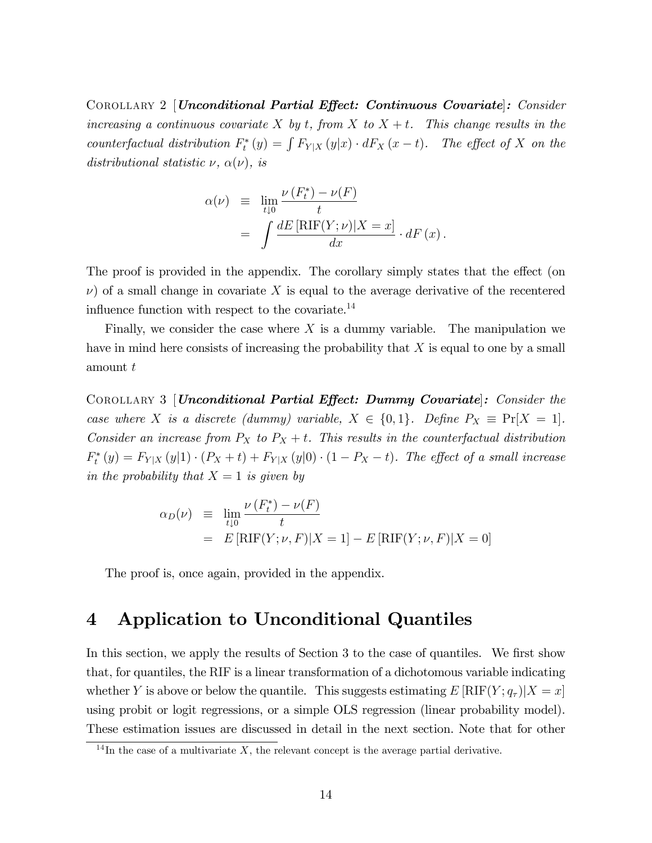COROLLARY 2 [Unconditional Partial Effect: Continuous Covariate]: Consider increasing a continuous covariate X by t, from X to  $X + t$ . This change results in the counterfactual distribution  $F_t^*(y) = \int F_{Y|X}(y|x) \cdot dF_X(x-t)$ . The effect of X on the distributional statistic  $\nu$ ,  $\alpha(\nu)$ , is

$$
\alpha(\nu) \equiv \lim_{t \downarrow 0} \frac{\nu(F_t^*) - \nu(F)}{t}
$$

$$
= \int \frac{dE \left[ RIF(Y; \nu) | X = x \right]}{dx} \cdot dF(x).
$$

The proof is provided in the appendix. The corollary simply states that the effect (on  $\nu$ ) of a small change in covariate X is equal to the average derivative of the recentered influence function with respect to the covariate. $^{14}$ 

Finally, we consider the case where  $X$  is a dummy variable. The manipulation we have in mind here consists of increasing the probability that  $X$  is equal to one by a small amount t

COROLLARY 3 [*Unconditional Partial Effect: Dummy Covariate*]: Consider the case where X is a discrete (dummy) variable,  $X \in \{0,1\}$ . Define  $P_X \equiv \Pr[X = 1]$ . Consider an increase from  $P_X$  to  $P_X + t$ . This results in the counterfactual distribution  $F_t^*(y) = F_{Y|X}(y|1) \cdot (P_X + t) + F_{Y|X}(y|0) \cdot (1 - P_X - t)$ . The effect of a small increase in the probability that  $X = 1$  is given by

$$
\alpha_D(\nu) \equiv \lim_{t \downarrow 0} \frac{\nu(F_t^*) - \nu(F)}{t}
$$
  
=  $E[\text{RIF}(Y; \nu, F)|X = 1] - E[\text{RIF}(Y; \nu, F)|X = 0]$ 

The proof is, once again, provided in the appendix.

## 4 Application to Unconditional Quantiles

In this section, we apply the results of Section 3 to the case of quantiles. We first show that, for quantiles, the RIF is a linear transformation of a dichotomous variable indicating whether Y is above or below the quantile. This suggests estimating  $E\left[\text{RIF}(Y; q_{\tau}) | X = x\right]$ using probit or logit regressions, or a simple OLS regression (linear probability model). These estimation issues are discussed in detail in the next section. Note that for other

 $14$ In the case of a multivariate X, the relevant concept is the average partial derivative.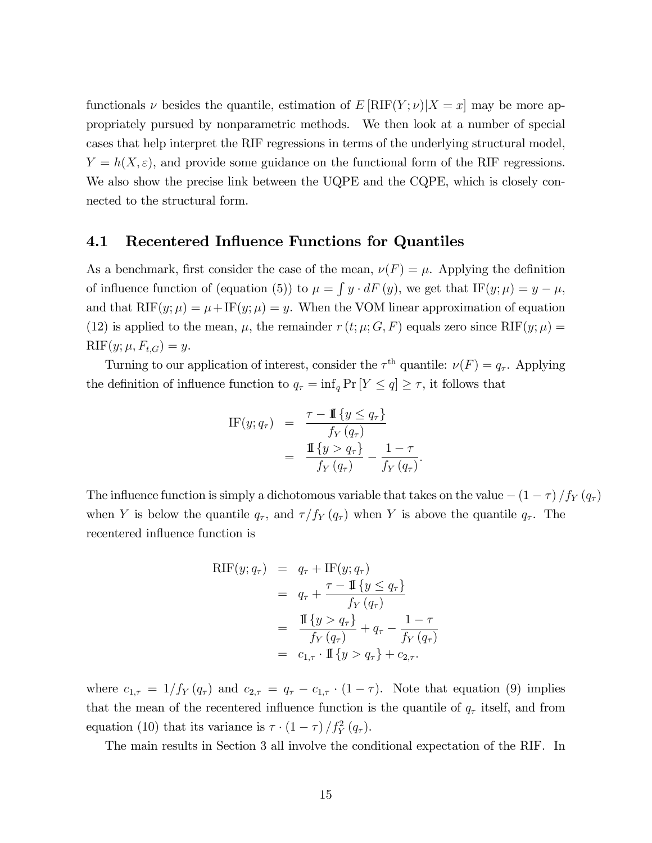functionals  $\nu$  besides the quantile, estimation of  $E[RIF(Y; \nu)|X = x]$  may be more appropriately pursued by nonparametric methods. We then look at a number of special cases that help interpret the RIF regressions in terms of the underlying structural model,  $Y = h(X, \varepsilon)$ , and provide some guidance on the functional form of the RIF regressions. We also show the precise link between the UQPE and the CQPE, which is closely connected to the structural form.

### 4.1 Recentered Influence Functions for Quantiles

As a benchmark, first consider the case of the mean,  $\nu(F) = \mu$ . Applying the definition of influence function of (equation (5)) to  $\mu = \int y \cdot dF(y)$ , we get that IF(y;  $\mu$ ) = y -  $\mu$ , and that  $RIF(y; \mu) = \mu + IF(y; \mu) = y$ . When the VOM linear approximation of equation (12) is applied to the mean,  $\mu$ , the remainder  $r(t; \mu; G, F)$  equals zero since RIF(y;  $\mu$ ) =  $RIF(y; \mu, F_{t,G}) = y.$ 

Turning to our application of interest, consider the  $\tau^{\text{th}}$  quantile:  $\nu(F) = q_{\tau}$ . Applying the definition of influence function to  $q_{\tau} = \inf_q \Pr[Y \leq q] \geq \tau$ , it follows that

IF
$$
(y; q_\tau)
$$
 = 
$$
\frac{\tau - \mathbb{I}\{y \leq q_\tau\}}{f_Y(q_\tau)}
$$

$$
= \frac{\mathbb{I}\{y > q_\tau\}}{f_Y(q_\tau)} - \frac{1 - \tau}{f_Y(q_\tau)}.
$$

The influence function is simply a dichotomous variable that takes on the value  $-(1 - \tau)/f_Y(q_\tau)$ when Y is below the quantile  $q_{\tau}$ , and  $\tau/f_Y (q_{\tau})$  when Y is above the quantile  $q_{\tau}$ . The recentered influence function is

$$
RIF(y; q_{\tau}) = q_{\tau} + IF(y; q_{\tau})
$$
  
=  $q_{\tau} + \frac{\tau - \mathbb{I} \{ y \le q_{\tau} \}}{f_Y(q_{\tau})}$   
=  $\frac{\mathbb{I} \{ y > q_{\tau} \}}{f_Y(q_{\tau})} + q_{\tau} - \frac{1 - \tau}{f_Y(q_{\tau})}$   
=  $c_{1,\tau} \cdot \mathbb{I} \{ y > q_{\tau} \} + c_{2,\tau}.$ 

where  $c_{1,\tau} = 1/f_Y(q_\tau)$  and  $c_{2,\tau} = q_\tau - c_{1,\tau} \cdot (1 - \tau)$ . Note that equation (9) implies that the mean of the recentered influence function is the quantile of  $q<sub>\tau</sub>$  itself, and from equation (10) that its variance is  $\tau \cdot (1 - \tau) / f_Y^2(q_\tau)$ .

The main results in Section 3 all involve the conditional expectation of the RIF. In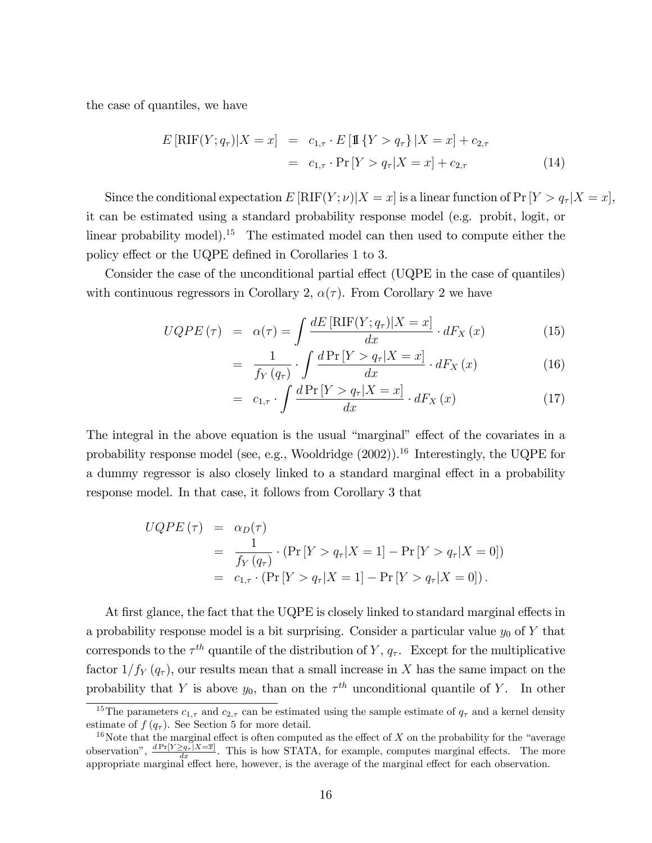the case of quantiles, we have

$$
E\left[\text{RIF}(Y; q_{\tau})|X = x\right] = c_{1,\tau} \cdot E\left[\mathbb{I}\left\{Y > q_{\tau}\right\}|X = x\right] + c_{2,\tau}
$$

$$
= c_{1,\tau} \cdot \Pr\left[Y > q_{\tau}|X = x\right] + c_{2,\tau} \tag{14}
$$

Since the conditional expectation  $E[RIF(Y; \nu)|X = x]$  is a linear function of Pr  $[Y > q<sub>\tau</sub>|X = x]$ , it can be estimated using a standard probability response model (e.g. probit, logit, or linear probability model).<sup>15</sup> The estimated model can then used to compute either the policy effect or the UQPE defined in Corollaries 1 to 3.

Consider the case of the unconditional partial effect (UQPE in the case of quantiles) with continuous regressors in Corollary 2,  $\alpha(\tau)$ . From Corollary 2 we have

$$
UQPE(\tau) = \alpha(\tau) = \int \frac{dE\left[\text{RIF}(Y; q_{\tau})|X=x\right]}{dx} \cdot dF_X(x) \tag{15}
$$

$$
= \frac{1}{f_{Y}\left(q_{\tau}\right)} \cdot \int \frac{d \Pr\left[Y > q_{\tau} | X = x\right]}{dx} \cdot dF_{X}\left(x\right) \tag{16}
$$

$$
= c_{1,\tau} \cdot \int \frac{d \Pr\left[Y > q_{\tau} | X = x\right]}{dx} \cdot dF_X\left(x\right) \tag{17}
$$

The integral in the above equation is the usual "marginal" effect of the covariates in a probability response model (see, e.g., Wooldridge  $(2002)$ ).<sup>16</sup> Interestingly, the UQPE for a dummy regressor is also closely linked to a standard marginal effect in a probability response model. In that case, it follows from Corollary 3 that

$$
UQPE(\tau) = \alpha_D(\tau)
$$
  
=  $\frac{1}{f_Y(q_\tau)} \cdot (\Pr[Y > q_\tau | X = 1] - \Pr[Y > q_\tau | X = 0])$   
=  $c_{1,\tau} \cdot (\Pr[Y > q_\tau | X = 1] - \Pr[Y > q_\tau | X = 0]).$ 

At first glance, the fact that the UQPE is closely linked to standard marginal effects in a probability response model is a bit surprising. Consider a particular value  $y_0$  of Y that corresponds to the  $\tau^{th}$  quantile of the distribution of Y,  $q_{\tau}$ . Except for the multiplicative factor  $1/f_Y (q_\tau)$ , our results mean that a small increase in X has the same impact on the probability that Y is above  $y_0$ , than on the  $\tau^{th}$  unconditional quantile of Y. In other

<sup>&</sup>lt;sup>15</sup>The parameters  $c_{1,\tau}$  and  $c_{2,\tau}$  can be estimated using the sample estimate of  $q_{\tau}$  and a kernel density estimate of  $f(q_\tau)$ . See Section 5 for more detail.

<sup>&</sup>lt;sup>16</sup>Note that the marginal effect is often computed as the effect of X on the probability for the "average" observation",  $\frac{dPr[Y \geq q_{\tau} | X = \overline{x}]}{dx}$ . This is how STATA, for example, computes marginal effects. The more appropriate marginal effect here, however, is the average of the marginal effect for each observation.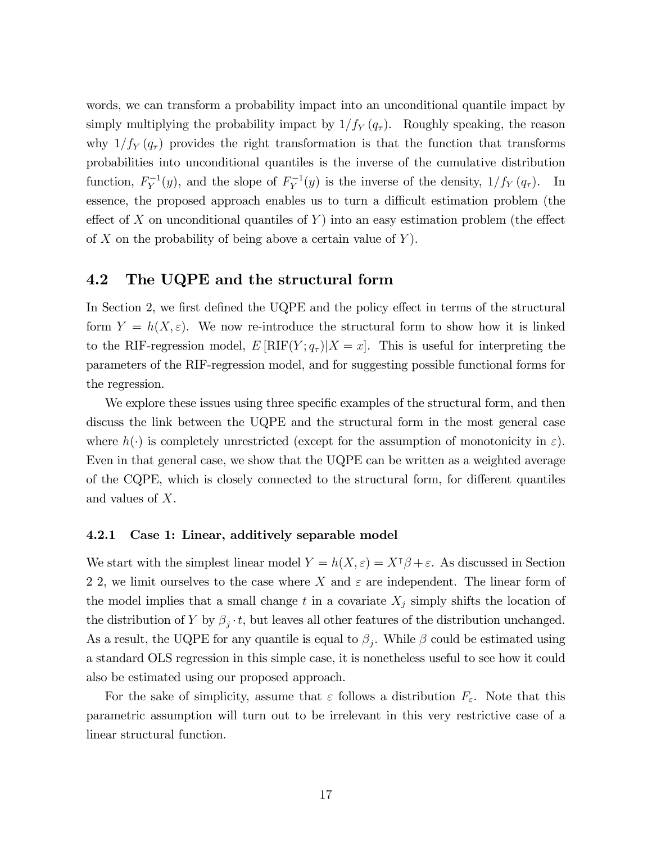words, we can transform a probability impact into an unconditional quantile impact by simply multiplying the probability impact by  $1/f_Y (q_\tau)$ . Roughly speaking, the reason why  $1/f_Y (q_\tau)$  provides the right transformation is that the function that transforms probabilities into unconditional quantiles is the inverse of the cumulative distribution function,  $F_Y^{-1}(y)$ , and the slope of  $F_Y^{-1}(y)$  is the inverse of the density,  $1/f_Y(q_\tau)$ . In essence, the proposed approach enables us to turn a difficult estimation problem (the effect of X on unconditional quantiles of Y into an easy estimation problem (the effect of X on the probability of being above a certain value of  $Y$ ).

### 4.2 The UQPE and the structural form

In Section 2, we first defined the UQPE and the policy effect in terms of the structural form  $Y = h(X, \varepsilon)$ . We now re-introduce the structural form to show how it is linked to the RIF-regression model,  $E[\text{RIF}(Y; q_\tau)|X = x]$ . This is useful for interpreting the parameters of the RIF-regression model, and for suggesting possible functional forms for the regression.

We explore these issues using three specific examples of the structural form, and then discuss the link between the UQPE and the structural form in the most general case where  $h(\cdot)$  is completely unrestricted (except for the assumption of monotonicity in  $\varepsilon$ ). Even in that general case, we show that the UQPE can be written as a weighted average of the CQPE, which is closely connected to the structural form, for different quantiles and values of X.

#### 4.2.1 Case 1: Linear, additively separable model

We start with the simplest linear model  $Y = h(X, \varepsilon) = X^{\intercal}\beta + \varepsilon$ . As discussed in Section 2 2, we limit ourselves to the case where X and  $\varepsilon$  are independent. The linear form of the model implies that a small change t in a covariate  $X_j$  simply shifts the location of the distribution of Y by  $\beta_j \cdot t$ , but leaves all other features of the distribution unchanged. As a result, the UQPE for any quantile is equal to  $\beta_j$ . While  $\beta$  could be estimated using a standard OLS regression in this simple case, it is nonetheless useful to see how it could also be estimated using our proposed approach.

For the sake of simplicity, assume that  $\varepsilon$  follows a distribution  $F_{\varepsilon}$ . Note that this parametric assumption will turn out to be irrelevant in this very restrictive case of a linear structural function.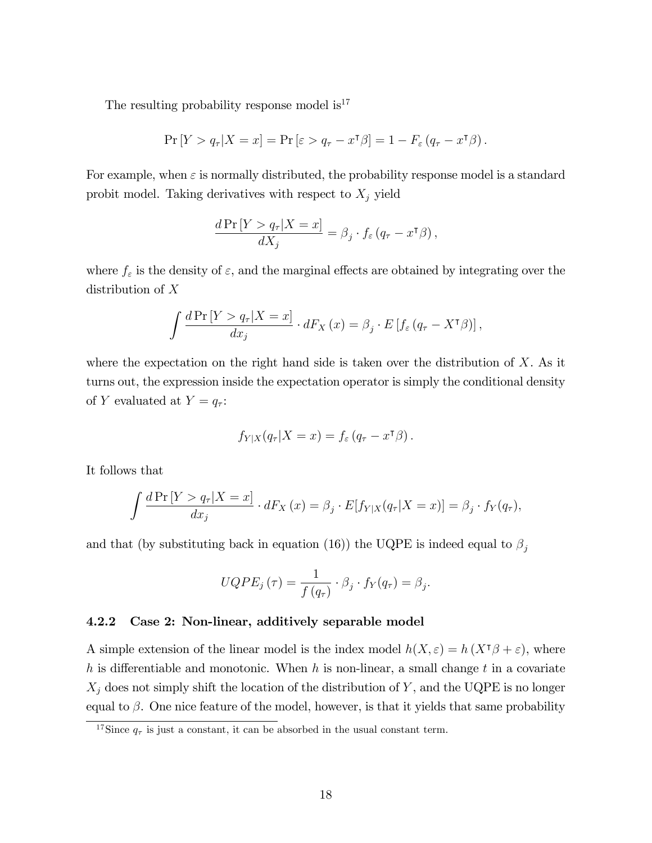The resulting probability response model  $is^{17}$ 

$$
\Pr[Y > q_{\tau} | X = x] = \Pr[\varepsilon > q_{\tau} - x^{\tau} \beta] = 1 - F_{\varepsilon} (q_{\tau} - x^{\tau} \beta).
$$

For example, when  $\varepsilon$  is normally distributed, the probability response model is a standard probit model. Taking derivatives with respect to  $X_j$  yield

$$
\frac{d \Pr \left[ Y > q_{\tau} | X = x \right]}{d X_j} = \beta_j \cdot f_{\varepsilon} \left( q_{\tau} - x^{\intercal} \beta \right),
$$

where  $f_{\varepsilon}$  is the density of  $\varepsilon$ , and the marginal effects are obtained by integrating over the distribution of X

$$
\int \frac{d\Pr\left[Y > q_{\tau} | X = x\right]}{dx_j} \cdot dF_X\left(x\right) = \beta_j \cdot E\left[f_{\varepsilon} \left(q_{\tau} - X^{\mathsf{T}} \beta\right)\right],
$$

where the expectation on the right hand side is taken over the distribution of  $X$ . As it turns out, the expression inside the expectation operator is simply the conditional density of Y evaluated at  $Y = q_{\tau}$ :

$$
f_{Y|X}(q_{\tau}|X=x) = f_{\varepsilon}(q_{\tau}-x^{\tau}\beta).
$$

It follows that

$$
\int \frac{d\Pr\left[Y>q_{\tau}|X=x\right]}{dx_j} \cdot dF_X\left(x\right) = \beta_j \cdot E[f_{Y|X}(q_{\tau}|X=x)] = \beta_j \cdot f_Y(q_{\tau}),
$$

and that (by substituting back in equation (16)) the UQPE is indeed equal to  $\beta_j$ 

$$
UQPE_j(\tau) = \frac{1}{f(q_\tau)} \cdot \beta_j \cdot f_Y(q_\tau) = \beta_j.
$$

### 4.2.2 Case 2: Non-linear, additively separable model

A simple extension of the linear model is the index model  $h(X, \varepsilon) = h(X^{\dagger}\beta + \varepsilon)$ , where h is differentiable and monotonic. When h is non-linear, a small change t in a covariate  $X_j$  does not simply shift the location of the distribution of Y, and the UQPE is no longer equal to  $\beta$ . One nice feature of the model, however, is that it yields that same probability

<sup>&</sup>lt;sup>17</sup>Since  $q_{\tau}$  is just a constant, it can be absorbed in the usual constant term.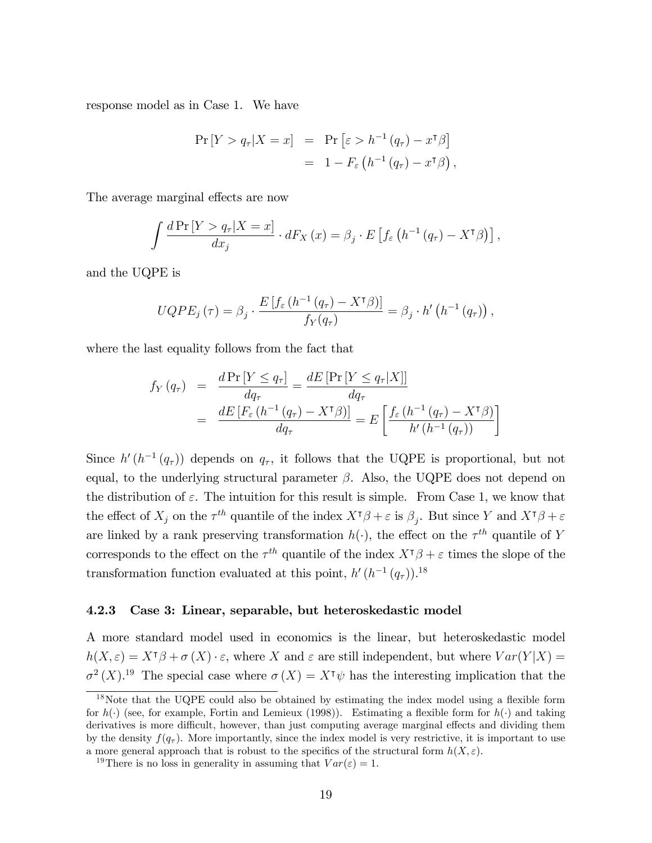response model as in Case 1. We have

$$
\Pr[Y > q_{\tau} | X = x] = \Pr\left[\varepsilon > h^{-1}(q_{\tau}) - x^{\tau}\beta\right]
$$

$$
= 1 - F_{\varepsilon}\left(h^{-1}(q_{\tau}) - x^{\tau}\beta\right),
$$

The average marginal effects are now

$$
\int \frac{d\Pr\left[Y>q_{\tau}|X=x\right]}{dx_j} \cdot dF_X\left(x\right) = \beta_j \cdot E\left[f_{\varepsilon}\left(h^{-1}\left(q_{\tau}\right)-X^{\intercal}\beta\right)\right],
$$

and the UQPE is

$$
UQPE_j(\tau) = \beta_j \cdot \frac{E\left[f_{\varepsilon}\left(h^{-1}\left(q_{\tau}\right) - X^{\tau}\beta\right)\right]}{f_Y(q_{\tau})} = \beta_j \cdot h'\left(h^{-1}\left(q_{\tau}\right)\right),
$$

where the last equality follows from the fact that

$$
f_Y(q_\tau) = \frac{d \Pr[Y \le q_\tau]}{dq_\tau} = \frac{d E[\Pr[Y \le q_\tau | X]]}{dq_\tau}
$$
  
= 
$$
\frac{d E[F_{\varepsilon} (h^{-1} (q_\tau) - X^{\tau} \beta)]}{dq_\tau} = E\left[\frac{f_{\varepsilon} (h^{-1} (q_\tau) - X^{\tau} \beta)}{h' (h^{-1} (q_\tau))}\right]
$$

Since  $h'(h^{-1}(q_{\tau}))$  depends on  $q_{\tau}$ , it follows that the UQPE is proportional, but not equal, to the underlying structural parameter  $\beta$ . Also, the UQPE does not depend on the distribution of  $\varepsilon$ . The intuition for this result is simple. From Case 1, we know that the effect of  $X_j$  on the  $\tau^{th}$  quantile of the index  $X^{\dagger}\beta + \varepsilon$  is  $\beta_j$ . But since Y and  $X^{\dagger}\beta + \varepsilon$ are linked by a rank preserving transformation  $h(\cdot)$ , the effect on the  $\tau^{th}$  quantile of Y corresponds to the effect on the  $\tau^{th}$  quantile of the index  $X^{\dagger}\beta + \varepsilon$  times the slope of the transformation function evaluated at this point,  $h'(h^{-1}(q_{\tau}))$ .<sup>18</sup>

#### 4.2.3 Case 3: Linear, separable, but heteroskedastic model

A more standard model used in economics is the linear, but heteroskedastic model  $h(X,\varepsilon) = X^{\intercal}\beta + \sigma(X) \cdot \varepsilon$ , where X and  $\varepsilon$  are still independent, but where  $Var(Y|X) =$  $\sigma^2(X)$ <sup>19</sup>. The special case where  $\sigma(X) = X^{\dagger}\psi$  has the interesting implication that the

 $18$ Note that the UQPE could also be obtained by estimating the index model using a flexible form for  $h(\cdot)$  (see, for example, Fortin and Lemieux (1998)). Estimating a flexible form for  $h(\cdot)$  and taking derivatives is more difficult, however, than just computing average marginal effects and dividing them by the density  $f(q<sub>\tau</sub>)$ . More importantly, since the index model is very restrictive, it is important to use a more general approach that is robust to the specifics of the structural form  $h(X, \varepsilon)$ .

<sup>&</sup>lt;sup>19</sup>There is no loss in generality in assuming that  $Var(\varepsilon) = 1$ .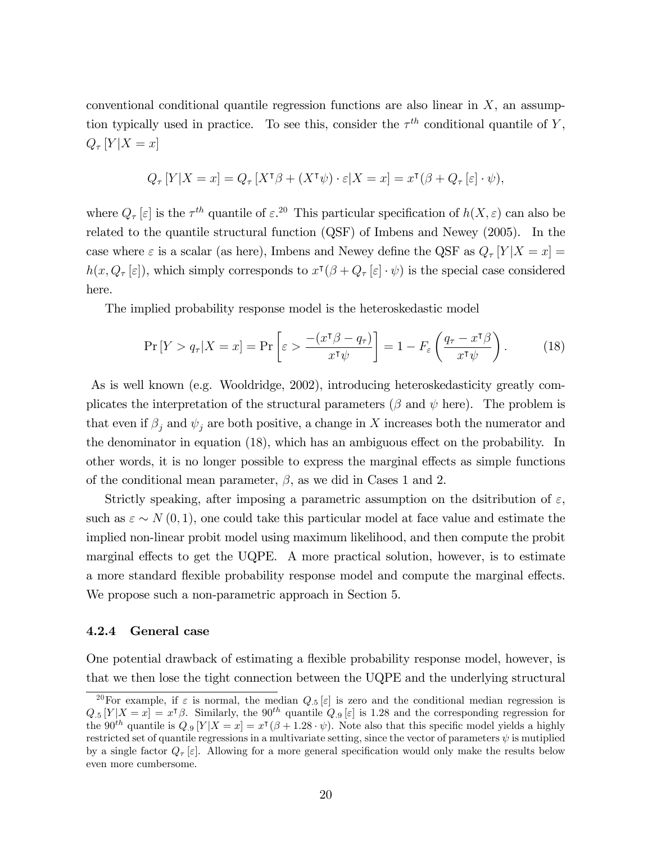conventional conditional quantile regression functions are also linear in  $X$ , an assumption typically used in practice. To see this, consider the  $\tau^{th}$  conditional quantile of Y,  $Q_{\tau}[Y|X=x]$ 

$$
Q_{\tau}[Y|X=x] = Q_{\tau}[X^{\tau}\beta + (X^{\tau}\psi) \cdot \varepsilon |X=x] = x^{\tau}(\beta + Q_{\tau}[\varepsilon] \cdot \psi),
$$

where  $Q_{\tau}[\varepsilon]$  is the  $\tau^{th}$  quantile of  $\varepsilon^{20}$ . This particular specification of  $h(X,\varepsilon)$  can also be related to the quantile structural function (QSF) of Imbens and Newey (2005). In the case where  $\varepsilon$  is a scalar (as here), Imbens and Newey define the QSF as  $Q_{\tau}[Y|X=x] =$  $h(x, Q_{\tau}[\varepsilon])$ , which simply corresponds to  $x^{\tau}(\beta + Q_{\tau}[\varepsilon] \cdot \psi)$  is the special case considered here.

The implied probability response model is the heteroskedastic model

$$
\Pr\left[Y > q_{\tau} | X = x\right] = \Pr\left[\varepsilon > \frac{-\left(x^{\mathsf{T}}\beta - q_{\tau}\right)}{x^{\mathsf{T}}\psi}\right] = 1 - F_{\varepsilon}\left(\frac{q_{\tau} - x^{\mathsf{T}}\beta}{x^{\mathsf{T}}\psi}\right). \tag{18}
$$

As is well known (e.g. Wooldridge, 2002), introducing heteroskedasticity greatly complicates the interpretation of the structural parameters ( $\beta$  and  $\psi$  here). The problem is that even if  $\beta_j$  and  $\psi_j$  are both positive, a change in X increases both the numerator and the denominator in equation  $(18)$ , which has an ambiguous effect on the probability. In other words, it is no longer possible to express the marginal effects as simple functions of the conditional mean parameter,  $\beta$ , as we did in Cases 1 and 2.

Strictly speaking, after imposing a parametric assumption on the dsitribution of  $\varepsilon$ , such as  $\varepsilon \sim N(0, 1)$ , one could take this particular model at face value and estimate the implied non-linear probit model using maximum likelihood, and then compute the probit marginal effects to get the UQPE. A more practical solution, however, is to estimate a more standard flexible probability response model and compute the marginal effects. We propose such a non-parametric approach in Section 5.

#### 4.2.4 General case

One potential drawback of estimating a áexible probability response model, however, is that we then lose the tight connection between the UQPE and the underlying structural

<sup>&</sup>lt;sup>20</sup>For example, if  $\varepsilon$  is normal, the median  $Q_{.5}[\varepsilon]$  is zero and the conditional median regression is  $Q_{.5}[Y|X=x] = x^{\dagger}\beta$ . Similarly, the  $90^{th}$  quantile  $Q_{.9}[\varepsilon]$  is 1.28 and the corresponding regression for the 90<sup>th</sup> quantile is  $Q_{.9}$  [Y|X = x] =  $x^{\dagger}(\beta + 1.28 \cdot \psi)$ . Note also that this specific model yields a highly restricted set of quantile regressions in a multivariate setting, since the vector of parameters  $\psi$  is mutiplied by a single factor  $Q_{\tau}[\varepsilon]$ . Allowing for a more general specification would only make the results below even more cumbersome.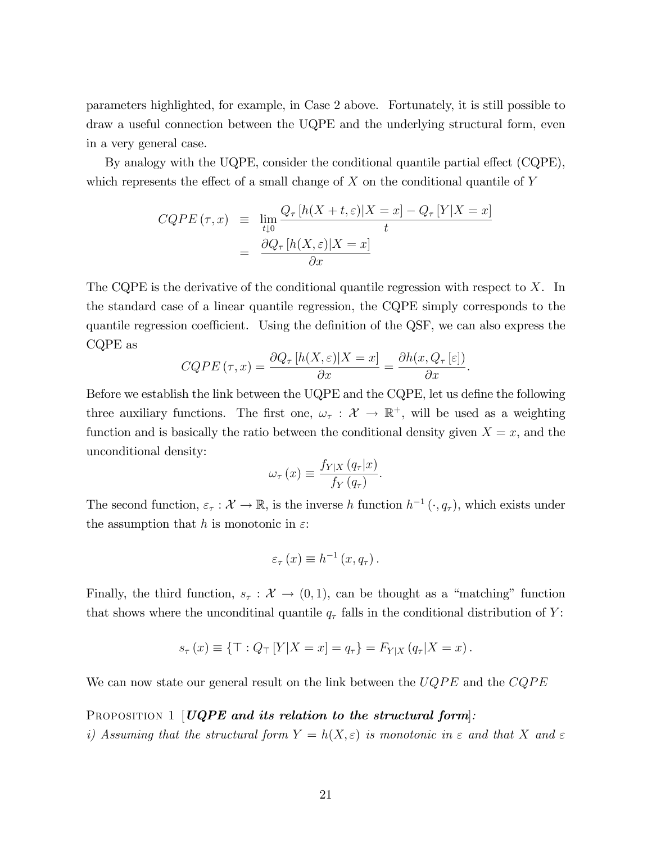parameters highlighted, for example, in Case 2 above. Fortunately, it is still possible to draw a useful connection between the UQPE and the underlying structural form, even in a very general case.

By analogy with the UQPE, consider the conditional quantile partial effect (CQPE), which represents the effect of a small change of  $X$  on the conditional quantile of  $Y$ 

$$
CQPE(\tau, x) \equiv \lim_{t \downarrow 0} \frac{Q_{\tau}[h(X+t, \varepsilon)|X=x] - Q_{\tau}[Y|X=x]}{t}
$$

$$
= \frac{\partial Q_{\tau}[h(X, \varepsilon)|X=x]}{\partial x}
$$

The CQPE is the derivative of the conditional quantile regression with respect to  $X$ . In the standard case of a linear quantile regression, the CQPE simply corresponds to the quantile regression coefficient. Using the definition of the QSF, we can also express the CQPE as

$$
CQPE(\tau, x) = \frac{\partial Q_{\tau}[h(X, \varepsilon)|X = x]}{\partial x} = \frac{\partial h(x, Q_{\tau}[\varepsilon])}{\partial x}.
$$

Before we establish the link between the  $UQPE$  and the  $CQPE$ , let us define the following three auxiliary functions. The first one,  $\omega_{\tau} : \mathcal{X} \to \mathbb{R}^+$ , will be used as a weighting function and is basically the ratio between the conditional density given  $X = x$ , and the unconditional density:

$$
\omega_{\tau}(x) \equiv \frac{f_{Y|X}(q_{\tau}|x)}{f_{Y}(q_{\tau})}.
$$

The second function,  $\varepsilon_{\tau} : \mathcal{X} \to \mathbb{R}$ , is the inverse h function  $h^{-1}(\cdot, q_{\tau})$ , which exists under the assumption that h is monotonic in  $\varepsilon$ :

$$
\varepsilon_{\tau}(x) \equiv h^{-1}(x, q_{\tau}).
$$

Finally, the third function,  $s_{\tau} : \mathcal{X} \to (0,1)$ , can be thought as a "matching" function that shows where the unconditinal quantile  $q_{\tau}$  falls in the conditional distribution of Y:

$$
s_{\tau}(x) \equiv \{ \top : Q_{\top} [Y | X = x] = q_{\tau} \} = F_{Y | X} (q_{\tau} | X = x).
$$

We can now state our general result on the link between the  $UQPE$  and the  $CQPE$ 

#### PROPOSITION 1  $[UQPE$  and its relation to the structural form.

i) Assuming that the structural form  $Y = h(X, \varepsilon)$  is monotonic in  $\varepsilon$  and that X and  $\varepsilon$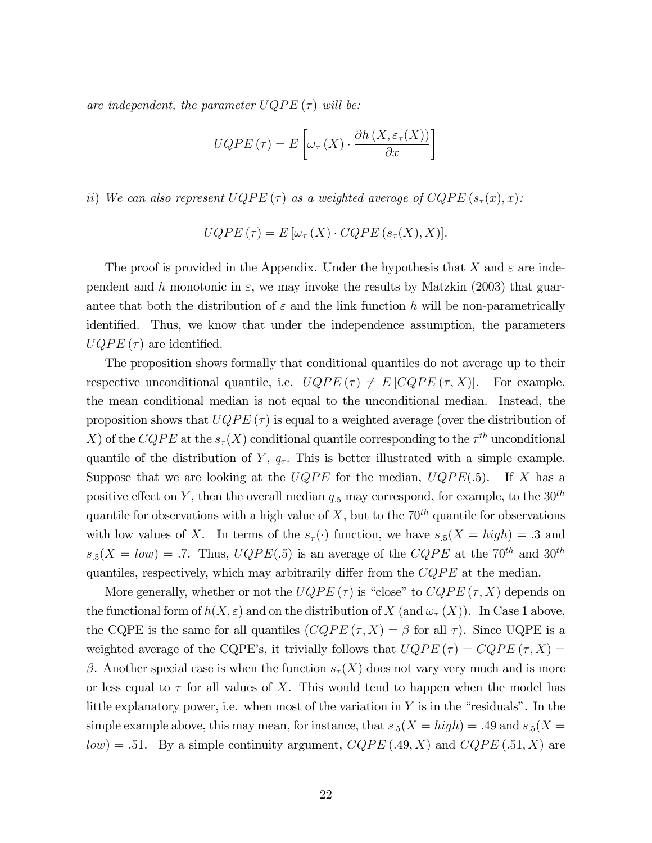are independent, the parameter  $UQPE(\tau)$  will be:

$$
UQPE(\tau) = E\left[\omega_{\tau}\left(X\right) \cdot \frac{\partial h\left(X, \varepsilon_{\tau}(X)\right)}{\partial x}\right]
$$

ii) We can also represent  $UQPE(\tau)$  as a weighted average of  $CQPE(s_{\tau}(x), x)$ :

$$
UQPE(\tau) = E[\omega_{\tau}(X) \cdot CQPE(s_{\tau}(X), X)].
$$

The proof is provided in the Appendix. Under the hypothesis that X and  $\varepsilon$  are independent and h monotonic in  $\varepsilon$ , we may invoke the results by Matzkin (2003) that guarantee that both the distribution of  $\varepsilon$  and the link function h will be non-parametrically identified. Thus, we know that under the independence assumption, the parameters  $UQPE(\tau)$  are identified.

The proposition shows formally that conditional quantiles do not average up to their respective unconditional quantile, i.e.  $UQPE(\tau) \neq E[CQPE(\tau, X)].$  For example, the mean conditional median is not equal to the unconditional median. Instead, the proposition shows that  $UQPE(\tau)$  is equal to a weighted average (over the distribution of X) of the CQPE at the  $s_{\tau}(X)$  conditional quantile corresponding to the  $\tau^{th}$  unconditional quantile of the distribution of Y,  $q_{\tau}$ . This is better illustrated with a simple example. Suppose that we are looking at the  $UQPE$  for the median,  $UQPE(.5)$ . If X has a positive effect on Y, then the overall median  $q_{.5}$  may correspond, for example, to the  $30<sup>th</sup>$ quantile for observations with a high value of  $X$ , but to the  $70<sup>th</sup>$  quantile for observations with low values of X. In terms of the  $s_{\tau}(\cdot)$  function, we have  $s_{.5}(X = high) = .3$  and  $s_5(X = low) = .7$ . Thus,  $UQPE(.5)$  is an average of the  $CQPE$  at the 70<sup>th</sup> and 30<sup>th</sup> quantiles, respectively, which may arbitrarily differ from the  $CQPE$  at the median.

More generally, whether or not the  $UQPE(\tau)$  is "close" to  $CQPE(\tau, X)$  depends on the functional form of  $h(X, \varepsilon)$  and on the distribution of X (and  $\omega_{\tau}(X)$ ). In Case 1 above, the CQPE is the same for all quantiles  $(CQPE(\tau, X) = \beta$  for all  $\tau$ ). Since UQPE is a weighted average of the CQPE's, it trivially follows that  $UQPE(\tau) = CQPE(\tau, X) =$  $\beta$ . Another special case is when the function  $s_{\tau}(X)$  does not vary very much and is more or less equal to  $\tau$  for all values of X. This would tend to happen when the model has little explanatory power, i.e. when most of the variation in  $Y$  is in the "residuals". In the simple example above, this may mean, for instance, that  $s_{.5}(X = high) = .49$  and  $s_{.5}(X =$  $low) = .51.$  By a simple continuity argument,  $CQPE(0.49, X)$  and  $CQPE(0.51, X)$  are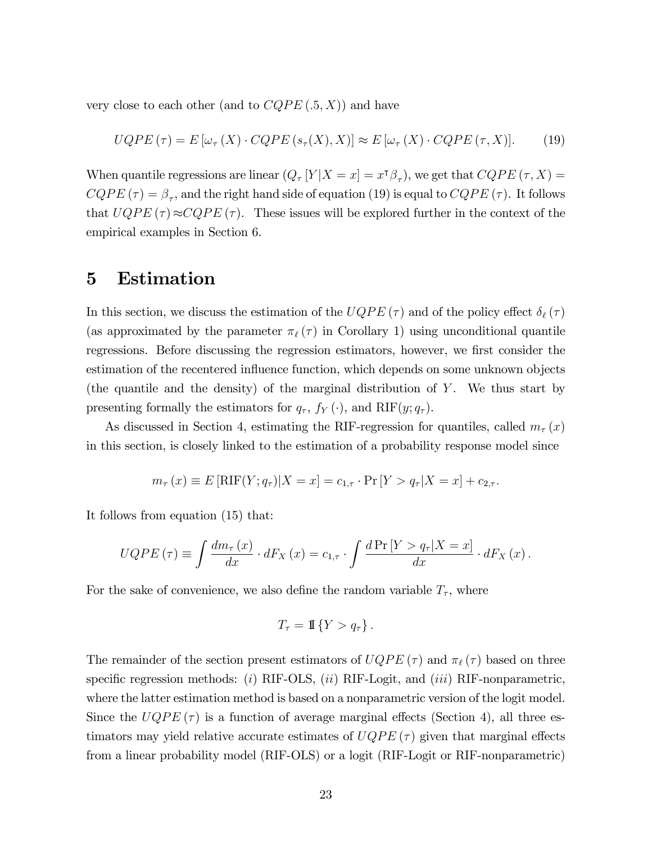very close to each other (and to  $CQPE(.5, X)$ ) and have

$$
UQPE(\tau) = E[\omega_{\tau}(X) \cdot CQPE(s_{\tau}(X), X)] \approx E[\omega_{\tau}(X) \cdot CQPE(\tau, X)].
$$
 (19)

When quantile regressions are linear  $(Q_\tau[Y|X=x] = x^{\intercal}\beta_\tau)$ , we get that  $CQPE(\tau, X) =$  $CQPE(\tau) = \beta_{\tau}$ , and the right hand side of equation (19) is equal to  $CQPE(\tau)$ . It follows that  $UQPE(\tau) \approx CQPE(\tau)$ . These issues will be explored further in the context of the empirical examples in Section 6.

## 5 Estimation

In this section, we discuss the estimation of the  $UQPE(\tau)$  and of the policy effect  $\delta_{\ell}(\tau)$ (as approximated by the parameter  $\pi_{\ell}(\tau)$  in Corollary 1) using unconditional quantile regressions. Before discussing the regression estimators, however, we first consider the estimation of the recentered influence function, which depends on some unknown objects (the quantile and the density) of the marginal distribution of  $Y$ . We thus start by presenting formally the estimators for  $q_{\tau}$ ,  $f_Y(\cdot)$ , and RIF $(y; q_{\tau})$ .

As discussed in Section 4, estimating the RIF-regression for quantiles, called  $m<sub>\tau</sub>(x)$ in this section, is closely linked to the estimation of a probability response model since

$$
m_{\tau}(x) \equiv E[\text{RIF}(Y; q_{\tau})|X = x] = c_{1,\tau} \cdot \Pr[Y > q_{\tau}|X = x] + c_{2,\tau}.
$$

It follows from equation (15) that:

$$
UQPE(\tau) \equiv \int \frac{dm_{\tau}(x)}{dx} \cdot dF_X(x) = c_{1,\tau} \cdot \int \frac{d\Pr[Y > q_{\tau}|X = x]}{dx} \cdot dF_X(x).
$$

For the sake of convenience, we also define the random variable  $T_{\tau}$ , where

$$
T_{\tau} = \mathbb{I}\left\{Y > q_{\tau}\right\}.
$$

The remainder of the section present estimators of  $UQPE (\tau)$  and  $\pi_{\ell} (\tau)$  based on three specific regression methods: (i) RIF-OLS, (ii) RIF-Logit, and (iii) RIF-nonparametric, where the latter estimation method is based on a nonparametric version of the logit model. Since the  $UQPE(\tau)$  is a function of average marginal effects (Section 4), all three estimators may yield relative accurate estimates of  $UQPE(\tau)$  given that marginal effects from a linear probability model (RIF-OLS) or a logit (RIF-Logit or RIF-nonparametric)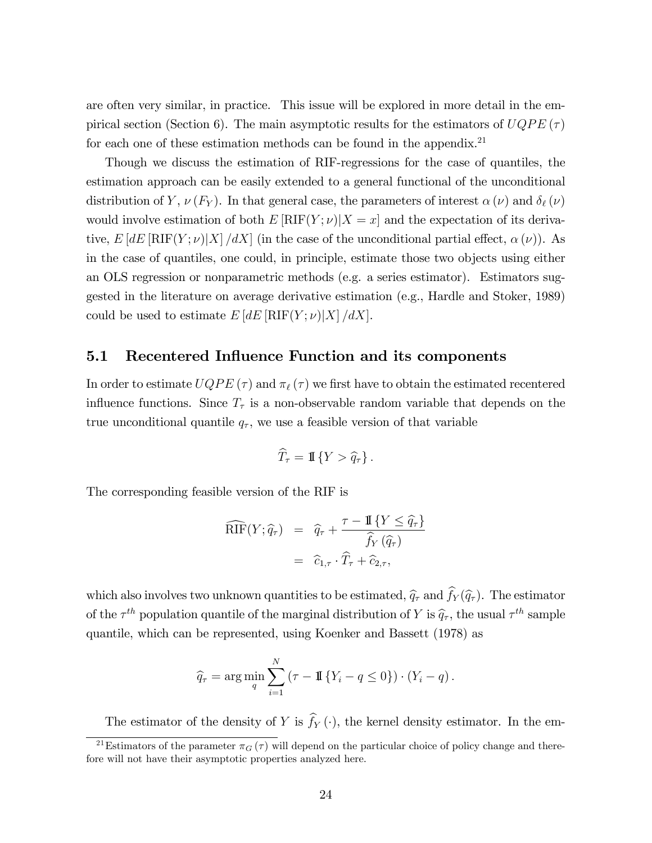are often very similar, in practice. This issue will be explored in more detail in the empirical section (Section 6). The main asymptotic results for the estimators of  $UQPE(\tau)$ for each one of these estimation methods can be found in the appendix.<sup>21</sup>

Though we discuss the estimation of RIF-regressions for the case of quantiles, the estimation approach can be easily extended to a general functional of the unconditional distribution of Y,  $\nu(F_Y)$ . In that general case, the parameters of interest  $\alpha(\nu)$  and  $\delta_{\ell}(\nu)$ would involve estimation of both  $E[\text{RIF}(Y; \nu)|X = x]$  and the expectation of its derivative,  $E[dE[\text{RIF}(Y; \nu)|X]/dX$  (in the case of the unconditional partial effect,  $\alpha(\nu)$ ). As in the case of quantiles, one could, in principle, estimate those two objects using either an OLS regression or nonparametric methods (e.g. a series estimator). Estimators suggested in the literature on average derivative estimation (e.g., Hardle and Stoker, 1989) could be used to estimate  $E[dE[\text{RIF}(Y; \nu)|X]/dX].$ 

### 5.1 Recentered Influence Function and its components

In order to estimate  $UQPE(\tau)$  and  $\pi_{\ell}(\tau)$  we first have to obtain the estimated recentered influence functions. Since  $T_{\tau}$  is a non-observable random variable that depends on the true unconditional quantile  $q_{\tau}$ , we use a feasible version of that variable

$$
\widehat{T}_{\tau} = \mathbb{I}\left\{Y > \widehat{q}_{\tau}\right\}.
$$

The corresponding feasible version of the RIF is

$$
\widehat{\text{RIF}}(Y; \hat{q}_{\tau}) = \hat{q}_{\tau} + \frac{\tau - \mathbb{I}\{Y \leq \hat{q}_{\tau}\}}{\hat{f}_{Y}(\hat{q}_{\tau})}
$$

$$
= \hat{c}_{1,\tau} \cdot \widehat{T}_{\tau} + \hat{c}_{2,\tau},
$$

which also involves two unknown quantities to be estimated,  $\widehat{q}_{\tau}$  and  $\widehat{f}_{Y} (\widehat{q}_{\tau})$ . The estimator of the  $\tau^{th}$  population quantile of the marginal distribution of Y is  $\hat{q}_{\tau}$ , the usual  $\tau^{th}$  sample quantile, which can be represented, using Koenker and Bassett (1978) as

$$
\widehat{q}_{\tau} = \arg\min_{q} \sum_{i=1}^{N} (\tau - \mathbb{I} \{ Y_i - q \le 0 \}) \cdot (Y_i - q).
$$

The estimator of the density of Y is  $\widehat{f}_Y(\cdot)$ , the kernel density estimator. In the em-

<sup>&</sup>lt;sup>21</sup>Estimators of the parameter  $\pi_G(\tau)$  will depend on the particular choice of policy change and therefore will not have their asymptotic properties analyzed here.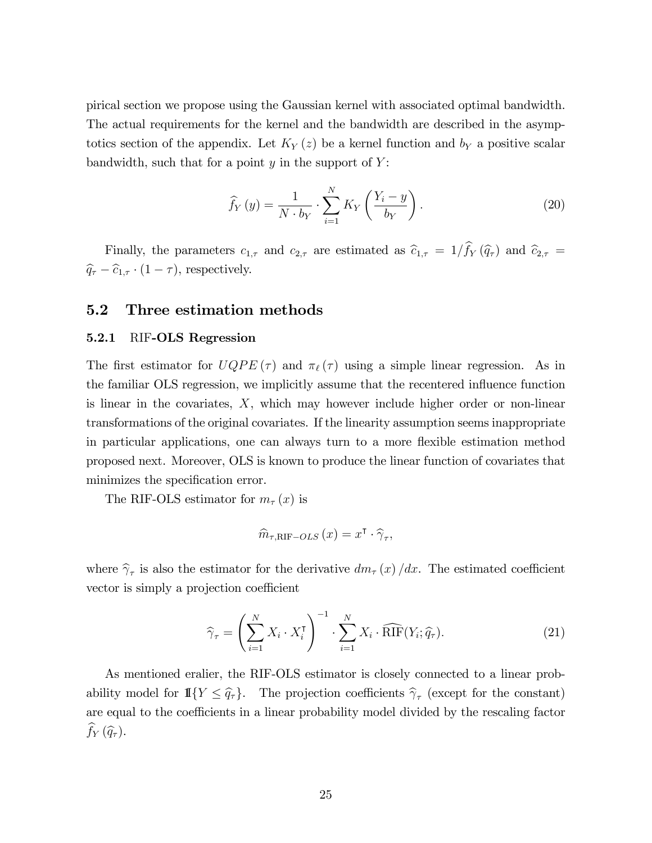pirical section we propose using the Gaussian kernel with associated optimal bandwidth. The actual requirements for the kernel and the bandwidth are described in the asymptotics section of the appendix. Let  $K_Y(z)$  be a kernel function and  $b_Y$  a positive scalar bandwidth, such that for a point  $y$  in the support of  $Y$ :

$$
\widehat{f}_Y(y) = \frac{1}{N \cdot b_Y} \cdot \sum_{i=1}^N K_Y\left(\frac{Y_i - y}{b_Y}\right). \tag{20}
$$

Finally, the parameters  $c_{1,\tau}$  and  $c_{2,\tau}$  are estimated as  $\hat{c}_{1,\tau} = 1/\hat{f}_Y(\hat{q}_\tau)$  and  $\hat{c}_{2,\tau} =$  $\widehat{q}_{\tau} - \widehat{c}_{1,\tau} \cdot (1 - \tau)$ , respectively.

### 5.2 Three estimation methods

#### 5.2.1 RIF-OLS Regression

The first estimator for  $UQPE (\tau)$  and  $\pi_{\ell} (\tau)$  using a simple linear regression. As in the familiar OLS regression, we implicitly assume that the recentered influence function is linear in the covariates,  $X$ , which may however include higher order or non-linear transformations of the original covariates. If the linearity assumption seems inappropriate in particular applications, one can always turn to a more flexible estimation method proposed next. Moreover, OLS is known to produce the linear function of covariates that minimizes the specification error.

The RIF-OLS estimator for  $m_\tau(x)$  is

$$
\widehat{m}_{\tau,\textrm{RIF}-OLS}(x) = x^{\intercal} \cdot \widehat{\gamma}_{\tau},
$$

where  $\hat{\gamma}_{\tau}$  is also the estimator for the derivative  $dm_{\tau}(x)/dx$ . The estimated coefficient vector is simply a projection coefficient

$$
\widehat{\gamma}_{\tau} = \left(\sum_{i=1}^{N} X_i \cdot X_i^{\mathsf{T}}\right)^{-1} \cdot \sum_{i=1}^{N} X_i \cdot \widehat{\mathrm{RIF}}(Y_i; \widehat{q}_{\tau}).\tag{21}
$$

As mentioned eralier, the RIF-OLS estimator is closely connected to a linear probability model for  $\mathbb{I}\{Y \leq \hat{q}_\tau\}$ . The projection coefficients  $\hat{\gamma}_\tau$  (except for the constant) are equal to the coefficients in a linear probability model divided by the rescaling factor  $\widehat{f}_Y(\widehat{q}_\tau).$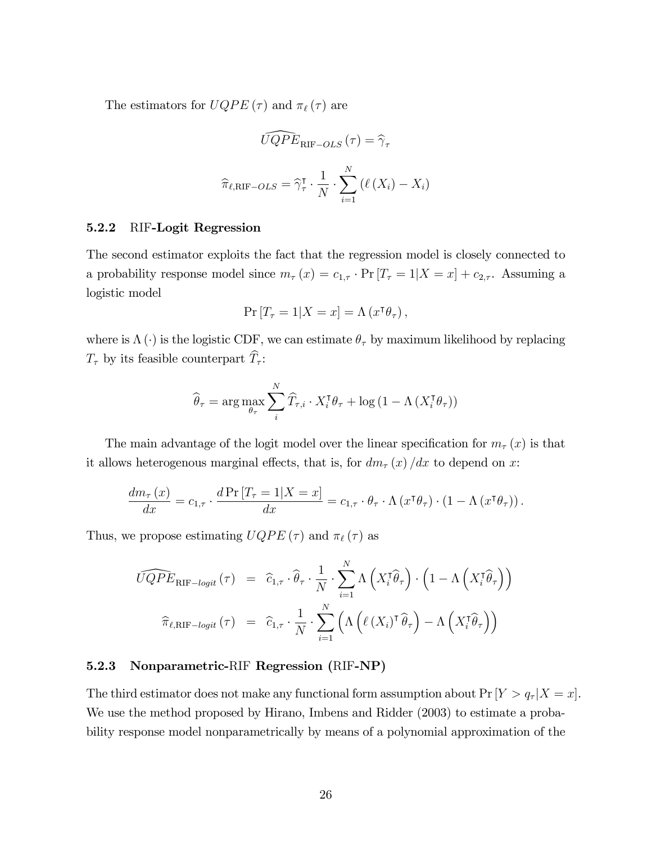The estimators for  $UQPE(\tau)$  and  $\pi_{\ell}(\tau)$  are

$$
\widehat{UQPE}_{\text{RIF}-OLS}(\tau) = \widehat{\gamma}_{\tau}
$$

$$
\widehat{\pi}_{\ell,\text{RIF}-OLS} = \widehat{\gamma}_{\tau}^{\intercal} \cdot \frac{1}{N} \cdot \sum_{i=1}^{N} \left(\ell(X_i) - X_i\right)
$$

### 5.2.2 RIF-Logit Regression

The second estimator exploits the fact that the regression model is closely connected to a probability response model since  $m_{\tau}(x) = c_{1,\tau} \cdot \Pr[T_{\tau} = 1 | X = x] + c_{2,\tau}$ . Assuming a logistic model

$$
\Pr\left[T_{\tau}=1|X=x\right]=\Lambda\left(x^{\mathsf{T}}\theta_{\tau}\right),\,
$$

where is  $\Lambda(\cdot)$  is the logistic CDF, we can estimate  $\theta_{\tau}$  by maximum likelihood by replacing  $T_{\tau}$  by its feasible counterpart  $\widehat{T}_{\tau}$ :

$$
\widehat{\theta}_{\tau} = \arg \max_{\theta_{\tau}} \sum_{i}^{N} \widehat{T}_{\tau, i} \cdot X_{i}^{\mathsf{T}} \theta_{\tau} + \log \left( 1 - \Lambda \left( X_{i}^{\mathsf{T}} \theta_{\tau} \right) \right)
$$

The main advantage of the logit model over the linear specification for  $m<sub>\tau</sub>(x)$  is that it allows heterogenous marginal effects, that is, for  $dm_{\tau}(x)/dx$  to depend on x:

$$
\frac{dm_{\tau}(x)}{dx} = c_{1,\tau} \cdot \frac{d \Pr[T_{\tau} = 1 | X = x]}{dx} = c_{1,\tau} \cdot \theta_{\tau} \cdot \Lambda (x^{\tau} \theta_{\tau}) \cdot (1 - \Lambda (x^{\tau} \theta_{\tau})).
$$

Thus, we propose estimating  $UQPE\left( \tau \right)$  and  $\pi _{\ell} \left( \tau \right)$  as

$$
\widehat{UQPE}_{\text{RIF-logit}}(\tau) = \widehat{c}_{1,\tau} \cdot \widehat{\theta}_{\tau} \cdot \frac{1}{N} \cdot \sum_{i=1}^{N} \Lambda \left( X_i^{\mathsf{T}} \widehat{\theta}_{\tau} \right) \cdot \left( 1 - \Lambda \left( X_i^{\mathsf{T}} \widehat{\theta}_{\tau} \right) \right)
$$

$$
\widehat{\pi}_{\ell,\text{RIF-logit}}(\tau) = \widehat{c}_{1,\tau} \cdot \frac{1}{N} \cdot \sum_{i=1}^{N} \left( \Lambda \left( \ell \left( X_i \right)^{\mathsf{T}} \widehat{\theta}_{\tau} \right) - \Lambda \left( X_i^{\mathsf{T}} \widehat{\theta}_{\tau} \right) \right)
$$

### 5.2.3 Nonparametric-RIF Regression (RIF-NP)

The third estimator does not make any functional form assumption about  $Pr[Y > q_r | X = x]$ . We use the method proposed by Hirano, Imbens and Ridder (2003) to estimate a probability response model nonparametrically by means of a polynomial approximation of the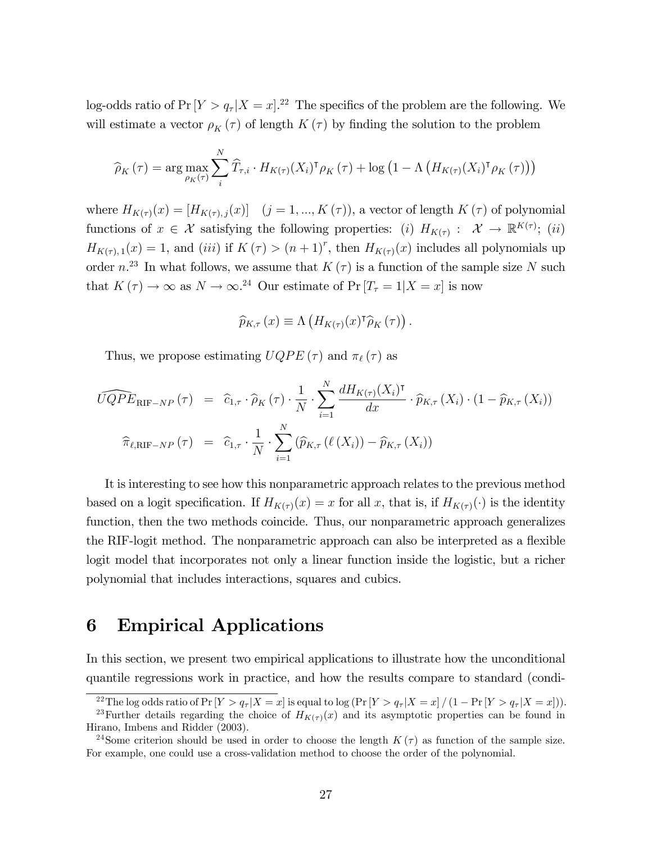log-odds ratio of  $Pr[Y > q_r | X = x]$ .<sup>22</sup> The specifics of the problem are the following. We will estimate a vector  $\rho_K(\tau)$  of length  $K(\tau)$  by finding the solution to the problem

$$
\widehat{\rho}_K(\tau) = \arg \max_{\rho_K(\tau)} \sum_{i}^{N} \widehat{T}_{\tau,i} \cdot H_{K(\tau)}(X_i)^{\mathsf{T}} \rho_K(\tau) + \log \left(1 - \Lambda \left(H_{K(\tau)}(X_i)^{\mathsf{T}} \rho_K(\tau)\right)\right)
$$

where  $H_{K(\tau)}(x) = [H_{K(\tau),i}(x)]$   $(j = 1, ..., K(\tau))$ , a vector of length  $K(\tau)$  of polynomial functions of  $x \in \mathcal{X}$  satisfying the following properties: (i)  $H_{K(\tau)}: \mathcal{X} \to \mathbb{R}^{K(\tau)}$ ; (ii)  $H_{K(\tau),1}(x) = 1$ , and (iii) if  $K(\tau) > (n+1)^r$ , then  $H_{K(\tau)}(x)$  includes all polynomials up order n.<sup>23</sup> In what follows, we assume that  $K(\tau)$  is a function of the sample size N such that  $K(\tau) \to \infty$  as  $N \to \infty$ .<sup>24</sup> Our estimate of Pr  $[T_{\tau} = 1 | X = x]$  is now

$$
\widehat{p}_{K,\tau}\left(x\right) \equiv \Lambda\left(H_{K(\tau)}(x)^{\tau}\widehat{\rho}_{K}\left(\tau\right)\right).
$$

Thus, we propose estimating  $UQPE(\tau)$  and  $\pi_{\ell}(\tau)$  as

$$
\widehat{UQPE}_{\text{RIF-NP}}(\tau) = \widehat{c}_{1,\tau} \cdot \widehat{\rho}_K(\tau) \cdot \frac{1}{N} \cdot \sum_{i=1}^N \frac{dH_{K(\tau)}(X_i)^\intercal}{dx} \cdot \widehat{p}_{K,\tau}(X_i) \cdot (1 - \widehat{p}_{K,\tau}(X_i))
$$

$$
\widehat{\pi}_{\ell,\text{RIF-NP}}(\tau) = \widehat{c}_{1,\tau} \cdot \frac{1}{N} \cdot \sum_{i=1}^N (\widehat{p}_{K,\tau}(\ell(X_i)) - \widehat{p}_{K,\tau}(X_i))
$$

It is interesting to see how this nonparametric approach relates to the previous method based on a logit specification. If  $H_{K(\tau)}(x) = x$  for all x, that is, if  $H_{K(\tau)}(\cdot)$  is the identity function, then the two methods coincide. Thus, our nonparametric approach generalizes the RIF-logit method. The nonparametric approach can also be interpreted as a flexible logit model that incorporates not only a linear function inside the logistic, but a richer polynomial that includes interactions, squares and cubics.

## 6 Empirical Applications

In this section, we present two empirical applications to illustrate how the unconditional quantile regressions work in practice, and how the results compare to standard (condi-

<sup>&</sup>lt;sup>22</sup>The log odds ratio of  $Pr[Y > q_r|X = x]$  is equal to log  $(Pr[Y > q_r|X = x]/(1 - Pr[Y > q_r|X = x])$ . <sup>23</sup>Further details regarding the choice of  $H_{K(\tau)}(x)$  and its asymptotic properties can be found in

Hirano, Imbens and Ridder (2003).

<sup>&</sup>lt;sup>24</sup>Some criterion should be used in order to choose the length  $K(\tau)$  as function of the sample size. For example, one could use a cross-validation method to choose the order of the polynomial.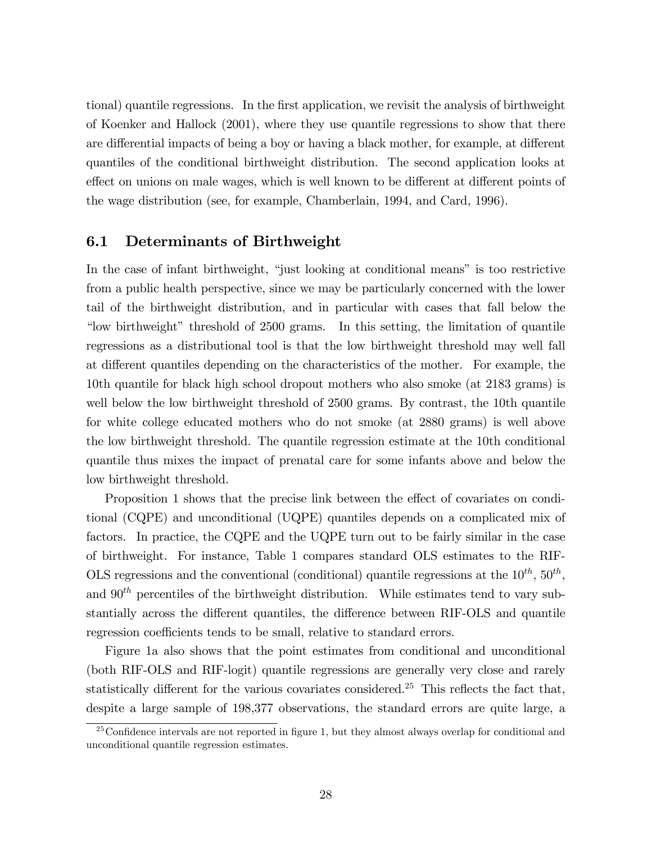tional) quantile regressions. In the first application, we revisit the analysis of birthweight of Koenker and Hallock (2001), where they use quantile regressions to show that there are differential impacts of being a boy or having a black mother, for example, at different quantiles of the conditional birthweight distribution. The second application looks at effect on unions on male wages, which is well known to be different at different points of the wage distribution (see, for example, Chamberlain, 1994, and Card, 1996).

## 6.1 Determinants of Birthweight

In the case of infant birthweight, "just looking at conditional means" is too restrictive from a public health perspective, since we may be particularly concerned with the lower tail of the birthweight distribution, and in particular with cases that fall below the "low birthweight" threshold of 2500 grams. In this setting, the limitation of quantile regressions as a distributional tool is that the low birthweight threshold may well fall at different quantiles depending on the characteristics of the mother. For example, the 10th quantile for black high school dropout mothers who also smoke (at 2183 grams) is well below the low birthweight threshold of 2500 grams. By contrast, the 10th quantile for white college educated mothers who do not smoke (at 2880 grams) is well above the low birthweight threshold. The quantile regression estimate at the 10th conditional quantile thus mixes the impact of prenatal care for some infants above and below the low birthweight threshold.

Proposition 1 shows that the precise link between the effect of covariates on conditional (CQPE) and unconditional (UQPE) quantiles depends on a complicated mix of factors. In practice, the CQPE and the UQPE turn out to be fairly similar in the case of birthweight. For instance, Table 1 compares standard OLS estimates to the RIF-OLS regressions and the conventional (conditional) quantile regressions at the  $10^{th}$ ,  $50^{th}$ , and  $90<sup>th</sup>$  percentiles of the birthweight distribution. While estimates tend to vary substantially across the different quantiles, the difference between RIF-OLS and quantile regression coefficients tends to be small, relative to standard errors.

Figure 1a also shows that the point estimates from conditional and unconditional (both RIF-OLS and RIF-logit) quantile regressions are generally very close and rarely statistically different for the various covariates considered.<sup>25</sup> This reflects the fact that, despite a large sample of 198,377 observations, the standard errors are quite large, a

 $\frac{25}{25}$ Confidence intervals are not reported in figure 1, but they almost always overlap for conditional and unconditional quantile regression estimates.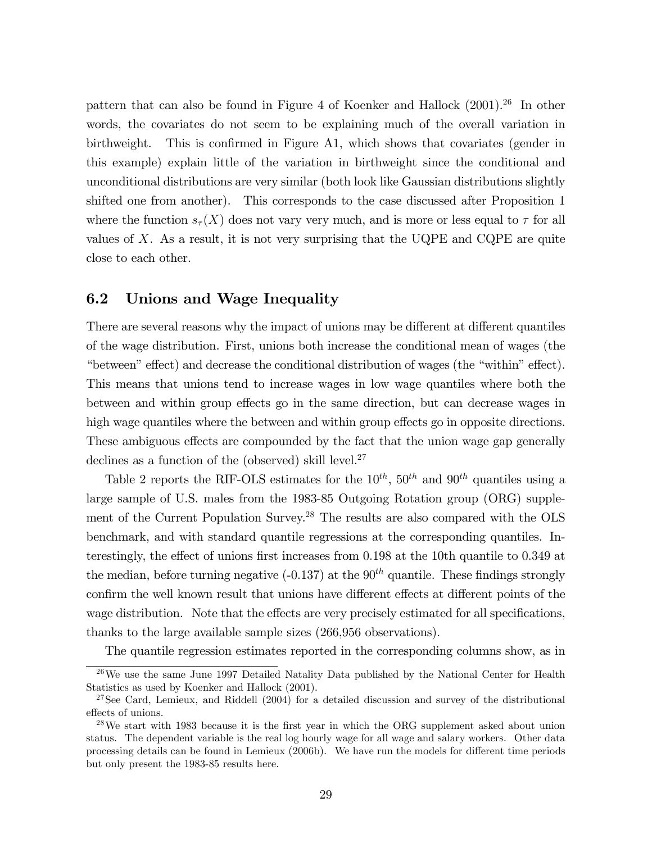pattern that can also be found in Figure 4 of Koenker and Hallock (2001).<sup>26</sup> In other words, the covariates do not seem to be explaining much of the overall variation in birthweight. This is confirmed in Figure A1, which shows that covariates (gender in this example) explain little of the variation in birthweight since the conditional and unconditional distributions are very similar (both look like Gaussian distributions slightly shifted one from another). This corresponds to the case discussed after Proposition 1 where the function  $s_{\tau}(X)$  does not vary very much, and is more or less equal to  $\tau$  for all values of  $X$ . As a result, it is not very surprising that the UQPE and CQPE are quite close to each other.

### 6.2 Unions and Wage Inequality

There are several reasons why the impact of unions may be different at different quantiles of the wage distribution. First, unions both increase the conditional mean of wages (the "between" effect) and decrease the conditional distribution of wages (the "within" effect). This means that unions tend to increase wages in low wage quantiles where both the between and within group effects go in the same direction, but can decrease wages in high wage quantiles where the between and within group effects go in opposite directions. These ambiguous effects are compounded by the fact that the union wage gap generally declines as a function of the (observed) skill level. $27$ 

Table 2 reports the RIF-OLS estimates for the  $10^{th}$ ,  $50^{th}$  and  $90^{th}$  quantiles using a large sample of U.S. males from the 1983-85 Outgoing Rotation group (ORG) supplement of the Current Population Survey.<sup>28</sup> The results are also compared with the OLS benchmark, and with standard quantile regressions at the corresponding quantiles. Interestingly, the effect of unions first increases from  $0.198$  at the 10th quantile to  $0.349$  at the median, before turning negative  $(-0.137)$  at the  $90<sup>th</sup>$  quantile. These findings strongly confirm the well known result that unions have different effects at different points of the wage distribution. Note that the effects are very precisely estimated for all specifications, thanks to the large available sample sizes (266,956 observations).

The quantile regression estimates reported in the corresponding columns show, as in

 $26\,\text{We}$  use the same June 1997 Detailed Natality Data published by the National Center for Health Statistics as used by Koenker and Hallock (2001).

<sup>&</sup>lt;sup>27</sup>See Card, Lemieux, and Riddell  $(2004)$  for a detailed discussion and survey of the distributional effects of unions.

 $28\text{We start with } 1983 \text{ because it is the first year in which the ORG supplement asked about union.}$ status. The dependent variable is the real log hourly wage for all wage and salary workers. Other data processing details can be found in Lemieux (2006b). We have run the models for different time periods but only present the 1983-85 results here.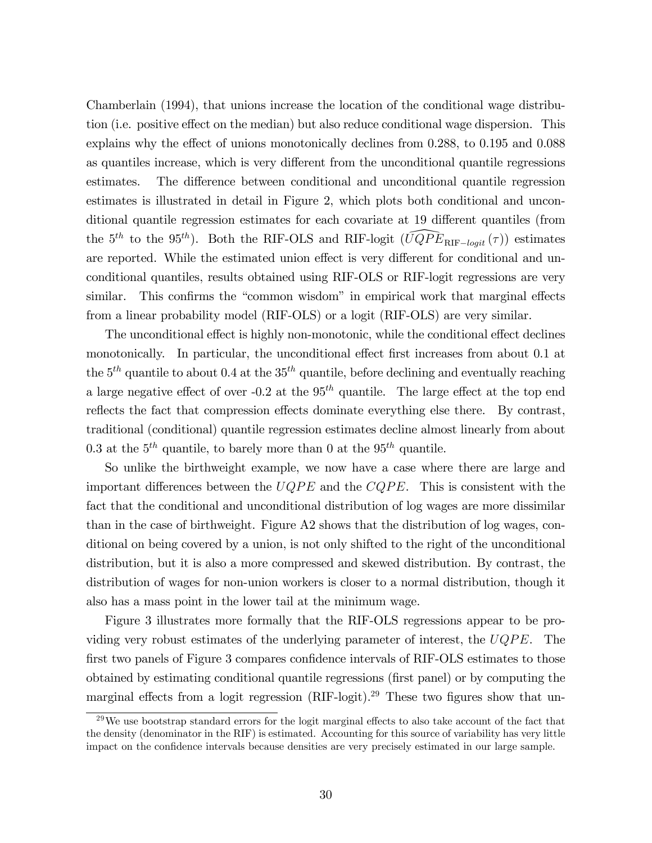Chamberlain (1994), that unions increase the location of the conditional wage distribution (i.e. positive effect on the median) but also reduce conditional wage dispersion. This explains why the effect of unions monotonically declines from  $0.288$ , to  $0.195$  and  $0.088$ as quantiles increase, which is very different from the unconditional quantile regressions estimates. The difference between conditional and unconditional quantile regression estimates is illustrated in detail in Figure 2, which plots both conditional and unconditional quantile regression estimates for each covariate at 19 different quantiles (from the 5<sup>th</sup> to the 95<sup>th</sup>). Both the RIF-OLS and RIF-logit  $(\widehat{UQPE}_{RIF-logit}(\tau))$  estimates are reported. While the estimated union effect is very different for conditional and unconditional quantiles, results obtained using RIF-OLS or RIF-logit regressions are very similar. This confirms the "common wisdom" in empirical work that marginal effects from a linear probability model (RIF-OLS) or a logit (RIF-OLS) are very similar.

The unconditional effect is highly non-monotonic, while the conditional effect declines monotonically. In particular, the unconditional effect first increases from about 0.1 at the  $5<sup>th</sup>$  quantile to about 0.4 at the  $35<sup>th</sup>$  quantile, before declining and eventually reaching a large negative effect of over  $-0.2$  at the 95<sup>th</sup> quantile. The large effect at the top end reflects the fact that compression effects dominate everything else there. By contrast, traditional (conditional) quantile regression estimates decline almost linearly from about 0.3 at the  $5<sup>th</sup>$  quantile, to barely more than 0 at the  $95<sup>th</sup>$  quantile.

So unlike the birthweight example, we now have a case where there are large and important differences between the  $UQPE$  and the  $CQPE$ . This is consistent with the fact that the conditional and unconditional distribution of log wages are more dissimilar than in the case of birthweight. Figure A2 shows that the distribution of log wages, conditional on being covered by a union, is not only shifted to the right of the unconditional distribution, but it is also a more compressed and skewed distribution. By contrast, the distribution of wages for non-union workers is closer to a normal distribution, though it also has a mass point in the lower tail at the minimum wage.

Figure 3 illustrates more formally that the RIF-OLS regressions appear to be providing very robust estimates of the underlying parameter of interest, the  $UQPE$ . The first two panels of Figure 3 compares confidence intervals of RIF-OLS estimates to those obtained by estimating conditional quantile regressions (first panel) or by computing the marginal effects from a logit regression  $(RIF-logit).^{29}$  These two figures show that un-

 $^{29}$ We use bootstrap standard errors for the logit marginal effects to also take account of the fact that the density (denominator in the RIF) is estimated. Accounting for this source of variability has very little impact on the confidence intervals because densities are very precisely estimated in our large sample.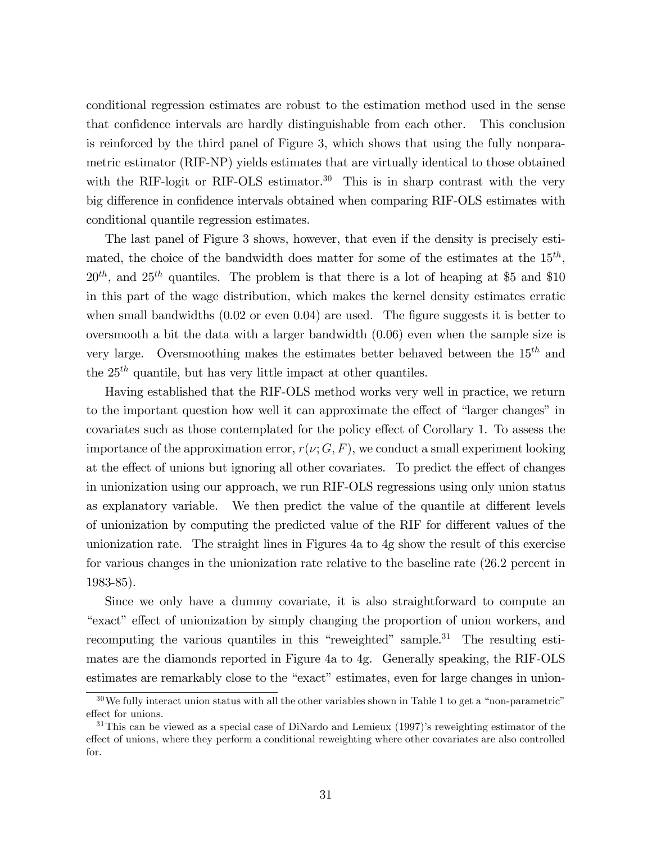conditional regression estimates are robust to the estimation method used in the sense that confidence intervals are hardly distinguishable from each other. This conclusion is reinforced by the third panel of Figure 3, which shows that using the fully nonparametric estimator (RIF-NP) yields estimates that are virtually identical to those obtained with the RIF-logit or RIF-OLS estimator.<sup>30</sup> This is in sharp contrast with the very big difference in confidence intervals obtained when comparing RIF-OLS estimates with conditional quantile regression estimates.

The last panel of Figure 3 shows, however, that even if the density is precisely estimated, the choice of the bandwidth does matter for some of the estimates at the  $15^{th}$ ,  $20^{th}$ , and  $25^{th}$  quantiles. The problem is that there is a lot of heaping at \$5 and \$10 in this part of the wage distribution, which makes the kernel density estimates erratic when small bandwidths  $(0.02 \text{ or even } 0.04)$  are used. The figure suggests it is better to oversmooth a bit the data with a larger bandwidth (0.06) even when the sample size is very large. Oversmoothing makes the estimates better behaved between the  $15^{th}$  and the  $25<sup>th</sup>$  quantile, but has very little impact at other quantiles.

Having established that the RIF-OLS method works very well in practice, we return to the important question how well it can approximate the effect of "larger changes" in covariates such as those contemplated for the policy effect of Corollary 1. To assess the importance of the approximation error,  $r(\nu; G, F)$ , we conduct a small experiment looking at the effect of unions but ignoring all other covariates. To predict the effect of changes in unionization using our approach, we run RIF-OLS regressions using only union status as explanatory variable. We then predict the value of the quantile at different levels of unionization by computing the predicted value of the RIF for different values of the unionization rate. The straight lines in Figures 4a to 4g show the result of this exercise for various changes in the unionization rate relative to the baseline rate (26.2 percent in 1983-85).

Since we only have a dummy covariate, it is also straightforward to compute an "exact" effect of unionization by simply changing the proportion of union workers, and recomputing the various quantiles in this "reweighted" sample. $31$  The resulting estimates are the diamonds reported in Figure 4a to 4g. Generally speaking, the RIF-OLS estimates are remarkably close to the "exact" estimates, even for large changes in union-

 $30\,\text{We fully interact union status with all the other variables shown in Table 1 to get a "non-parametric" }$ effect for unions.

 $31$ This can be viewed as a special case of DiNardo and Lemieux (1997)'s reweighting estimator of the effect of unions, where they perform a conditional reweighting where other covariates are also controlled for.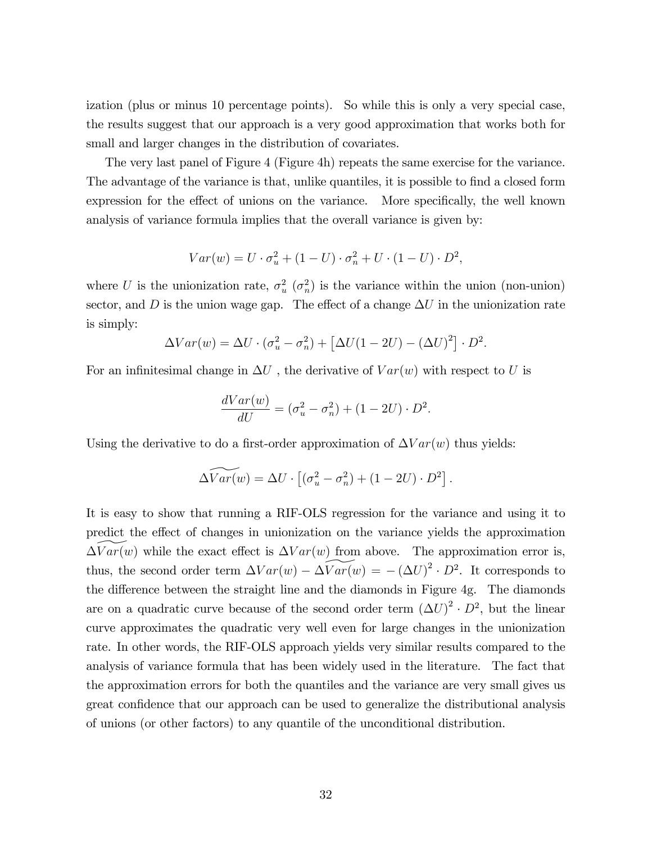ization (plus or minus 10 percentage points). So while this is only a very special case, the results suggest that our approach is a very good approximation that works both for small and larger changes in the distribution of covariates.

The very last panel of Figure 4 (Figure 4h) repeats the same exercise for the variance. The advantage of the variance is that, unlike quantiles, it is possible to find a closed form expression for the effect of unions on the variance. More specifically, the well known analysis of variance formula implies that the overall variance is given by:

$$
Var(w) = U \cdot \sigma_u^2 + (1 - U) \cdot \sigma_n^2 + U \cdot (1 - U) \cdot D^2,
$$

where U is the unionization rate,  $\sigma_u^2$  ( $\sigma_n^2$ ) is the variance within the union (non-union) sector, and D is the union wage gap. The effect of a change  $\Delta U$  in the unionization rate is simply:

$$
\Delta Var(w) = \Delta U \cdot (\sigma_u^2 - \sigma_n^2) + [\Delta U(1 - 2U) - (\Delta U)^2] \cdot D^2.
$$

For an infinitesimal change in  $\Delta U$ , the derivative of  $Var(w)$  with respect to U is

$$
\frac{dVar(w)}{dU} = (\sigma_u^2 - \sigma_n^2) + (1 - 2U) \cdot D^2.
$$

Using the derivative to do a first-order approximation of  $\Delta Var(w)$  thus yields:

$$
\widetilde{\Delta Var(w)} = \Delta U \cdot \left[ (\sigma_u^2 - \sigma_n^2) + (1 - 2U) \cdot D^2 \right].
$$

It is easy to show that running a RIF-OLS regression for the variance and using it to predict the effect of changes in unionization on the variance yields the approximation  $\Delta Var(w)$  while the exact effect is  $\Delta Var(w)$  from above. The approximation error is, thus, the second order term  $\Delta Var(w) - \Delta Var(w) = -(\Delta U)^2 \cdot D^2$ . It corresponds to the difference between the straight line and the diamonds in Figure  $4g$ . The diamonds are on a quadratic curve because of the second order term  $(\Delta U)^2 \cdot D^2$ , but the linear curve approximates the quadratic very well even for large changes in the unionization rate. In other words, the RIF-OLS approach yields very similar results compared to the analysis of variance formula that has been widely used in the literature. The fact that the approximation errors for both the quantiles and the variance are very small gives us great confidence that our approach can be used to generalize the distributional analysis of unions (or other factors) to any quantile of the unconditional distribution.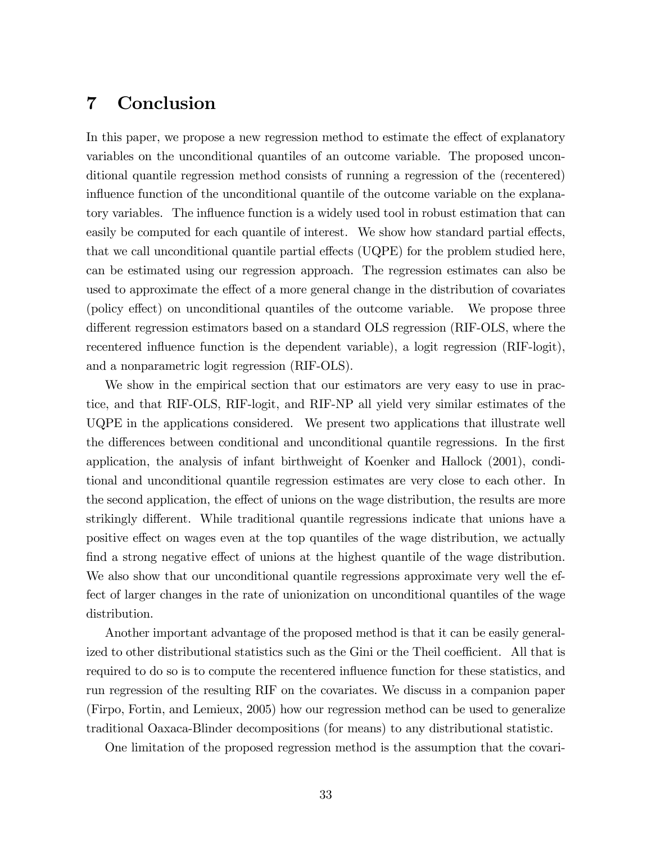## 7 Conclusion

In this paper, we propose a new regression method to estimate the effect of explanatory variables on the unconditional quantiles of an outcome variable. The proposed unconditional quantile regression method consists of running a regression of the (recentered) influence function of the unconditional quantile of the outcome variable on the explanatory variables. The influence function is a widely used tool in robust estimation that can easily be computed for each quantile of interest. We show how standard partial effects, that we call unconditional quantile partial effects  $(\text{UQPE})$  for the problem studied here, can be estimated using our regression approach. The regression estimates can also be used to approximate the effect of a more general change in the distribution of covariates (policy effect) on unconditional quantiles of the outcome variable. We propose three different regression estimators based on a standard OLS regression (RIF-OLS, where the recentered influence function is the dependent variable), a logit regression (RIF-logit), and a nonparametric logit regression (RIF-OLS).

We show in the empirical section that our estimators are very easy to use in practice, and that RIF-OLS, RIF-logit, and RIF-NP all yield very similar estimates of the UQPE in the applications considered. We present two applications that illustrate well the differences between conditional and unconditional quantile regressions. In the first application, the analysis of infant birthweight of Koenker and Hallock (2001), conditional and unconditional quantile regression estimates are very close to each other. In the second application, the effect of unions on the wage distribution, the results are more strikingly different. While traditional quantile regressions indicate that unions have a positive effect on wages even at the top quantiles of the wage distribution, we actually find a strong negative effect of unions at the highest quantile of the wage distribution. We also show that our unconditional quantile regressions approximate very well the effect of larger changes in the rate of unionization on unconditional quantiles of the wage distribution.

Another important advantage of the proposed method is that it can be easily generalized to other distributional statistics such as the Gini or the Theil coefficient. All that is required to do so is to compute the recentered ináuence function for these statistics, and run regression of the resulting RIF on the covariates. We discuss in a companion paper (Firpo, Fortin, and Lemieux, 2005) how our regression method can be used to generalize traditional Oaxaca-Blinder decompositions (for means) to any distributional statistic.

One limitation of the proposed regression method is the assumption that the covari-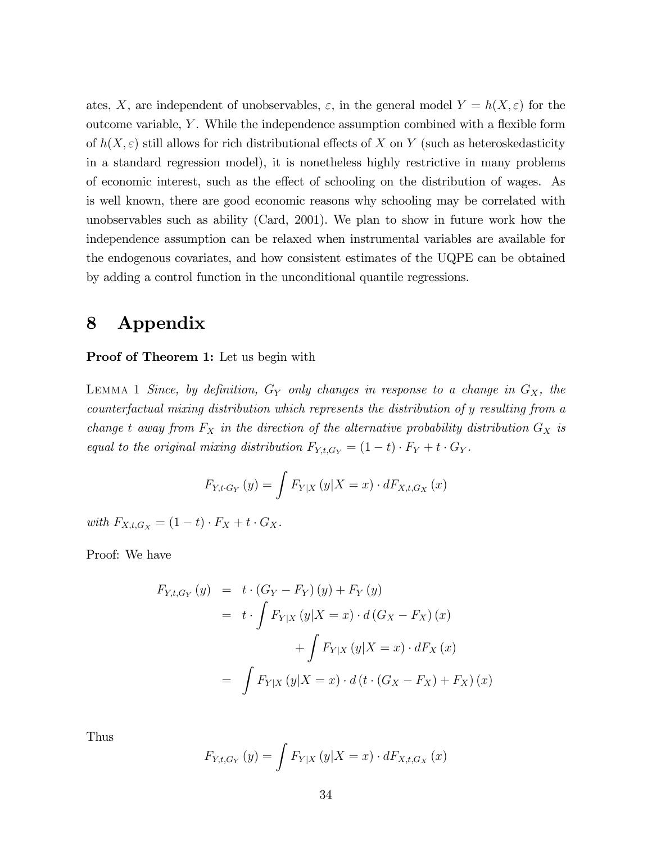ates, X, are independent of unobservables,  $\varepsilon$ , in the general model  $Y = h(X, \varepsilon)$  for the outcome variable,  $Y$ . While the independence assumption combined with a flexible form of  $h(X, \varepsilon)$  still allows for rich distributional effects of X on Y (such as heteroskedasticity in a standard regression model), it is nonetheless highly restrictive in many problems of economic interest, such as the effect of schooling on the distribution of wages. As is well known, there are good economic reasons why schooling may be correlated with unobservables such as ability (Card, 2001). We plan to show in future work how the independence assumption can be relaxed when instrumental variables are available for the endogenous covariates, and how consistent estimates of the UQPE can be obtained by adding a control function in the unconditional quantile regressions.

## 8 Appendix

#### Proof of Theorem 1: Let us begin with

LEMMA 1 Since, by definition,  $G_Y$  only changes in response to a change in  $G_X$ , the counterfactual mixing distribution which represents the distribution of y resulting from a change t away from  $F_X$  in the direction of the alternative probability distribution  $G_X$  is equal to the original mixing distribution  $F_{Y,t,G_Y} = (1-t) \cdot F_Y + t \cdot G_Y$ .

$$
F_{Y,t\cdot G_Y}(y) = \int F_{Y|X}(y|X=x) \cdot dF_{X,t,G_X}(x)
$$

with  $F_{X,t,G_X} = (1-t) \cdot F_X + t \cdot G_X$ .

Proof: We have

$$
F_{Y,t,G_Y}(y) = t \cdot (G_Y - F_Y)(y) + F_Y(y)
$$
  
=  $t \cdot \int F_{Y|X}(y|X = x) \cdot d(G_X - F_X)(x)$   
+  $\int F_{Y|X}(y|X = x) \cdot dF_X(x)$   
=  $\int F_{Y|X}(y|X = x) \cdot d(t \cdot (G_X - F_X) + F_X)(x)$ 

Thus

$$
F_{Y,t,G_Y}(y) = \int F_{Y|X}(y|X=x) \cdot dF_{X,t,G_X}(x)
$$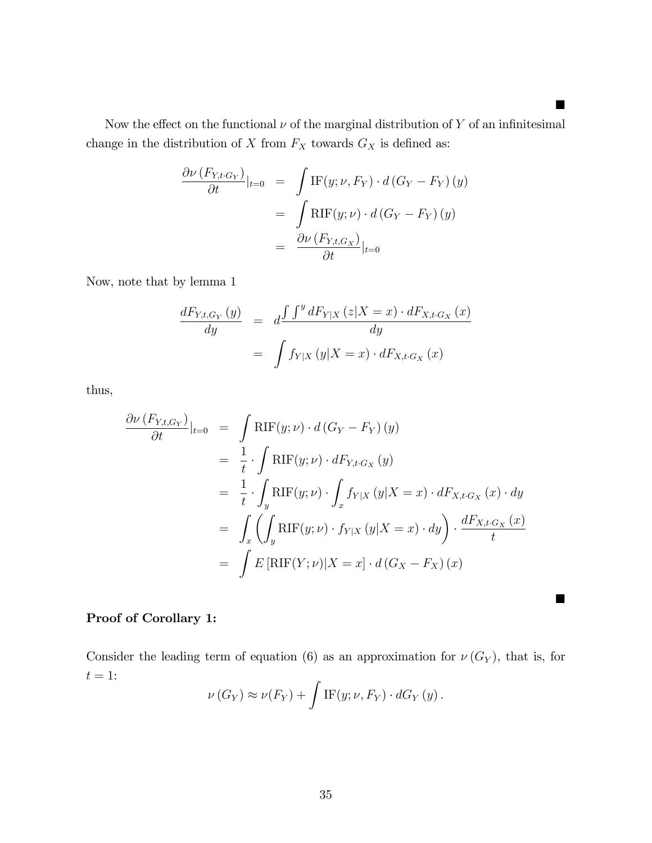Now the effect on the functional  $\nu$  of the marginal distribution of Y of an infinitesimal change in the distribution of  $X$  from  $F_X$  towards  $G_X$  is defined as:

$$
\frac{\partial \nu (F_{Y,t \cdot G_Y})}{\partial t}|_{t=0} = \int \text{IF}(y; \nu, F_Y) \cdot d(G_Y - F_Y) (y)
$$

$$
= \int \text{RIF}(y; \nu) \cdot d(G_Y - F_Y) (y)
$$

$$
= \frac{\partial \nu (F_{Y,t, G_X})}{\partial t}|_{t=0}
$$

Now, note that by lemma 1

$$
\frac{dF_{Y,t,G_Y}(y)}{dy} = d \frac{\int \int^y dF_{Y|X}(z|X=x) \cdot dF_{X,t,G_X}(x)}{dy}
$$

$$
= \int f_{Y|X}(y|X=x) \cdot dF_{X,t,G_X}(x)
$$

thus,

$$
\frac{\partial \nu (F_{Y,t,G_Y})}{\partial t}|_{t=0} = \int \text{RIF}(y;\nu) \cdot d(G_Y - F_Y)(y)
$$
  
\n
$$
= \frac{1}{t} \cdot \int \text{RIF}(y;\nu) \cdot dF_{Y,t,G_X}(y)
$$
  
\n
$$
= \frac{1}{t} \cdot \int_y \text{RIF}(y;\nu) \cdot \int_x f_{Y|X}(y|X=x) \cdot dF_{X,t,G_X}(x) \cdot dy
$$
  
\n
$$
= \int_x \left( \int_y \text{RIF}(y;\nu) \cdot f_{Y|X}(y|X=x) \cdot dy \right) \cdot \frac{dF_{X,t,G_X}(x)}{t}
$$
  
\n
$$
= \int E[\text{RIF}(Y;\nu)|X=x] \cdot d(G_X - F_X)(x)
$$

## Proof of Corollary 1:

Consider the leading term of equation (6) as an approximation for  $\nu(G_Y)$ , that is, for  $t=1\mathrm{:}$ 

$$
\nu(G_Y) \approx \nu(F_Y) + \int \text{IF}(y; \nu, F_Y) \cdot dG_Y(y).
$$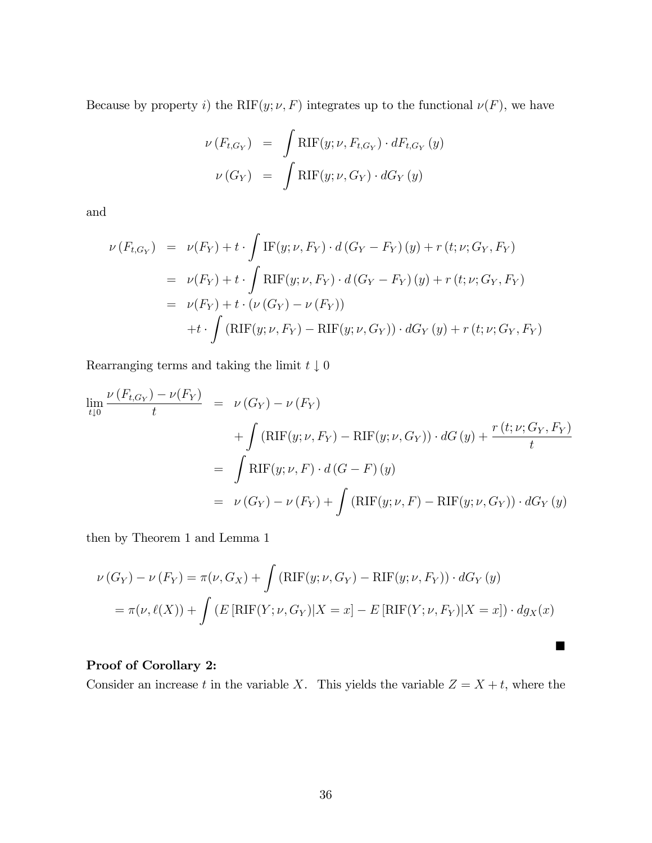Because by property i) the RIF $(y; \nu, F)$  integrates up to the functional  $\nu(F)$ , we have

$$
\nu(F_{t,G_Y}) = \int \text{RIF}(y; \nu, F_{t,G_Y}) \cdot dF_{t,G_Y}(y)
$$

$$
\nu(G_Y) = \int \text{RIF}(y; \nu, G_Y) \cdot dG_Y(y)
$$

and

$$
\nu(F_{t,G_Y}) = \nu(F_Y) + t \cdot \int \text{IF}(y; \nu, F_Y) \cdot d(G_Y - F_Y)(y) + r(t; \nu; G_Y, F_Y)
$$
  
\n
$$
= \nu(F_Y) + t \cdot \int \text{RIF}(y; \nu, F_Y) \cdot d(G_Y - F_Y)(y) + r(t; \nu; G_Y, F_Y)
$$
  
\n
$$
= \nu(F_Y) + t \cdot (\nu(G_Y) - \nu(F_Y))
$$
  
\n
$$
+ t \cdot \int (\text{RIF}(y; \nu, F_Y) - \text{RIF}(y; \nu, G_Y)) \cdot dG_Y(y) + r(t; \nu; G_Y, F_Y)
$$

Rearranging terms and taking the limit  $t\downarrow 0$ 

$$
\lim_{t \downarrow 0} \frac{\nu(F_{t,G_Y}) - \nu(F_Y)}{t} = \nu(G_Y) - \nu(F_Y)
$$
  
+ 
$$
\int (\text{RIF}(y; \nu, F_Y) - \text{RIF}(y; \nu, G_Y)) \cdot dG(y) + \frac{r(t; \nu; G_Y, F_Y)}{t}
$$
  
= 
$$
\int \text{RIF}(y; \nu, F) \cdot d(G - F)(y)
$$
  
= 
$$
\nu(G_Y) - \nu(F_Y) + \int (\text{RIF}(y; \nu, F) - \text{RIF}(y; \nu, G_Y)) \cdot dG_Y(y)
$$

then by Theorem 1 and Lemma 1

$$
\nu(G_Y) - \nu(F_Y) = \pi(\nu, G_X) + \int (\mathrm{RIF}(y; \nu, G_Y) - \mathrm{RIF}(y; \nu, F_Y)) \cdot dG_Y(y)
$$
  
=  $\pi(\nu, \ell(X)) + \int (E[\mathrm{RIF}(Y; \nu, G_Y)|X = x] - E[\mathrm{RIF}(Y; \nu, F_Y)|X = x]) \cdot dg_X(x)$ 

## Proof of Corollary 2:

Consider an increase t in the variable X. This yields the variable  $Z = X + t$ , where the

П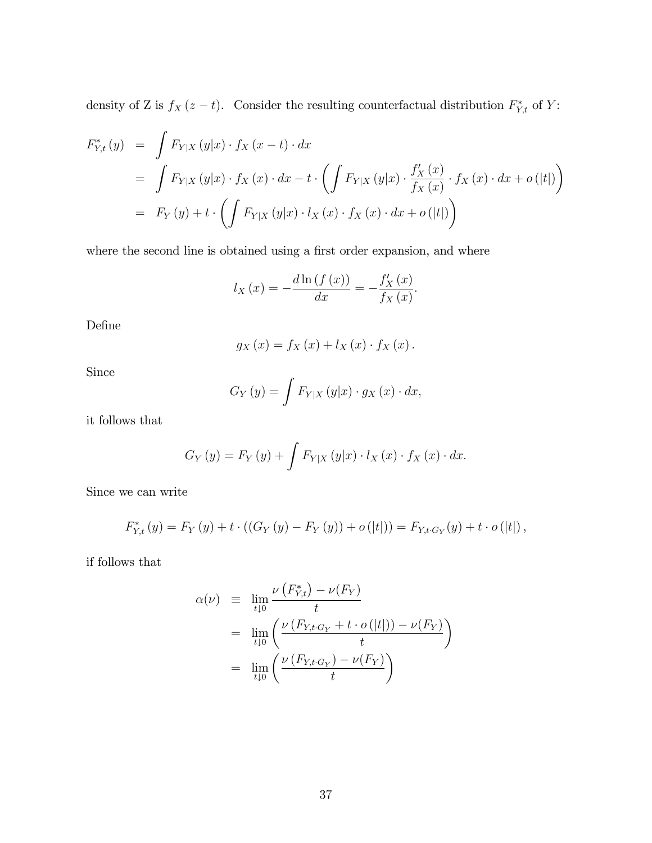density of Z is  $f_X(z-t)$ . Consider the resulting counterfactual distribution  $F_{Y,t}^*$  of Y:

$$
F_{Y,t}^{*}(y) = \int F_{Y|X}(y|x) \cdot f_{X}(x-t) \cdot dx
$$
  
= 
$$
\int F_{Y|X}(y|x) \cdot f_{X}(x) \cdot dx - t \cdot \left( \int F_{Y|X}(y|x) \cdot \frac{f'_{X}(x)}{f_{X}(x)} \cdot f_{X}(x) \cdot dx + o(|t|) \right)
$$
  
= 
$$
F_{Y}(y) + t \cdot \left( \int F_{Y|X}(y|x) \cdot l_{X}(x) \cdot f_{X}(x) \cdot dx + o(|t|) \right)
$$

where the second line is obtained using a first order expansion, and where

$$
l_X(x) = -\frac{d \ln(f(x))}{dx} = -\frac{f'_X(x)}{f_X(x)}.
$$

DeÖne

$$
g_X(x) = f_X(x) + l_X(x) \cdot f_X(x).
$$

Since

$$
G_Y(y) = \int F_{Y|X}(y|x) \cdot g_X(x) \cdot dx,
$$

it follows that

$$
G_Y(y) = F_Y(y) + \int F_{Y|X}(y|x) \cdot l_X(x) \cdot f_X(x) \cdot dx.
$$

Since we can write

$$
F_{Y,t}^{*}(y) = F_{Y}(y) + t \cdot ((G_{Y}(y) - F_{Y}(y)) + o(|t|)) = F_{Y,t \cdot G_{Y}}(y) + t \cdot o(|t|),
$$

if follows that

$$
\alpha(\nu) \equiv \lim_{t \downarrow 0} \frac{\nu(F_{Y,t}^*) - \nu(F_Y)}{t}
$$
  
= 
$$
\lim_{t \downarrow 0} \left( \frac{\nu(F_{Y,t \cdot G_Y} + t \cdot o(|t|)) - \nu(F_Y)}{t} \right)
$$
  
= 
$$
\lim_{t \downarrow 0} \left( \frac{\nu(F_{Y,t \cdot G_Y}) - \nu(F_Y)}{t} \right)
$$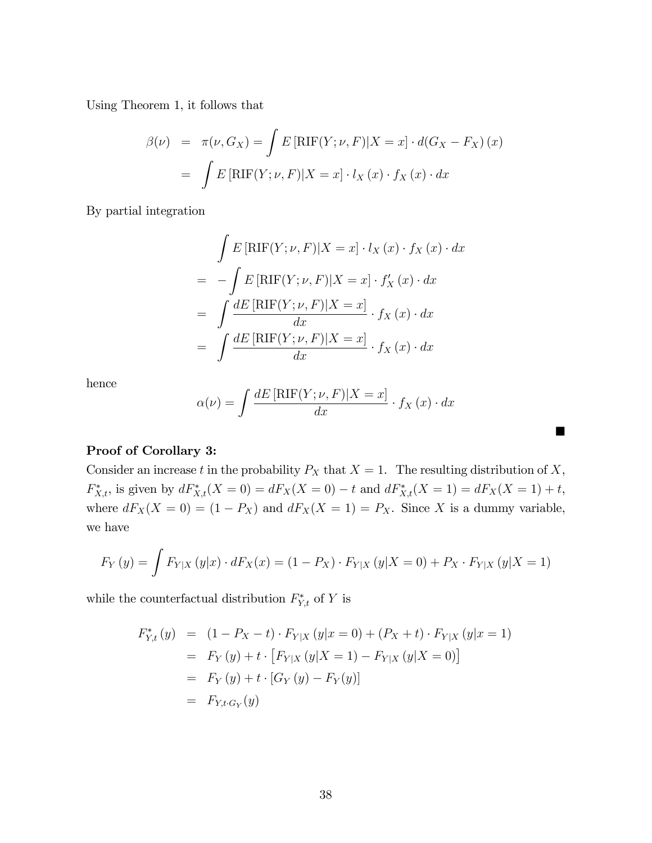Using Theorem 1, it follows that

$$
\beta(\nu) = \pi(\nu, G_X) = \int E[\text{RIF}(Y; \nu, F)|X = x] \cdot d(G_X - F_X)(x)
$$

$$
= \int E[\text{RIF}(Y; \nu, F)|X = x] \cdot l_X(x) \cdot f_X(x) \cdot dx
$$

By partial integration

$$
\int E\left[\text{RIF}(Y;\nu,F)|X=x\right]\cdot l_X(x)\cdot f_X(x)\cdot dx
$$

$$
= -\int E\left[\text{RIF}(Y;\nu,F)|X=x\right]\cdot f'_X(x)\cdot dx
$$

$$
= \int \frac{dE\left[\text{RIF}(Y;\nu,F)|X=x\right]}{dx}\cdot f_X(x)\cdot dx
$$

$$
= \int \frac{dE\left[\text{RIF}(Y;\nu,F)|X=x\right]}{dx}\cdot f_X(x)\cdot dx
$$

hence

$$
\alpha(\nu) = \int \frac{dE\left[\mathrm{RIF}(Y;\nu,F)|X=x\right]}{dx} \cdot f_X\left(x\right) \cdot dx
$$

П

### Proof of Corollary 3:

Consider an increase t in the probability  $P_X$  that  $X = 1$ . The resulting distribution of X,  $F_{X,t}^*$ , is given by  $dF_{X,t}^*(X=0) = dF_X(X=0) - t$  and  $dF_{X,t}^*(X=1) = dF_X(X=1) + t$ , where  $dF_X(X = 0) = (1 - P_X)$  and  $dF_X(X = 1) = P_X$ . Since X is a dummy variable, we have

$$
F_Y(y) = \int F_{Y|X}(y|x) \cdot dF_X(x) = (1 - P_X) \cdot F_{Y|X}(y|X = 0) + P_X \cdot F_{Y|X}(y|X = 1)
$$

while the counterfactual distribution  $F_{Y,t}^*$  of Y is

$$
F_{Y,t}^*(y) = (1 - P_X - t) \cdot F_{Y|X}(y|x=0) + (P_X + t) \cdot F_{Y|X}(y|x=1)
$$
  
=  $F_Y(y) + t \cdot [F_{Y|X}(y|X=1) - F_{Y|X}(y|X=0)]$   
=  $F_Y(y) + t \cdot [G_Y(y) - F_Y(y)]$   
=  $F_{Y,t \cdot G_Y}(y)$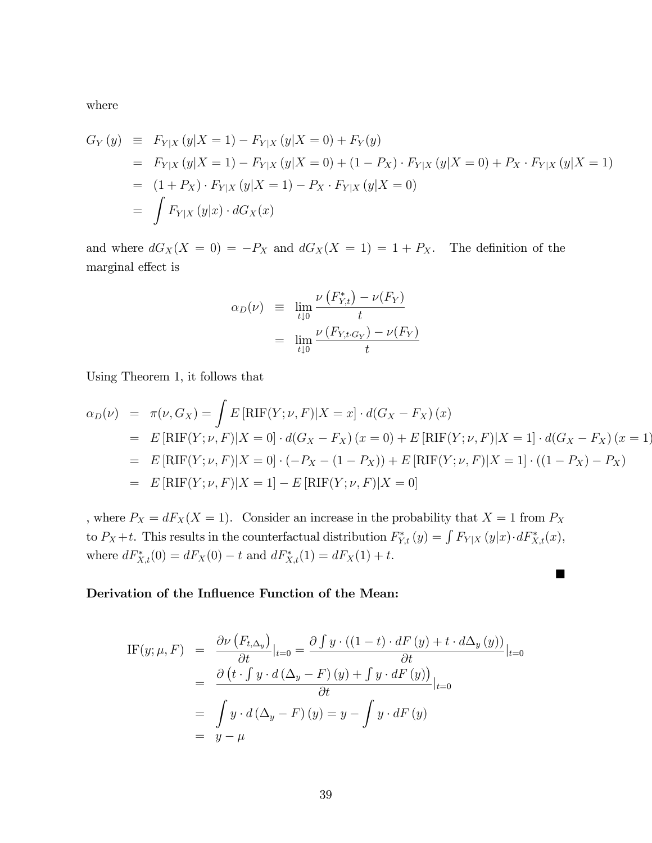where

$$
G_Y(y) \equiv F_{Y|X}(y|X=1) - F_{Y|X}(y|X=0) + F_Y(y)
$$
  
=  $F_{Y|X}(y|X=1) - F_{Y|X}(y|X=0) + (1 - P_X) \cdot F_{Y|X}(y|X=0) + P_X \cdot F_{Y|X}(y|X=1)$   
=  $(1 + P_X) \cdot F_{Y|X}(y|X=1) - P_X \cdot F_{Y|X}(y|X=0)$   
=  $\int F_{Y|X}(y|x) \cdot dG_X(x)$ 

and where  $dG_X(X = 0) = -P_X$  and  $dG_X(X = 1) = 1 + P_X$ . The definition of the marginal effect is

$$
\alpha_D(\nu) \equiv \lim_{t \downarrow 0} \frac{\nu(F_{Y,t}^*) - \nu(F_Y)}{t}
$$

$$
= \lim_{t \downarrow 0} \frac{\nu(F_{Y,t \cdot G_Y}) - \nu(F_Y)}{t}
$$

Using Theorem 1, it follows that

$$
\alpha_D(\nu) = \pi(\nu, G_X) = \int E[\text{RIF}(Y; \nu, F)|X = x] \cdot d(G_X - F_X)(x)
$$
  
\n
$$
= E[\text{RIF}(Y; \nu, F)|X = 0] \cdot d(G_X - F_X)(x = 0) + E[\text{RIF}(Y; \nu, F)|X = 1] \cdot d(G_X - F_X)(x = 1)
$$
  
\n
$$
= E[\text{RIF}(Y; \nu, F)|X = 0] \cdot (-P_X - (1 - P_X)) + E[\text{RIF}(Y; \nu, F)|X = 1] \cdot ((1 - P_X) - P_X)
$$
  
\n
$$
= E[\text{RIF}(Y; \nu, F)|X = 1] - E[\text{RIF}(Y; \nu, F)|X = 0]
$$

, where  $P_X = dF_X(X = 1)$ . Consider an increase in the probability that  $X = 1$  from  $P_X$ to  $P_X+t$ . This results in the counterfactual distribution  $F_{Y,t}^*(y) = \int F_{Y|X}(y|x) \cdot dF_{X,t}^*(x)$ , where  $dF_{X,t}^*(0) = dF_X(0) - t$  and  $dF_{X,t}^*(1) = dF_X(1) + t$ .

### Derivation of the Influence Function of the Mean:

IF(y; 
$$
\mu
$$
, F) =  $\frac{\partial \nu (F_{t,\Delta_y})}{\partial t}|_{t=0} = \frac{\partial \int y \cdot ((1-t) \cdot dF(y) + t \cdot d\Delta_y(y))}{\partial t}|_{t=0}$   
\n=  $\frac{\partial (t \cdot \int y \cdot d(\Delta_y - F)(y) + \int y \cdot dF(y))}{\partial t}|_{t=0}$   
\n=  $\int y \cdot d(\Delta_y - F)(y) = y - \int y \cdot dF(y)$   
\n=  $y - \mu$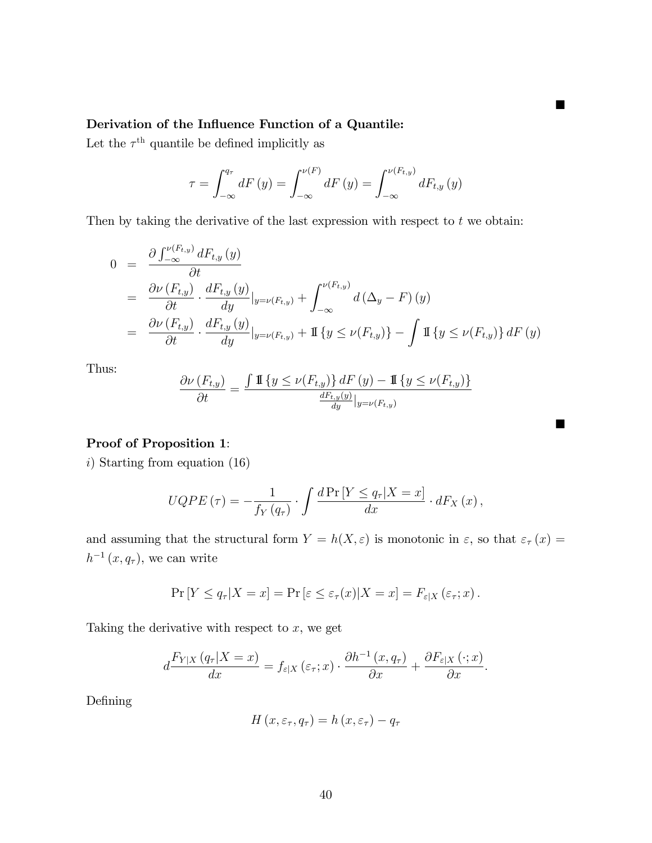### Derivation of the Influence Function of a Quantile:

Let the  $\tau^{\text{th}}$  quantile be defined implicitly as

$$
\tau = \int_{-\infty}^{q_{\tau}} dF(y) = \int_{-\infty}^{\nu(F)} dF(y) = \int_{-\infty}^{\nu(F_{t,y})} dF_{t,y}(y)
$$

 $\blacksquare$ 

П

Then by taking the derivative of the last expression with respect to  $t$  we obtain:

$$
0 = \frac{\partial \int_{-\infty}^{\nu(F_{t,y})} dF_{t,y}(y)}{\partial t}
$$
  
\n
$$
= \frac{\partial \nu (F_{t,y})}{\partial t} \cdot \frac{dF_{t,y}(y)}{dy}|_{y=\nu(F_{t,y})} + \int_{-\infty}^{\nu(F_{t,y})} d(\Delta_y - F)(y)
$$
  
\n
$$
= \frac{\partial \nu (F_{t,y})}{\partial t} \cdot \frac{dF_{t,y}(y)}{dy}|_{y=\nu(F_{t,y})} + \mathbb{I}\left\{y \le \nu(F_{t,y})\right\} - \int \mathbb{I}\left\{y \le \nu(F_{t,y})\right\} dF(y)
$$

Thus:

$$
\frac{\partial \nu\left(F_{t,y}\right)}{\partial t} = \frac{\int \mathbb{I}\left\{y \le \nu\!\left(F_{t,y}\right)\right\} dF\left(y\right) - \mathbb{I}\left\{y \le \nu\!\left(F_{t,y}\right)\right\}}{\frac{dF_{t,y}\left(y\right)}{dy}|_{y=\nu\left(F_{t,y}\right)}}
$$

#### Proof of Proposition 1:

i) Starting from equation (16)

$$
UQPE(\tau) = -\frac{1}{f_Y(q_\tau)} \cdot \int \frac{d\Pr[Y \le q_\tau | X = x]}{dx} \cdot dF_X(x),
$$

and assuming that the structural form  $Y = h(X, \varepsilon)$  is monotonic in  $\varepsilon$ , so that  $\varepsilon_{\tau}(x) =$  $h^{-1}(x, q_{\tau})$ , we can write

$$
\Pr[Y \le q_{\tau} | X = x] = \Pr[\varepsilon \le \varepsilon_{\tau}(x) | X = x] = F_{\varepsilon | X}(\varepsilon_{\tau}; x).
$$

Taking the derivative with respect to  $x$ , we get

$$
d\frac{F_{Y|X}(q_{\tau}|X=x)}{dx}=f_{\varepsilon|X}(\varepsilon_{\tau};x)\cdot\frac{\partial h^{-1}(x,q_{\tau})}{\partial x}+\frac{\partial F_{\varepsilon|X}(\cdot;x)}{\partial x}.
$$

Defining

$$
H(x, \varepsilon_{\tau}, q_{\tau}) = h(x, \varepsilon_{\tau}) - q_{\tau}
$$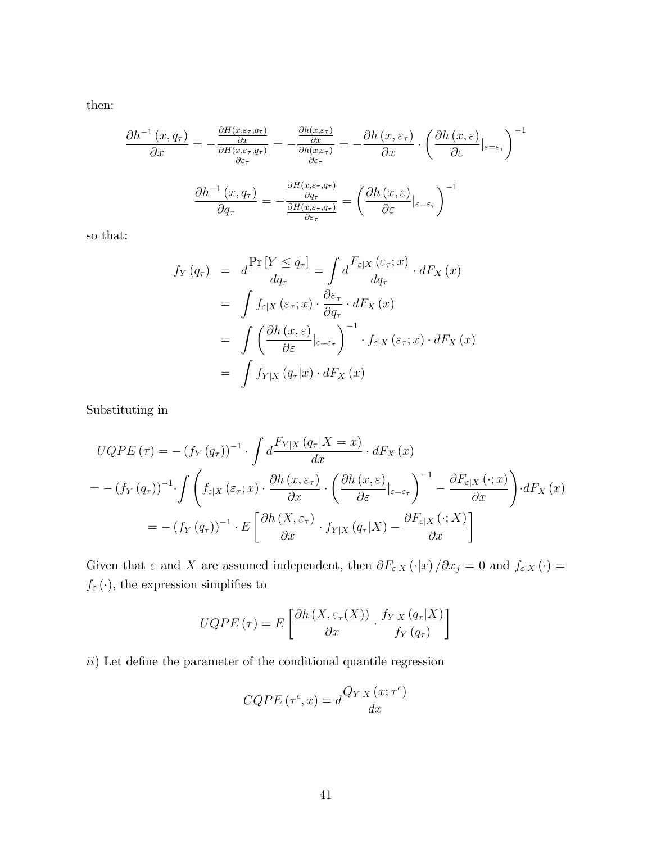then:

$$
\frac{\partial h^{-1}(x, q_{\tau})}{\partial x} = -\frac{\frac{\partial H(x, \varepsilon_{\tau}, q_{\tau})}{\partial x}}{\frac{\partial H(x, \varepsilon_{\tau}, q_{\tau})}{\partial \varepsilon_{\tau}}} = -\frac{\frac{\partial h(x, \varepsilon_{\tau})}{\partial x}}{\frac{\partial h(x, \varepsilon_{\tau})}{\partial \varepsilon_{\tau}}} = -\frac{\partial h(x, \varepsilon_{\tau})}{\partial x} \cdot \left(\frac{\partial h(x, \varepsilon)}{\partial \varepsilon}\Big|_{\varepsilon = \varepsilon_{\tau}}\right)^{-1}
$$

$$
\frac{\partial h^{-1}(x, q_{\tau})}{\partial q_{\tau}} = -\frac{\frac{\partial H(x, \varepsilon_{\tau}, q_{\tau})}{\partial q_{\tau}}}{\frac{\partial H(x, \varepsilon_{\tau}, q_{\tau})}{\partial \varepsilon_{\tau}}} = \left(\frac{\partial h(x, \varepsilon)}{\partial \varepsilon}\Big|_{\varepsilon = \varepsilon_{\tau}}\right)^{-1}
$$

so that:

$$
f_Y(q_\tau) = d \frac{\Pr[Y \le q_\tau]}{dq_\tau} = \int d \frac{F_{\varepsilon|X}(\varepsilon_\tau; x)}{dq_\tau} \cdot dF_X(x)
$$
  

$$
= \int f_{\varepsilon|X}(\varepsilon_\tau; x) \cdot \frac{\partial \varepsilon_\tau}{\partial q_\tau} \cdot dF_X(x)
$$
  

$$
= \int \left(\frac{\partial h(x, \varepsilon)}{\partial \varepsilon}\big|_{\varepsilon = \varepsilon_\tau}\right)^{-1} \cdot f_{\varepsilon|X}(\varepsilon_\tau; x) \cdot dF_X(x)
$$
  

$$
= \int f_{Y|X}(q_\tau|x) \cdot dF_X(x)
$$

Substituting in

$$
UQPE(\tau) = -(f_Y(q_\tau))^{-1} \cdot \int d\frac{F_{Y|X}(q_\tau|X=x)}{dx} \cdot dF_X(x)
$$
  
= 
$$
-(f_Y(q_\tau))^{-1} \cdot \int \left(f_{\varepsilon|X}(\varepsilon_\tau;x) \cdot \frac{\partial h(x,\varepsilon_\tau)}{\partial x} \cdot \left(\frac{\partial h(x,\varepsilon)}{\partial \varepsilon}|_{\varepsilon=\varepsilon_\tau}\right)^{-1} - \frac{\partial F_{\varepsilon|X}(\cdot;x)}{\partial x}\right) \cdot dF_X(x)
$$
  
= 
$$
-(f_Y(q_\tau))^{-1} \cdot E\left[\frac{\partial h(X,\varepsilon_\tau)}{\partial x} \cdot f_{Y|X}(q_\tau|X) - \frac{\partial F_{\varepsilon|X}(\cdot;X)}{\partial x}\right]
$$

Given that  $\varepsilon$  and X are assumed independent, then  $\partial F_{\varepsilon|X} (\cdot|x) / \partial x_j = 0$  and  $f_{\varepsilon|X} (\cdot) =$  $f_{\varepsilon}\left(\cdot\right),$  the expression simplifies to

$$
UQPE(\tau) = E\left[\frac{\partial h\left(X, \varepsilon_{\tau}(X)\right)}{\partial x} \cdot \frac{f_{Y|X}\left(q_{\tau}|X\right)}{f_{Y}\left(q_{\tau}\right)}\right]
$$

 $ii)$  Let define the parameter of the conditional quantile regression

$$
CQPE(\tau^{c}, x) = d \frac{Q_{Y|X}(x; \tau^{c})}{dx}
$$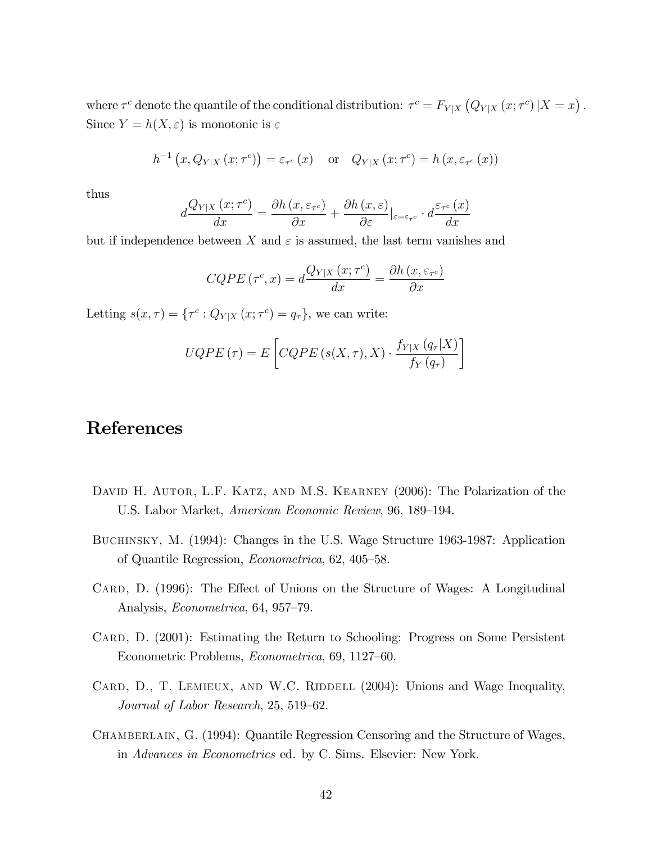where  $\tau^c$  denote the quantile of the conditional distribution:  $\tau^c = F_{Y|X} (Q_{Y|X} (x; \tau^c) | X = x)$ . Since  $Y = h(X, \varepsilon)$  is monotonic is  $\varepsilon$ 

$$
h^{-1}(x, Q_{Y|X}(x; \tau^{c})) = \varepsilon_{\tau^{c}}(x) \quad \text{or} \quad Q_{Y|X}(x; \tau^{c}) = h(x, \varepsilon_{\tau^{c}}(x))
$$

thus

$$
d\frac{Q_{Y|X}(x;\tau^c)}{dx} = \frac{\partial h(x,\varepsilon_{\tau^c})}{\partial x} + \frac{\partial h(x,\varepsilon)}{\partial \varepsilon}|_{\varepsilon = \varepsilon_{\tau^c}} \cdot d\frac{\varepsilon_{\tau^c}(x)}{dx}
$$

but if independence between X and  $\varepsilon$  is assumed, the last term vanishes and

$$
CQPE(\tau^{c}, x) = d \frac{Q_{Y|X}(x; \tau^{c})}{dx} = \frac{\partial h(x, \varepsilon_{\tau^{c}})}{\partial x}
$$

Letting  $s(x, \tau) = \{\tau^c : Q_{Y|X}(x; \tau^c) = q_\tau\}$ , we can write:

$$
UQPE(\tau) = E\left[ CQPE(s(X,\tau), X) \cdot \frac{f_{Y|X}(q_{\tau}|X)}{f_Y(q_{\tau})}\right]
$$

## References

- DAVID H. AUTOR, L.F. KATZ, AND M.S. KEARNEY (2006): The Polarization of the U.S. Labor Market, American Economic Review, 96, 189–194.
- Buchinsky, M. (1994): Changes in the U.S. Wage Structure 1963-1987: Application of Quantile Regression, *Econometrica*, 62, 405–58.
- CARD, D. (1996): The Effect of Unions on the Structure of Wages: A Longitudinal Analysis, *Econometrica*, 64, 957–79.
- CARD, D. (2001): Estimating the Return to Schooling: Progress on Some Persistent Econometric Problems, *Econometrica*, 69, 1127–60.
- CARD, D., T. LEMIEUX, AND W.C. RIDDELL (2004): Unions and Wage Inequality, Journal of Labor Research,  $25, 519-62$ .
- Chamberlain, G. (1994): Quantile Regression Censoring and the Structure of Wages, in Advances in Econometrics ed. by C. Sims. Elsevier: New York.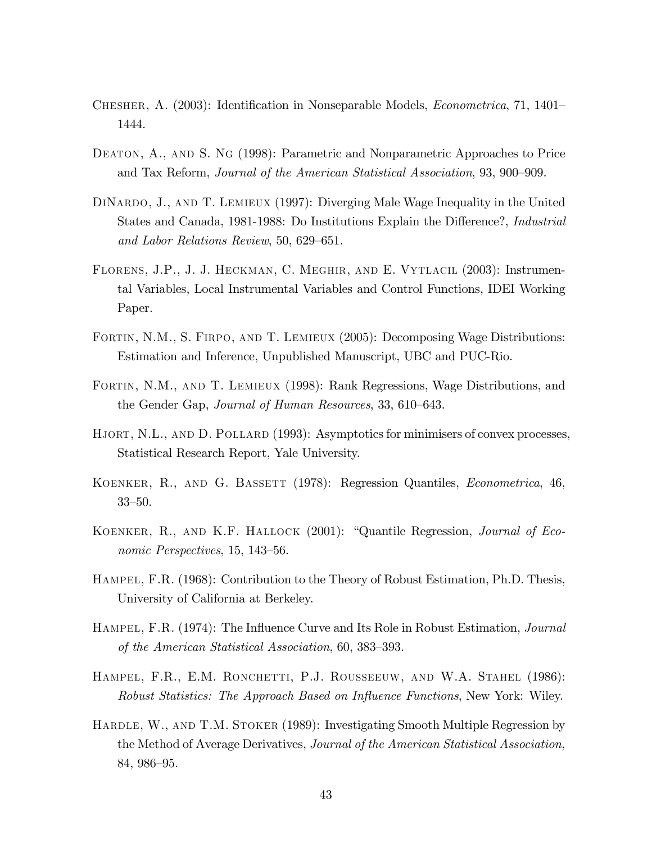- CHESHER, A. (2003): Identification in Nonseparable Models, *Econometrica*, 71, 1401– 1444.
- DEATON, A., AND S. NG (1998): Parametric and Nonparametric Approaches to Price and Tax Reform, *Journal of the American Statistical Association*, 93, 900–909.
- DiNardo, J., and T. Lemieux (1997): Diverging Male Wage Inequality in the United States and Canada, 1981-1988: Do Institutions Explain the Difference?, *Industrial* and Labor Relations Review, 50, 629–651.
- Florens, J.P., J. J. Heckman, C. Meghir, and E. Vytlacil (2003): Instrumental Variables, Local Instrumental Variables and Control Functions, IDEI Working Paper.
- FORTIN, N.M., S. FIRPO, AND T. LEMIEUX (2005): Decomposing Wage Distributions: Estimation and Inference, Unpublished Manuscript, UBC and PUC-Rio.
- Fortin, N.M., and T. Lemieux (1998): Rank Regressions, Wage Distributions, and the Gender Gap, Journal of Human Resources, 33, 610–643.
- HJORT, N.L., AND D. POLLARD (1993): Asymptotics for minimisers of convex processes, Statistical Research Report, Yale University.
- KOENKER, R., AND G. BASSETT (1978): Regression Quantiles, *Econometrica*, 46,  $33 - 50$ .
- KOENKER, R., AND K.F. HALLOCK (2001): "Quantile Regression, *Journal of Eco*nomic Perspectives,  $15, 143-56$ .
- HAMPEL, F.R. (1968): Contribution to the Theory of Robust Estimation, Ph.D. Thesis, University of California at Berkeley.
- HAMPEL, F.R. (1974): The Influence Curve and Its Role in Robust Estimation, *Journal* of the American Statistical Association,  $60, 383-393$ .
- Hampel, F.R., E.M. Ronchetti, P.J. Rousseeuw, and W.A. Stahel (1986): Robust Statistics: The Approach Based on Influence Functions, New York: Wiley.
- HARDLE, W., AND T.M. STOKER (1989): Investigating Smooth Multiple Regression by the Method of Average Derivatives, Journal of the American Statistical Association, 84, 986–95.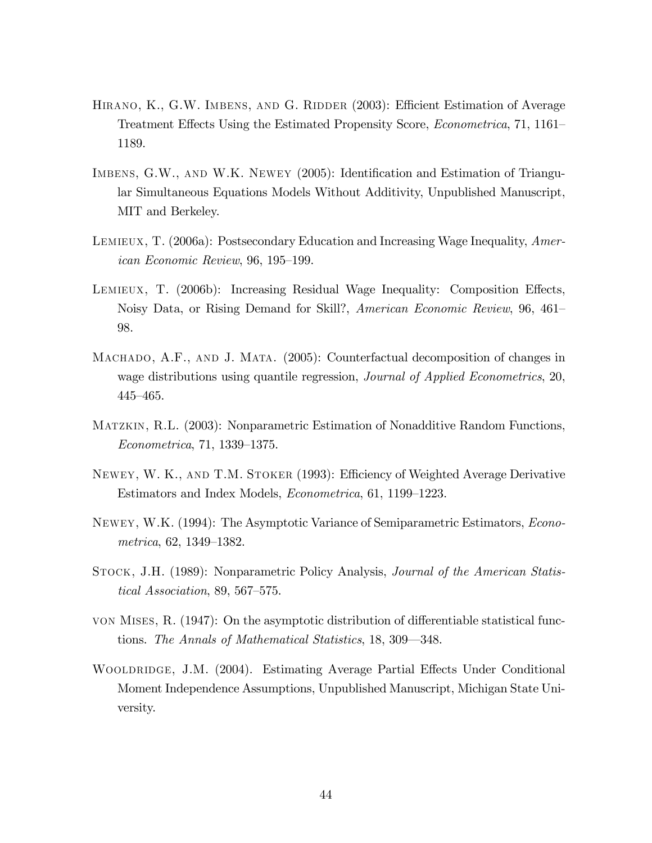- HIRANO, K., G.W. IMBENS, AND G. RIDDER (2003): Efficient Estimation of Average Treatment Effects Using the Estimated Propensity Score, *Econometrica*, 71, 1161– 1189.
- IMBENS, G.W., AND W.K. NEWEY (2005): Identification and Estimation of Triangular Simultaneous Equations Models Without Additivity, Unpublished Manuscript, MIT and Berkeley.
- LEMIEUX, T. (2006a): Postsecondary Education and Increasing Wage Inequality, American Economic Review,  $96, 195-199$ .
- LEMIEUX, T. (2006b): Increasing Residual Wage Inequality: Composition Effects, Noisy Data, or Rising Demand for Skill?, American Economic Review, 96, 461– 98.
- MACHADO, A.F., AND J. MATA. (2005): Counterfactual decomposition of changes in wage distributions using quantile regression, *Journal of Applied Econometrics*, 20,  $445 - 465.$
- Matzkin, R.L. (2003): Nonparametric Estimation of Nonadditive Random Functions,  $Econometrica, 71, 1339-1375.$
- NEWEY, W. K., AND T.M. STOKER (1993): Efficiency of Weighted Average Derivative Estimators and Index Models, *Econometrica*, 61, 1199–1223.
- Newey, W.K. (1994): The Asymptotic Variance of Semiparametric Estimators, Econometrica,  $62, 1349-1382$ .
- Stock, J.H. (1989): Nonparametric Policy Analysis, Journal of the American Statistical Association, 89, 567-575.
- von Mises, R.  $(1947)$ : On the asymptotic distribution of differentiable statistical functions. The Annals of Mathematical Statistics, 18, 309–348.
- WOOLDRIDGE, J.M. (2004). Estimating Average Partial Effects Under Conditional Moment Independence Assumptions, Unpublished Manuscript, Michigan State University.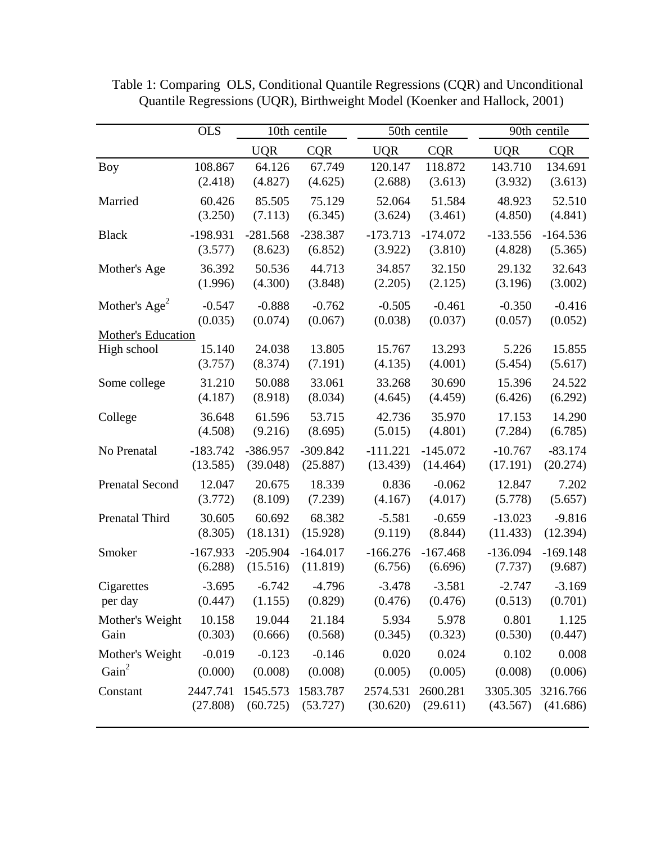|                           | <b>OLS</b>            | 10th centile           |                        |                       | 50th centile          |                       | 90th centile          |  |
|---------------------------|-----------------------|------------------------|------------------------|-----------------------|-----------------------|-----------------------|-----------------------|--|
|                           |                       | <b>UQR</b>             | <b>CQR</b>             | <b>UQR</b>            | <b>CQR</b>            | <b>UQR</b>            | <b>CQR</b>            |  |
| <b>Boy</b>                | 108.867               | 64.126                 | 67.749                 | 120.147               | 118.872               | 143.710               | 134.691               |  |
|                           | (2.418)               | (4.827)                | (4.625)                | (2.688)               | (3.613)               | (3.932)               | (3.613)               |  |
| Married                   | 60.426                | 85.505                 | 75.129                 | 52.064                | 51.584                | 48.923                | 52.510                |  |
|                           | (3.250)               | (7.113)                | (6.345)                | (3.624)               | (3.461)               | (4.850)               | (4.841)               |  |
| <b>Black</b>              | $-198.931$            | $-281.568$             | $-238.387$             | $-173.713$            | $-174.072$            | $-133.556$            | $-164.536$            |  |
|                           | (3.577)               | (8.623)                | (6.852)                | (3.922)               | (3.810)               | (4.828)               | (5.365)               |  |
| Mother's Age              | 36.392                | 50.536                 | 44.713                 | 34.857                | 32.150                | 29.132                | 32.643                |  |
|                           | (1.996)               | (4.300)                | (3.848)                | (2.205)               | (2.125)               | (3.196)               | (3.002)               |  |
| Mother's $Age^2$          | $-0.547$              | $-0.888$               | $-0.762$               | $-0.505$              | $-0.461$              | $-0.350$              | $-0.416$              |  |
| <b>Mother's Education</b> | (0.035)               | (0.074)                | (0.067)                | (0.038)               | (0.037)               | (0.057)               | (0.052)               |  |
| High school               | 15.140                | 24.038                 | 13.805                 | 15.767                | 13.293                | 5.226                 | 15.855                |  |
|                           | (3.757)               | (8.374)                | (7.191)                | (4.135)               | (4.001)               | (5.454)               | (5.617)               |  |
| Some college              | 31.210                | 50.088                 | 33.061                 | 33.268                | 30.690                | 15.396                | 24.522                |  |
|                           | (4.187)               | (8.918)                | (8.034)                | (4.645)               | (4.459)               | (6.426)               | (6.292)               |  |
| College                   | 36.648                | 61.596                 | 53.715                 | 42.736                | 35.970                | 17.153                | 14.290                |  |
|                           | (4.508)               | (9.216)                | (8.695)                | (5.015)               | (4.801)               | (7.284)               | (6.785)               |  |
| No Prenatal               | $-183.742$            | -386.957               | $-309.842$             | $-111.221$            | $-145.072$            | $-10.767$             | $-83.174$             |  |
|                           | (13.585)              | (39.048)               | (25.887)               | (13.439)              | (14.464)              | (17.191)              | (20.274)              |  |
| <b>Prenatal Second</b>    | 12.047                | 20.675                 | 18.339                 | 0.836                 | $-0.062$              | 12.847                | 7.202                 |  |
|                           | (3.772)               | (8.109)                | (7.239)                | (4.167)               | (4.017)               | (5.778)               | (5.657)               |  |
| Prenatal Third            | 30.605                | 60.692                 | 68.382                 | $-5.581$              | $-0.659$              | $-13.023$             | $-9.816$              |  |
|                           | (8.305)               | (18.131)               | (15.928)               | (9.119)               | (8.844)               | (11.433)              | (12.394)              |  |
| Smoker                    | $-167.933$<br>(6.288) | $-205.904$<br>(15.516) | $-164.017$<br>(11.819) | $-166.276$<br>(6.756) | $-167.468$<br>(6.696) | $-136.094$<br>(7.737) | $-169.148$<br>(9.687) |  |
|                           |                       |                        |                        |                       |                       |                       |                       |  |
| Cigarettes<br>per day     | $-3.695$<br>(0.447)   | $-6.742$<br>(1.155)    | $-4.796$<br>(0.829)    | $-3.478$<br>(0.476)   | $-3.581$<br>(0.476)   | $-2.747$<br>(0.513)   | $-3.169$<br>(0.701)   |  |
|                           |                       | 19.044                 | 21.184                 |                       |                       | 0.801                 |                       |  |
| Mother's Weight<br>Gain   | 10.158<br>(0.303)     | (0.666)                | (0.568)                | 5.934<br>(0.345)      | 5.978<br>(0.323)      | (0.530)               | 1.125<br>(0.447)      |  |
| Mother's Weight           | $-0.019$              | $-0.123$               | $-0.146$               | 0.020                 | 0.024                 | 0.102                 | 0.008                 |  |
| Gain <sup>2</sup>         | (0.000)               | (0.008)                | (0.008)                | (0.005)               | (0.005)               | (0.008)               | (0.006)               |  |
| Constant                  | 2447.741              | 1545.573               | 1583.787               | 2574.531              | 2600.281              | 3305.305              | 3216.766              |  |
|                           | (27.808)              | (60.725)               | (53.727)               | (30.620)              | (29.611)              | (43.567)              | (41.686)              |  |
|                           |                       |                        |                        |                       |                       |                       |                       |  |

 Table 1: Comparing OLS, Conditional Quantile Regressions (CQR) and Unconditional Quantile Regressions (UQR), Birthweight Model (Koenker and Hallock, 2001)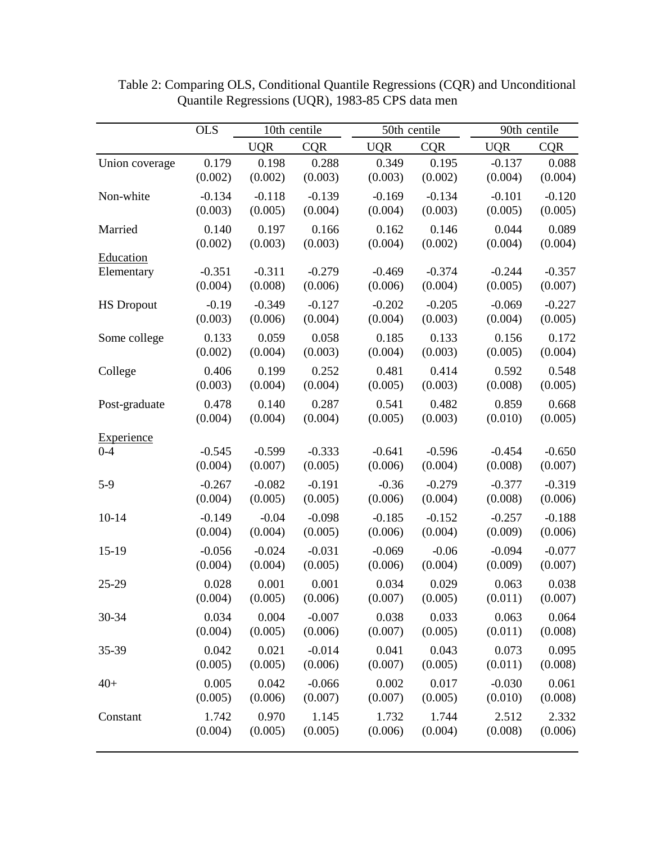|                   | <b>OLS</b> | 10th centile |            | 50th centile |            | 90th centile |            |
|-------------------|------------|--------------|------------|--------------|------------|--------------|------------|
|                   |            | <b>UQR</b>   | <b>CQR</b> | <b>UQR</b>   | <b>CQR</b> | <b>UQR</b>   | <b>CQR</b> |
| Union coverage    | 0.179      | 0.198        | 0.288      | 0.349        | 0.195      | $-0.137$     | 0.088      |
|                   | (0.002)    | (0.002)      | (0.003)    | (0.003)      | (0.002)    | (0.004)      | (0.004)    |
| Non-white         | $-0.134$   | $-0.118$     | $-0.139$   | $-0.169$     | $-0.134$   | $-0.101$     | $-0.120$   |
|                   | (0.003)    | (0.005)      | (0.004)    | (0.004)      | (0.003)    | (0.005)      | (0.005)    |
| Married           | 0.140      | 0.197        | 0.166      | 0.162        | 0.146      | 0.044        | 0.089      |
|                   | (0.002)    | (0.003)      | (0.003)    | (0.004)      | (0.002)    | (0.004)      | (0.004)    |
| Education         |            |              |            |              |            |              |            |
| Elementary        | $-0.351$   | $-0.311$     | $-0.279$   | $-0.469$     | $-0.374$   | $-0.244$     | $-0.357$   |
|                   | (0.004)    | (0.008)      | (0.006)    | (0.006)      | (0.004)    | (0.005)      | (0.007)    |
| <b>HS</b> Dropout | $-0.19$    | $-0.349$     | $-0.127$   | $-0.202$     | $-0.205$   | $-0.069$     | $-0.227$   |
|                   | (0.003)    | (0.006)      | (0.004)    | (0.004)      | (0.003)    | (0.004)      | (0.005)    |
| Some college      | 0.133      | 0.059        | 0.058      | 0.185        | 0.133      | 0.156        | 0.172      |
|                   | (0.002)    | (0.004)      | (0.003)    | (0.004)      | (0.003)    | (0.005)      | (0.004)    |
| College           | 0.406      | 0.199        | 0.252      | 0.481        | 0.414      | 0.592        | 0.548      |
|                   | (0.003)    | (0.004)      | (0.004)    | (0.005)      | (0.003)    | (0.008)      | (0.005)    |
| Post-graduate     | 0.478      | 0.140        | 0.287      | 0.541        | 0.482      | 0.859        | 0.668      |
|                   | (0.004)    | (0.004)      | (0.004)    | (0.005)      | (0.003)    | (0.010)      | (0.005)    |
| <b>Experience</b> |            |              |            |              |            |              |            |
| $0 - 4$           | $-0.545$   | $-0.599$     | $-0.333$   | $-0.641$     | $-0.596$   | $-0.454$     | $-0.650$   |
|                   | (0.004)    | (0.007)      | (0.005)    | (0.006)      | (0.004)    | (0.008)      | (0.007)    |
| $5-9$             | $-0.267$   | $-0.082$     | $-0.191$   | $-0.36$      | $-0.279$   | $-0.377$     | $-0.319$   |
|                   | (0.004)    | (0.005)      | (0.005)    | (0.006)      | (0.004)    | (0.008)      | (0.006)    |
| $10 - 14$         | $-0.149$   | $-0.04$      | $-0.098$   | $-0.185$     | $-0.152$   | $-0.257$     | $-0.188$   |
|                   | (0.004)    | (0.004)      | (0.005)    | (0.006)      | (0.004)    | (0.009)      | (0.006)    |
| 15-19             | $-0.056$   | $-0.024$     | $-0.031$   | $-0.069$     | $-0.06$    | $-0.094$     | $-0.077$   |
|                   | (0.004)    | (0.004)      | (0.005)    | (0.006)      | (0.004)    | (0.009)      | (0.007)    |
| 25-29             | 0.028      | 0.001        | 0.001      | 0.034        | 0.029      | 0.063        | 0.038      |
|                   | (0.004)    | (0.005)      | (0.006)    | (0.007)      | (0.005)    | (0.011)      | (0.007)    |
| 30-34             | 0.034      | 0.004        | $-0.007$   | 0.038        | 0.033      | 0.063        | 0.064      |
|                   | (0.004)    | (0.005)      | (0.006)    | (0.007)      | (0.005)    | (0.011)      | (0.008)    |
| 35-39             | 0.042      | 0.021        | $-0.014$   | 0.041        | 0.043      | 0.073        | 0.095      |
|                   | (0.005)    | (0.005)      | (0.006)    | (0.007)      | (0.005)    | (0.011)      | (0.008)    |
| $40+$             | 0.005      | 0.042        | $-0.066$   | 0.002        | 0.017      | $-0.030$     | 0.061      |
|                   | (0.005)    | (0.006)      | (0.007)    | (0.007)      | (0.005)    | (0.010)      | (0.008)    |
| Constant          | 1.742      | 0.970        | 1.145      | 1.732        | 1.744      | 2.512        | 2.332      |
|                   | (0.004)    | (0.005)      | (0.005)    | (0.006)      | (0.004)    | (0.008)      | (0.006)    |
|                   |            |              |            |              |            |              |            |

 Table 2: Comparing OLS, Conditional Quantile Regressions (CQR) and Unconditional Quantile Regressions (UQR), 1983-85 CPS data men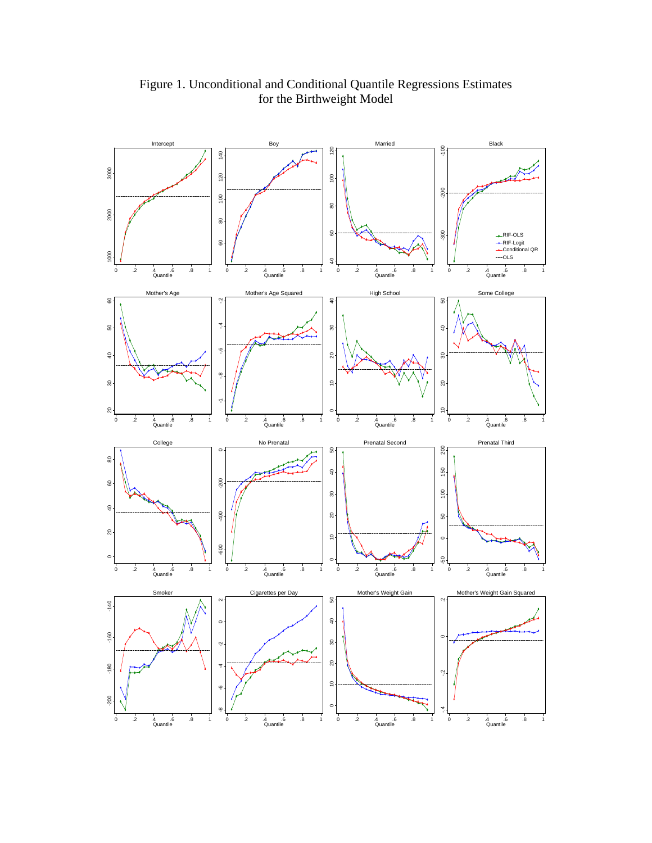

Figure 1. Unconditional and Conditional Quantile Regressions Estimates for the Birthweight Model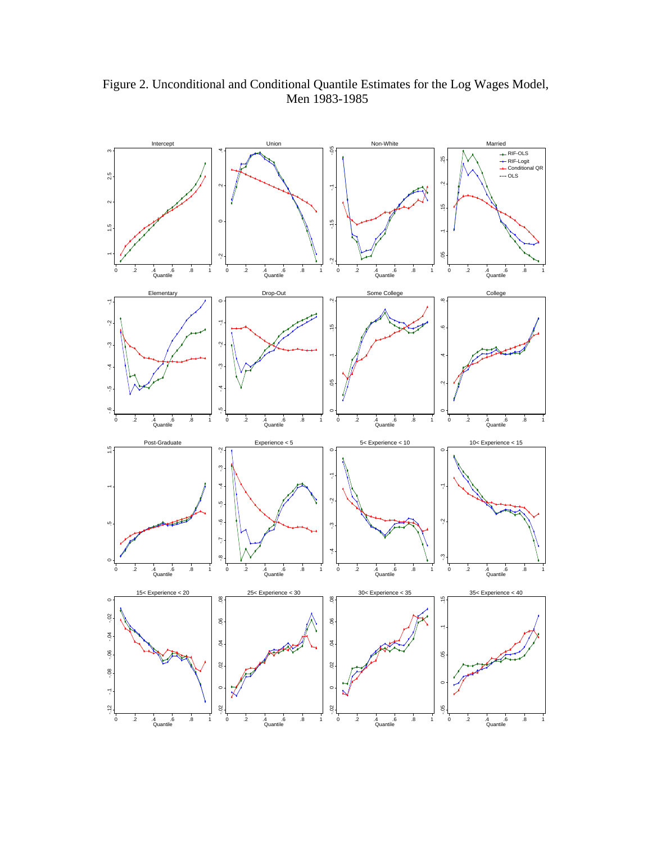

Figure 2. Unconditional and Conditional Quantile Estimates for the Log Wages Model, Men 1983-1985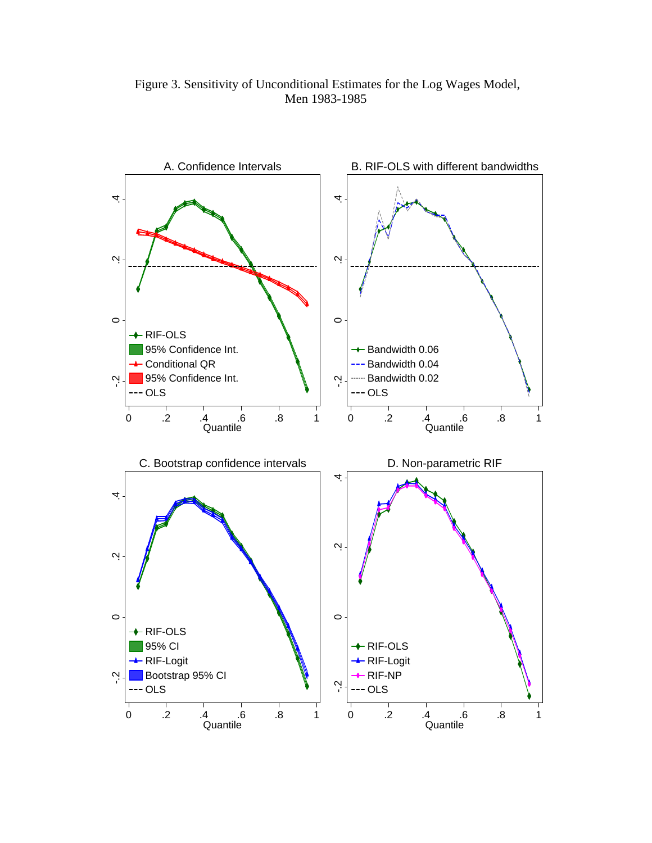Figure 3. Sensitivity of Unconditional Estimates for the Log Wages Model, Men 1983-1985

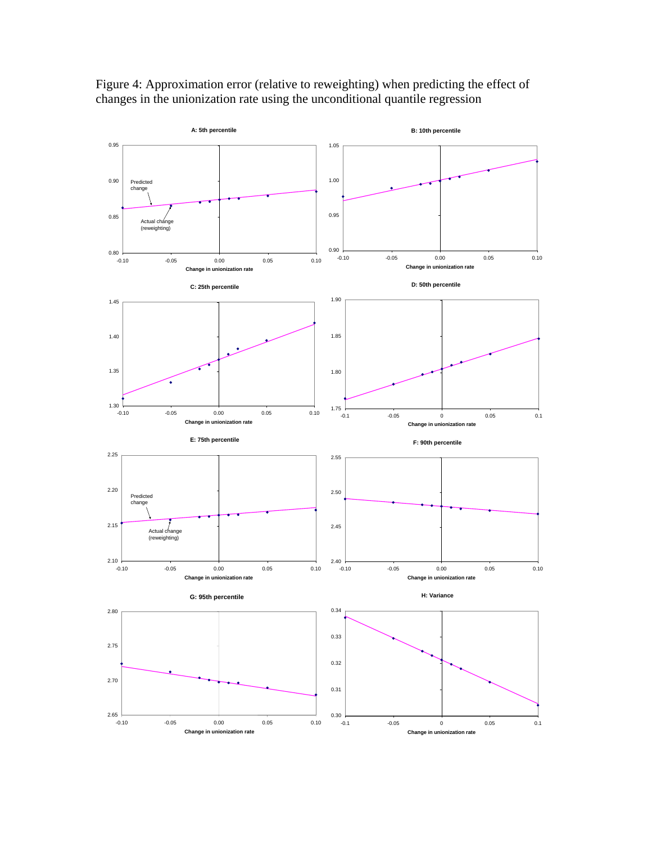

Figure 4: Approximation error (relative to reweighting) when predicting the effect of changes in the unionization rate using the unconditional quantile regression